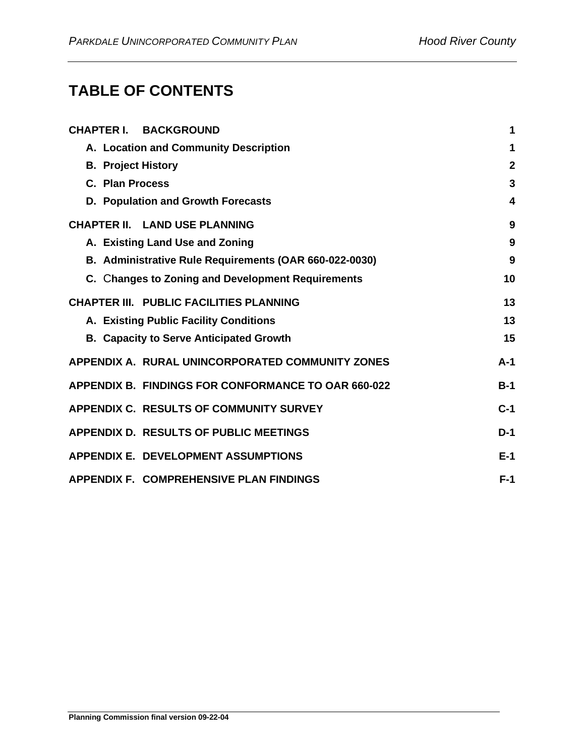# **TABLE OF CONTENTS**

|                           | <b>CHAPTER I. BACKGROUND</b>                               | 1            |
|---------------------------|------------------------------------------------------------|--------------|
|                           |                                                            |              |
|                           | A. Location and Community Description                      | 1            |
| <b>B. Project History</b> |                                                            | $\mathbf{2}$ |
| C. Plan Process           |                                                            | 3            |
|                           | D. Population and Growth Forecasts                         | 4            |
|                           | <b>CHAPTER II. LAND USE PLANNING</b>                       | 9            |
|                           | A. Existing Land Use and Zoning                            | 9            |
|                           | B. Administrative Rule Requirements (OAR 660-022-0030)     | 9            |
|                           | C. Changes to Zoning and Development Requirements          | 10           |
|                           | <b>CHAPTER III. PUBLIC FACILITIES PLANNING</b>             | 13           |
|                           | A. Existing Public Facility Conditions                     | 13           |
|                           | <b>B. Capacity to Serve Anticipated Growth</b>             | 15           |
|                           | APPENDIX A. RURAL UNINCORPORATED COMMUNITY ZONES           | $A-1$        |
|                           | <b>APPENDIX B. FINDINGS FOR CONFORMANCE TO OAR 660-022</b> | $B-1$        |
|                           | <b>APPENDIX C. RESULTS OF COMMUNITY SURVEY</b>             | $C-1$        |
|                           | <b>APPENDIX D. RESULTS OF PUBLIC MEETINGS</b>              | $D-1$        |
|                           | <b>APPENDIX E. DEVELOPMENT ASSUMPTIONS</b>                 | $E-1$        |
|                           | <b>APPENDIX F. COMPREHENSIVE PLAN FINDINGS</b>             | $F-1$        |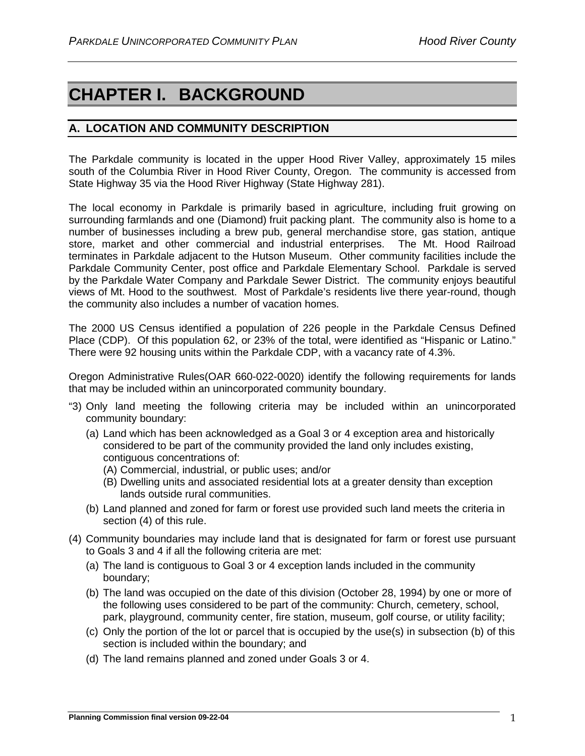# <span id="page-1-0"></span>**CHAPTER I. BACKGROUND**

# <span id="page-1-1"></span>**A. LOCATION AND COMMUNITY DESCRIPTION**

The Parkdale community is located in the upper Hood River Valley, approximately 15 miles south of the Columbia River in Hood River County, Oregon. The community is accessed from State Highway 35 via the Hood River Highway (State Highway 281).

The local economy in Parkdale is primarily based in agriculture, including fruit growing on surrounding farmlands and one (Diamond) fruit packing plant. The community also is home to a number of businesses including a brew pub, general merchandise store, gas station, antique store, market and other commercial and industrial enterprises. The Mt. Hood Railroad terminates in Parkdale adjacent to the Hutson Museum. Other community facilities include the Parkdale Community Center, post office and Parkdale Elementary School. Parkdale is served by the Parkdale Water Company and Parkdale Sewer District. The community enjoys beautiful views of Mt. Hood to the southwest. Most of Parkdale's residents live there year-round, though the community also includes a number of vacation homes.

The 2000 US Census identified a population of 226 people in the Parkdale Census Defined Place (CDP). Of this population 62, or 23% of the total, were identified as "Hispanic or Latino." There were 92 housing units within the Parkdale CDP, with a vacancy rate of 4.3%.

Oregon Administrative Rules(OAR 660-022-0020) identify the following requirements for lands that may be included within an unincorporated community boundary.

- "3) Only land meeting the following criteria may be included within an unincorporated community boundary:
	- (a) Land which has been acknowledged as a Goal 3 or 4 exception area and historically considered to be part of the community provided the land only includes existing, contiguous concentrations of:
		- (A) Commercial, industrial, or public uses; and/or
		- (B) Dwelling units and associated residential lots at a greater density than exception lands outside rural communities.
	- (b) Land planned and zoned for farm or forest use provided such land meets the criteria in section (4) of this rule.
- (4) Community boundaries may include land that is designated for farm or forest use pursuant to Goals 3 and 4 if all the following criteria are met:
	- (a) The land is contiguous to Goal 3 or 4 exception lands included in the community boundary;
	- (b) The land was occupied on the date of this division (October 28, 1994) by one or more of the following uses considered to be part of the community: Church, cemetery, school, park, playground, community center, fire station, museum, golf course, or utility facility;
	- (c) Only the portion of the lot or parcel that is occupied by the use(s) in subsection (b) of this section is included within the boundary; and
	- (d) The land remains planned and zoned under Goals 3 or 4.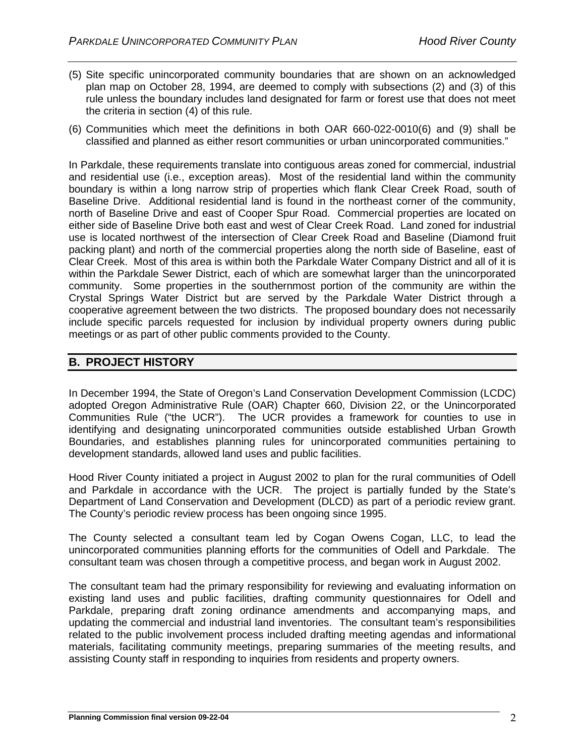- (5) Site specific unincorporated community boundaries that are shown on an acknowledged plan map on October 28, 1994, are deemed to comply with subsections (2) and (3) of this rule unless the boundary includes land designated for farm or forest use that does not meet the criteria in section (4) of this rule.
- (6) Communities which meet the definitions in both OAR 660-022-0010(6) and (9) shall be classified and planned as either resort communities or urban unincorporated communities."

In Parkdale, these requirements translate into contiguous areas zoned for commercial, industrial and residential use (i.e., exception areas). Most of the residential land within the community boundary is within a long narrow strip of properties which flank Clear Creek Road, south of Baseline Drive. Additional residential land is found in the northeast corner of the community, north of Baseline Drive and east of Cooper Spur Road. Commercial properties are located on either side of Baseline Drive both east and west of Clear Creek Road. Land zoned for industrial use is located northwest of the intersection of Clear Creek Road and Baseline (Diamond fruit packing plant) and north of the commercial properties along the north side of Baseline, east of Clear Creek. Most of this area is within both the Parkdale Water Company District and all of it is within the Parkdale Sewer District, each of which are somewhat larger than the unincorporated community. Some properties in the southernmost portion of the community are within the Crystal Springs Water District but are served by the Parkdale Water District through a cooperative agreement between the two districts. The proposed boundary does not necessarily include specific parcels requested for inclusion by individual property owners during public meetings or as part of other public comments provided to the County.

# <span id="page-2-0"></span>**B. PROJECT HISTORY**

In December 1994, the State of Oregon's Land Conservation Development Commission (LCDC) adopted Oregon Administrative Rule (OAR) Chapter 660, Division 22, or the Unincorporated Communities Rule ("the UCR"). The UCR provides a framework for counties to use in identifying and designating unincorporated communities outside established Urban Growth Boundaries, and establishes planning rules for unincorporated communities pertaining to development standards, allowed land uses and public facilities.

Hood River County initiated a project in August 2002 to plan for the rural communities of Odell and Parkdale in accordance with the UCR. The project is partially funded by the State's Department of Land Conservation and Development (DLCD) as part of a periodic review grant. The County's periodic review process has been ongoing since 1995.

The County selected a consultant team led by Cogan Owens Cogan, LLC, to lead the unincorporated communities planning efforts for the communities of Odell and Parkdale. The consultant team was chosen through a competitive process, and began work in August 2002.

The consultant team had the primary responsibility for reviewing and evaluating information on existing land uses and public facilities, drafting community questionnaires for Odell and Parkdale, preparing draft zoning ordinance amendments and accompanying maps, and updating the commercial and industrial land inventories. The consultant team's responsibilities related to the public involvement process included drafting meeting agendas and informational materials, facilitating community meetings, preparing summaries of the meeting results, and assisting County staff in responding to inquiries from residents and property owners.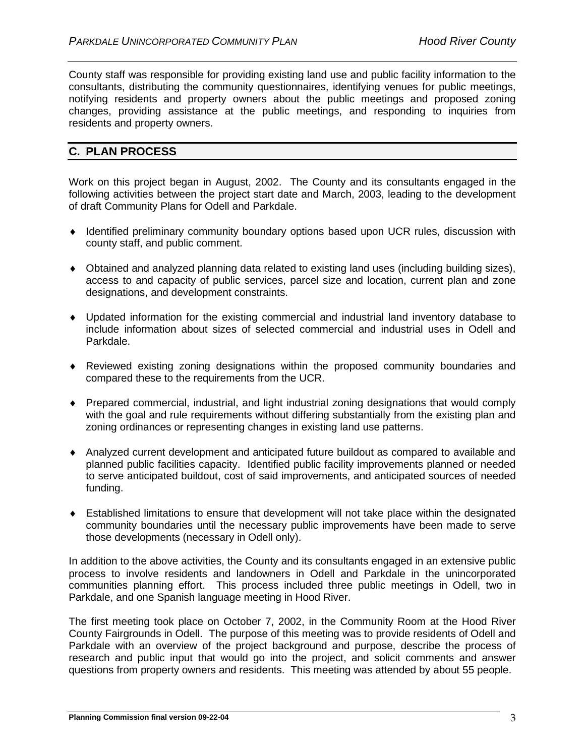County staff was responsible for providing existing land use and public facility information to the consultants, distributing the community questionnaires, identifying venues for public meetings, notifying residents and property owners about the public meetings and proposed zoning changes, providing assistance at the public meetings, and responding to inquiries from residents and property owners.

# <span id="page-3-0"></span>**C. PLAN PROCESS**

Work on this project began in August, 2002. The County and its consultants engaged in the following activities between the project start date and March, 2003, leading to the development of draft Community Plans for Odell and Parkdale.

- ♦ Identified preliminary community boundary options based upon UCR rules, discussion with county staff, and public comment.
- ♦ Obtained and analyzed planning data related to existing land uses (including building sizes), access to and capacity of public services, parcel size and location, current plan and zone designations, and development constraints.
- ♦ Updated information for the existing commercial and industrial land inventory database to include information about sizes of selected commercial and industrial uses in Odell and Parkdale.
- ♦ Reviewed existing zoning designations within the proposed community boundaries and compared these to the requirements from the UCR.
- ♦ Prepared commercial, industrial, and light industrial zoning designations that would comply with the goal and rule requirements without differing substantially from the existing plan and zoning ordinances or representing changes in existing land use patterns.
- ♦ Analyzed current development and anticipated future buildout as compared to available and planned public facilities capacity. Identified public facility improvements planned or needed to serve anticipated buildout, cost of said improvements, and anticipated sources of needed funding.
- ♦ Established limitations to ensure that development will not take place within the designated community boundaries until the necessary public improvements have been made to serve those developments (necessary in Odell only).

In addition to the above activities, the County and its consultants engaged in an extensive public process to involve residents and landowners in Odell and Parkdale in the unincorporated communities planning effort. This process included three public meetings in Odell, two in Parkdale, and one Spanish language meeting in Hood River.

The first meeting took place on October 7, 2002, in the Community Room at the Hood River County Fairgrounds in Odell. The purpose of this meeting was to provide residents of Odell and Parkdale with an overview of the project background and purpose, describe the process of research and public input that would go into the project, and solicit comments and answer questions from property owners and residents. This meeting was attended by about 55 people.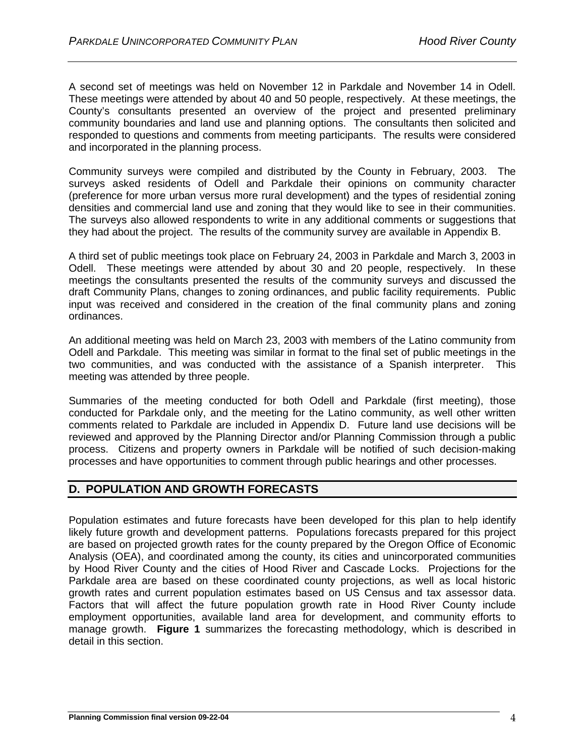A second set of meetings was held on November 12 in Parkdale and November 14 in Odell. These meetings were attended by about 40 and 50 people, respectively. At these meetings, the County's consultants presented an overview of the project and presented preliminary community boundaries and land use and planning options. The consultants then solicited and responded to questions and comments from meeting participants. The results were considered and incorporated in the planning process.

Community surveys were compiled and distributed by the County in February, 2003. The surveys asked residents of Odell and Parkdale their opinions on community character (preference for more urban versus more rural development) and the types of residential zoning densities and commercial land use and zoning that they would like to see in their communities. The surveys also allowed respondents to write in any additional comments or suggestions that they had about the project. The results of the community survey are available in Appendix B.

A third set of public meetings took place on February 24, 2003 in Parkdale and March 3, 2003 in Odell. These meetings were attended by about 30 and 20 people, respectively. In these meetings the consultants presented the results of the community surveys and discussed the draft Community Plans, changes to zoning ordinances, and public facility requirements. Public input was received and considered in the creation of the final community plans and zoning ordinances.

An additional meeting was held on March 23, 2003 with members of the Latino community from Odell and Parkdale. This meeting was similar in format to the final set of public meetings in the two communities, and was conducted with the assistance of a Spanish interpreter. This meeting was attended by three people.

Summaries of the meeting conducted for both Odell and Parkdale (first meeting), those conducted for Parkdale only, and the meeting for the Latino community, as well other written comments related to Parkdale are included in Appendix D. Future land use decisions will be reviewed and approved by the Planning Director and/or Planning Commission through a public process. Citizens and property owners in Parkdale will be notified of such decision-making processes and have opportunities to comment through public hearings and other processes.

# <span id="page-4-0"></span>**D. POPULATION AND GROWTH FORECASTS**

Population estimates and future forecasts have been developed for this plan to help identify likely future growth and development patterns. Populations forecasts prepared for this project are based on projected growth rates for the county prepared by the Oregon Office of Economic Analysis (OEA), and coordinated among the county, its cities and unincorporated communities by Hood River County and the cities of Hood River and Cascade Locks. Projections for the Parkdale area are based on these coordinated county projections, as well as local historic growth rates and current population estimates based on US Census and tax assessor data. Factors that will affect the future population growth rate in Hood River County include employment opportunities, available land area for development, and community efforts to manage growth. **Figure 1** summarizes the forecasting methodology, which is described in detail in this section.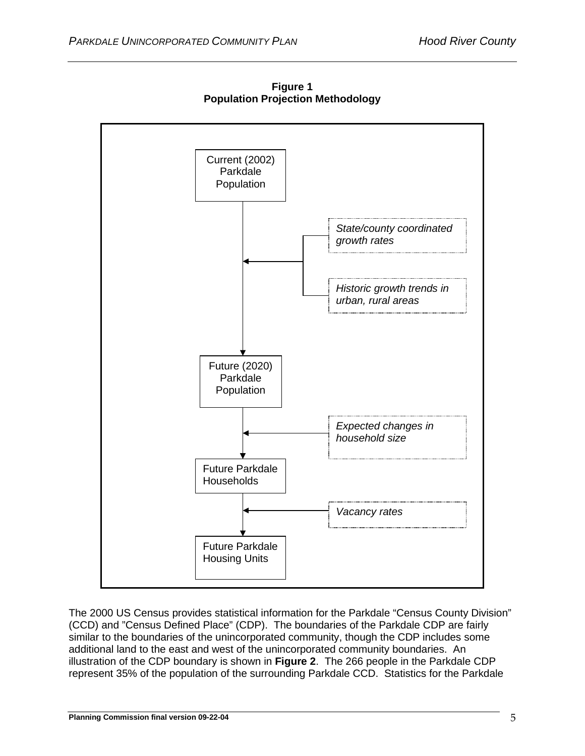

**Figure 1 Population Projection Methodology**

The 2000 US Census provides statistical information for the Parkdale "Census County Division" (CCD) and "Census Defined Place" (CDP). The boundaries of the Parkdale CDP are fairly similar to the boundaries of the unincorporated community, though the CDP includes some additional land to the east and west of the unincorporated community boundaries. An illustration of the CDP boundary is shown in **Figure 2**. The 266 people in the Parkdale CDP represent 35% of the population of the surrounding Parkdale CCD. Statistics for the Parkdale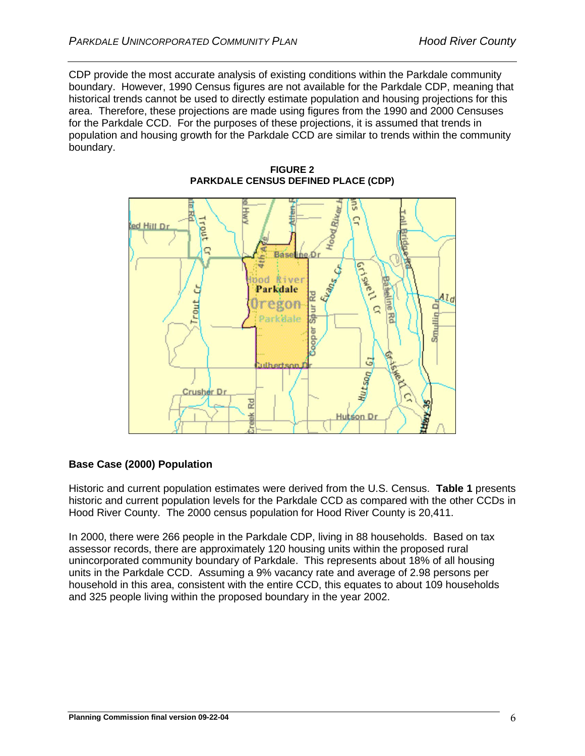CDP provide the most accurate analysis of existing conditions within the Parkdale community boundary. However, 1990 Census figures are not available for the Parkdale CDP, meaning that historical trends cannot be used to directly estimate population and housing projections for this area. Therefore, these projections are made using figures from the 1990 and 2000 Censuses for the Parkdale CCD. For the purposes of these projections, it is assumed that trends in population and housing growth for the Parkdale CCD are similar to trends within the community boundary.



**FIGURE 2 PARKDALE CENSUS DEFINED PLACE (CDP)**

# **Base Case (2000) Population**

Historic and current population estimates were derived from the U.S. Census. **Table 1** presents historic and current population levels for the Parkdale CCD as compared with the other CCDs in Hood River County.The 2000 census population for Hood River County is 20,411.

In 2000, there were 266 people in the Parkdale CDP, living in 88 households. Based on tax assessor records, there are approximately 120 housing units within the proposed rural unincorporated community boundary of Parkdale. This represents about 18% of all housing units in the Parkdale CCD. Assuming a 9% vacancy rate and average of 2.98 persons per household in this area, consistent with the entire CCD, this equates to about 109 households and 325 people living within the proposed boundary in the year 2002.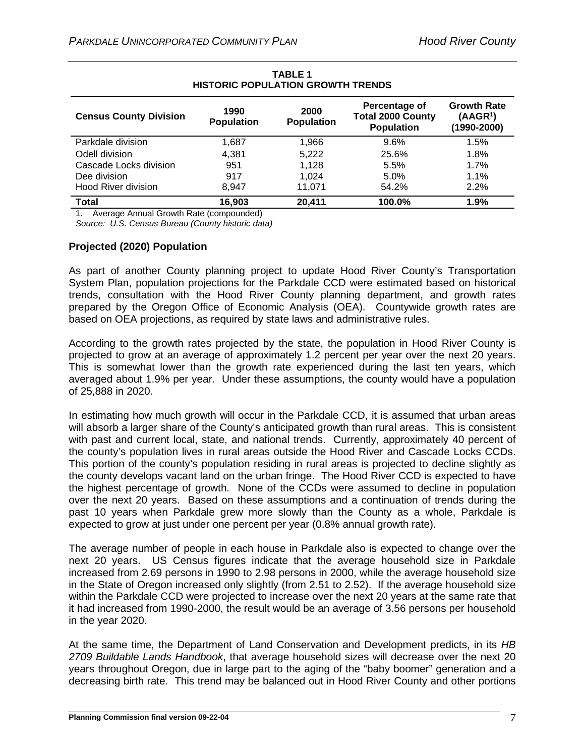| <b>Census County Division</b> | 1990<br><b>Population</b> | 2000<br><b>Population</b> | Percentage of<br><b>Total 2000 County</b><br><b>Population</b> | <b>Growth Rate</b><br>(AAGR <sup>1</sup> )<br>(1990-2000) |
|-------------------------------|---------------------------|---------------------------|----------------------------------------------------------------|-----------------------------------------------------------|
| Parkdale division             | 1.687                     | 1.966                     | 9.6%                                                           | 1.5%                                                      |
| Odell division                | 4.381                     | 5,222                     | 25.6%                                                          | 1.8%                                                      |
| Cascade Locks division        | 951                       | 1,128                     | 5.5%                                                           | 1.7%                                                      |
| Dee division                  | 917                       | 1.024                     | 5.0%                                                           | 1.1%                                                      |
| <b>Hood River division</b>    | 8.947                     | 11.071                    | 54.2%                                                          | 2.2%                                                      |
| <b>Total</b>                  | 16,903                    | 20,411                    | 100.0%                                                         | 1.9%                                                      |

#### **TABLE 1 HISTORIC POPULATION GROWTH TRENDS**

1. Average Annual Growth Rate (compounded)

*Source: U.S. Census Bureau (County historic data)*

#### **Projected (2020) Population**

As part of another County planning project to update Hood River County's Transportation System Plan, population projections for the Parkdale CCD were estimated based on historical trends, consultation with the Hood River County planning department, and growth rates prepared by the Oregon Office of Economic Analysis (OEA). Countywide growth rates are based on OEA projections, as required by state laws and administrative rules.

According to the growth rates projected by the state, the population in Hood River County is projected to grow at an average of approximately 1.2 percent per year over the next 20 years. This is somewhat lower than the growth rate experienced during the last ten years, which averaged about 1.9% per year. Under these assumptions, the county would have a population of 25,888 in 2020.

In estimating how much growth will occur in the Parkdale CCD, it is assumed that urban areas will absorb a larger share of the County's anticipated growth than rural areas. This is consistent with past and current local, state, and national trends. Currently, approximately 40 percent of the county's population lives in rural areas outside the Hood River and Cascade Locks CCDs. This portion of the county's population residing in rural areas is projected to decline slightly as the county develops vacant land on the urban fringe. The Hood River CCD is expected to have the highest percentage of growth. None of the CCDs were assumed to decline in population over the next 20 years. Based on these assumptions and a continuation of trends during the past 10 years when Parkdale grew more slowly than the County as a whole, Parkdale is expected to grow at just under one percent per year (0.8% annual growth rate).

The average number of people in each house in Parkdale also is expected to change over the next 20 years. US Census figures indicate that the average household size in Parkdale increased from 2.69 persons in 1990 to 2.98 persons in 2000, while the average household size in the State of Oregon increased only slightly (from 2.51 to 2.52). If the average household size within the Parkdale CCD were projected to increase over the next 20 years at the same rate that it had increased from 1990-2000, the result would be an average of 3.56 persons per household in the year 2020.

At the same time, the Department of Land Conservation and Development predicts, in its *HB 2709 Buildable Lands Handbook*, that average household sizes will decrease over the next 20 years throughout Oregon, due in large part to the aging of the "baby boomer" generation and a decreasing birth rate. This trend may be balanced out in Hood River County and other portions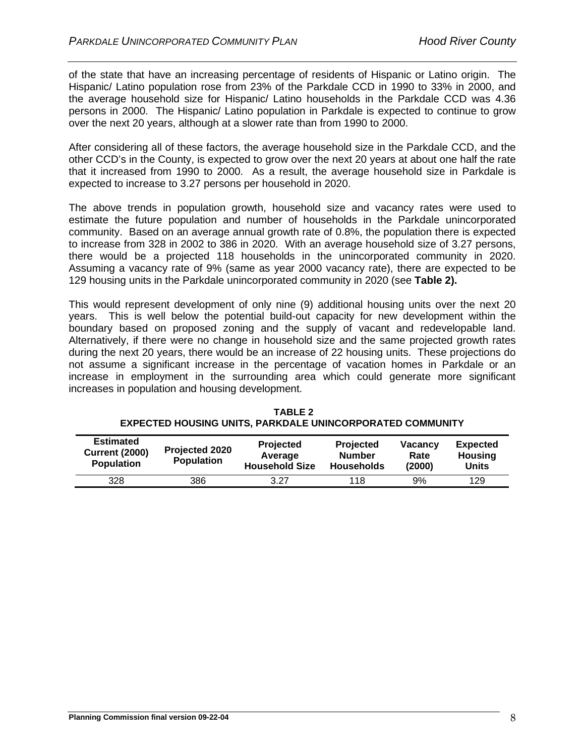of the state that have an increasing percentage of residents of Hispanic or Latino origin. The Hispanic/ Latino population rose from 23% of the Parkdale CCD in 1990 to 33% in 2000, and the average household size for Hispanic/ Latino households in the Parkdale CCD was 4.36 persons in 2000. The Hispanic/ Latino population in Parkdale is expected to continue to grow over the next 20 years, although at a slower rate than from 1990 to 2000.

After considering all of these factors, the average household size in the Parkdale CCD, and the other CCD's in the County, is expected to grow over the next 20 years at about one half the rate that it increased from 1990 to 2000. As a result, the average household size in Parkdale is expected to increase to 3.27 persons per household in 2020.

The above trends in population growth, household size and vacancy rates were used to estimate the future population and number of households in the Parkdale unincorporated community. Based on an average annual growth rate of 0.8%, the population there is expected to increase from 328 in 2002 to 386 in 2020. With an average household size of 3.27 persons, there would be a projected 118 households in the unincorporated community in 2020. Assuming a vacancy rate of 9% (same as year 2000 vacancy rate), there are expected to be 129 housing units in the Parkdale unincorporated community in 2020 (see **Table 2).** 

This would represent development of only nine (9) additional housing units over the next 20 years. This is well below the potential build-out capacity for new development within the boundary based on proposed zoning and the supply of vacant and redevelopable land. Alternatively, if there were no change in household size and the same projected growth rates during the next 20 years, there would be an increase of 22 housing units. These projections do not assume a significant increase in the percentage of vacation homes in Parkdale or an increase in employment in the surrounding area which could generate more significant increases in population and housing development.

| <b>Estimated</b><br><b>Current (2000)</b><br><b>Population</b> | Projected 2020<br><b>Population</b> | <b>Projected</b><br>Average<br><b>Household Size</b> | <b>Projected</b><br><b>Number</b><br><b>Households</b> | <b>Vacancy</b><br>Rate<br>(2000) | <b>Expected</b><br>Housing<br><b>Units</b> |
|----------------------------------------------------------------|-------------------------------------|------------------------------------------------------|--------------------------------------------------------|----------------------------------|--------------------------------------------|
| 328                                                            | 386                                 | 3.27                                                 | 118                                                    | 9%                               | 129                                        |

**TABLE 2 EXPECTED HOUSING UNITS, PARKDALE UNINCORPORATED COMMUNITY**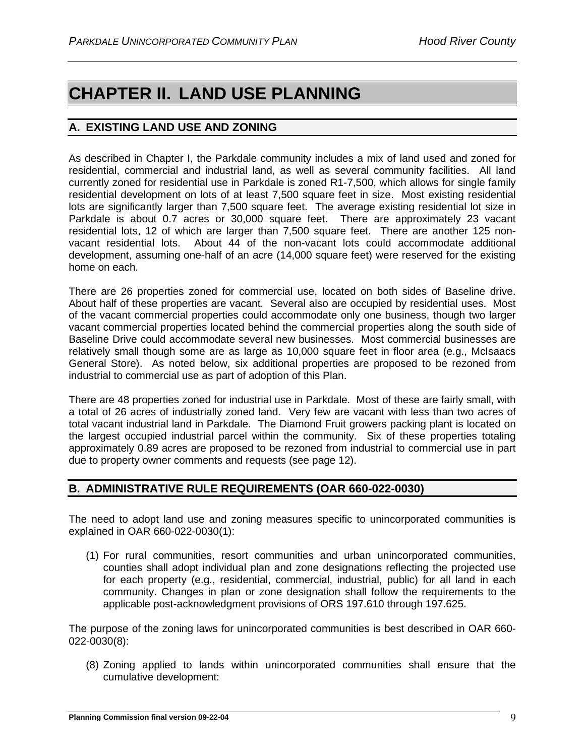# <span id="page-9-0"></span>**CHAPTER II. LAND USE PLANNING**

# <span id="page-9-1"></span>**A. EXISTING LAND USE AND ZONING**

As described in Chapter I, the Parkdale community includes a mix of land used and zoned for residential, commercial and industrial land, as well as several community facilities. All land currently zoned for residential use in Parkdale is zoned R1-7,500, which allows for single family residential development on lots of at least 7,500 square feet in size. Most existing residential lots are significantly larger than 7,500 square feet. The average existing residential lot size in Parkdale is about 0.7 acres or 30,000 square feet. There are approximately 23 vacant residential lots, 12 of which are larger than 7,500 square feet. There are another 125 nonvacant residential lots. About 44 of the non-vacant lots could accommodate additional development, assuming one-half of an acre (14,000 square feet) were reserved for the existing home on each.

There are 26 properties zoned for commercial use, located on both sides of Baseline drive. About half of these properties are vacant. Several also are occupied by residential uses. Most of the vacant commercial properties could accommodate only one business, though two larger vacant commercial properties located behind the commercial properties along the south side of Baseline Drive could accommodate several new businesses. Most commercial businesses are relatively small though some are as large as 10,000 square feet in floor area (e.g., McIsaacs General Store). As noted below, six additional properties are proposed to be rezoned from industrial to commercial use as part of adoption of this Plan.

There are 48 properties zoned for industrial use in Parkdale. Most of these are fairly small, with a total of 26 acres of industrially zoned land. Very few are vacant with less than two acres of total vacant industrial land in Parkdale. The Diamond Fruit growers packing plant is located on the largest occupied industrial parcel within the community. Six of these properties totaling approximately 0.89 acres are proposed to be rezoned from industrial to commercial use in part due to property owner comments and requests (see page 12).

# <span id="page-9-2"></span>**B. ADMINISTRATIVE RULE REQUIREMENTS (OAR 660-022-0030)**

The need to adopt land use and zoning measures specific to unincorporated communities is explained in OAR 660-022-0030(1):

(1) For rural communities, resort communities and urban unincorporated communities, counties shall adopt individual plan and zone designations reflecting the projected use for each property (e.g., residential, commercial, industrial, public) for all land in each community. Changes in plan or zone designation shall follow the requirements to the applicable post-acknowledgment provisions of ORS 197.610 through 197.625.

The purpose of the zoning laws for unincorporated communities is best described in OAR 660- 022-0030(8):

(8) Zoning applied to lands within unincorporated communities shall ensure that the cumulative development: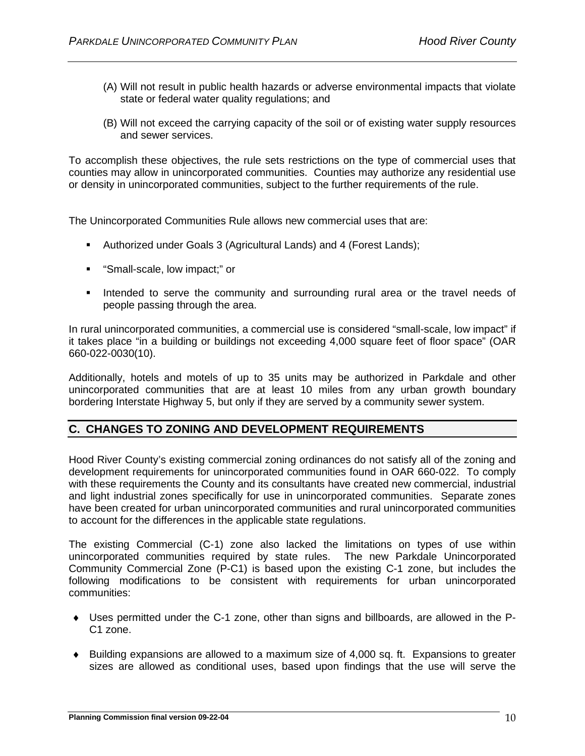- (A) Will not result in public health hazards or adverse environmental impacts that violate state or federal water quality regulations; and
- (B) Will not exceed the carrying capacity of the soil or of existing water supply resources and sewer services.

To accomplish these objectives, the rule sets restrictions on the type of commercial uses that counties may allow in unincorporated communities. Counties may authorize any residential use or density in unincorporated communities, subject to the further requirements of the rule.

The Unincorporated Communities Rule allows new commercial uses that are:

- Authorized under Goals 3 (Agricultural Lands) and 4 (Forest Lands);
- "Small-scale, low impact;" or
- **Intended to serve the community and surrounding rural area or the travel needs of** people passing through the area.

In rural unincorporated communities, a commercial use is considered "small-scale, low impact" if it takes place "in a building or buildings not exceeding 4,000 square feet of floor space" (OAR 660-022-0030(10).

Additionally, hotels and motels of up to 35 units may be authorized in Parkdale and other unincorporated communities that are at least 10 miles from any urban growth boundary bordering Interstate Highway 5, but only if they are served by a community sewer system.

#### <span id="page-10-0"></span>**C. CHANGES TO ZONING AND DEVELOPMENT REQUIREMENTS**

Hood River County's existing commercial zoning ordinances do not satisfy all of the zoning and development requirements for unincorporated communities found in OAR 660-022. To comply with these requirements the County and its consultants have created new commercial, industrial and light industrial zones specifically for use in unincorporated communities. Separate zones have been created for urban unincorporated communities and rural unincorporated communities to account for the differences in the applicable state regulations.

The existing Commercial (C-1) zone also lacked the limitations on types of use within unincorporated communities required by state rules. The new Parkdale Unincorporated Community Commercial Zone (P-C1) is based upon the existing C-1 zone, but includes the following modifications to be consistent with requirements for urban unincorporated communities:

- ♦ Uses permitted under the C-1 zone, other than signs and billboards, are allowed in the P-C1 zone.
- ♦ Building expansions are allowed to a maximum size of 4,000 sq. ft. Expansions to greater sizes are allowed as conditional uses, based upon findings that the use will serve the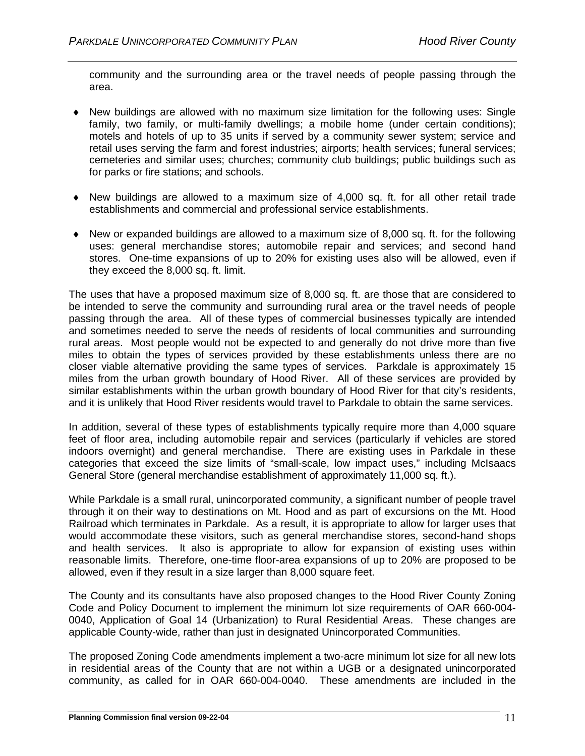community and the surrounding area or the travel needs of people passing through the area.

- ♦ New buildings are allowed with no maximum size limitation for the following uses: Single family, two family, or multi-family dwellings; a mobile home (under certain conditions); motels and hotels of up to 35 units if served by a community sewer system; service and retail uses serving the farm and forest industries; airports; health services; funeral services; cemeteries and similar uses; churches; community club buildings; public buildings such as for parks or fire stations; and schools.
- ♦ New buildings are allowed to a maximum size of 4,000 sq. ft. for all other retail trade establishments and commercial and professional service establishments.
- $\bullet$  New or expanded buildings are allowed to a maximum size of 8,000 sq. ft. for the following uses: general merchandise stores; automobile repair and services; and second hand stores. One-time expansions of up to 20% for existing uses also will be allowed, even if they exceed the 8,000 sq. ft. limit.

The uses that have a proposed maximum size of 8,000 sq. ft. are those that are considered to be intended to serve the community and surrounding rural area or the travel needs of people passing through the area. All of these types of commercial businesses typically are intended and sometimes needed to serve the needs of residents of local communities and surrounding rural areas. Most people would not be expected to and generally do not drive more than five miles to obtain the types of services provided by these establishments unless there are no closer viable alternative providing the same types of services. Parkdale is approximately 15 miles from the urban growth boundary of Hood River. All of these services are provided by similar establishments within the urban growth boundary of Hood River for that city's residents, and it is unlikely that Hood River residents would travel to Parkdale to obtain the same services.

In addition, several of these types of establishments typically require more than 4,000 square feet of floor area, including automobile repair and services (particularly if vehicles are stored indoors overnight) and general merchandise. There are existing uses in Parkdale in these categories that exceed the size limits of "small-scale, low impact uses," including McIsaacs General Store (general merchandise establishment of approximately 11,000 sq. ft.).

While Parkdale is a small rural, unincorporated community, a significant number of people travel through it on their way to destinations on Mt. Hood and as part of excursions on the Mt. Hood Railroad which terminates in Parkdale. As a result, it is appropriate to allow for larger uses that would accommodate these visitors, such as general merchandise stores, second-hand shops and health services. It also is appropriate to allow for expansion of existing uses within reasonable limits. Therefore, one-time floor-area expansions of up to 20% are proposed to be allowed, even if they result in a size larger than 8,000 square feet.

The County and its consultants have also proposed changes to the Hood River County Zoning Code and Policy Document to implement the minimum lot size requirements of OAR 660-004- 0040, Application of Goal 14 (Urbanization) to Rural Residential Areas. These changes are applicable County-wide, rather than just in designated Unincorporated Communities.

The proposed Zoning Code amendments implement a two-acre minimum lot size for all new lots in residential areas of the County that are not within a UGB or a designated unincorporated community, as called for in OAR 660-004-0040. These amendments are included in the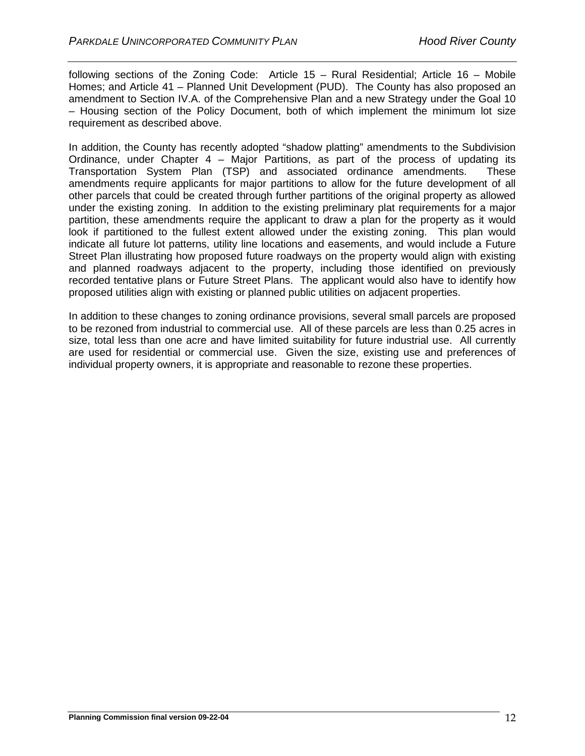following sections of the Zoning Code: Article 15 – Rural Residential; Article 16 – Mobile Homes; and Article 41 – Planned Unit Development (PUD). The County has also proposed an amendment to Section IV.A. of the Comprehensive Plan and a new Strategy under the Goal 10 – Housing section of the Policy Document, both of which implement the minimum lot size requirement as described above.

In addition, the County has recently adopted "shadow platting" amendments to the Subdivision Ordinance, under Chapter  $4 -$  Major Partitions, as part of the process of updating its Transportation System Plan (TSP) and associated ordinance amendments. These amendments require applicants for major partitions to allow for the future development of all other parcels that could be created through further partitions of the original property as allowed under the existing zoning. In addition to the existing preliminary plat requirements for a major partition, these amendments require the applicant to draw a plan for the property as it would look if partitioned to the fullest extent allowed under the existing zoning. This plan would indicate all future lot patterns, utility line locations and easements, and would include a Future Street Plan illustrating how proposed future roadways on the property would align with existing and planned roadways adjacent to the property, including those identified on previously recorded tentative plans or Future Street Plans. The applicant would also have to identify how proposed utilities align with existing or planned public utilities on adjacent properties.

In addition to these changes to zoning ordinance provisions, several small parcels are proposed to be rezoned from industrial to commercial use. All of these parcels are less than 0.25 acres in size, total less than one acre and have limited suitability for future industrial use. All currently are used for residential or commercial use. Given the size, existing use and preferences of individual property owners, it is appropriate and reasonable to rezone these properties.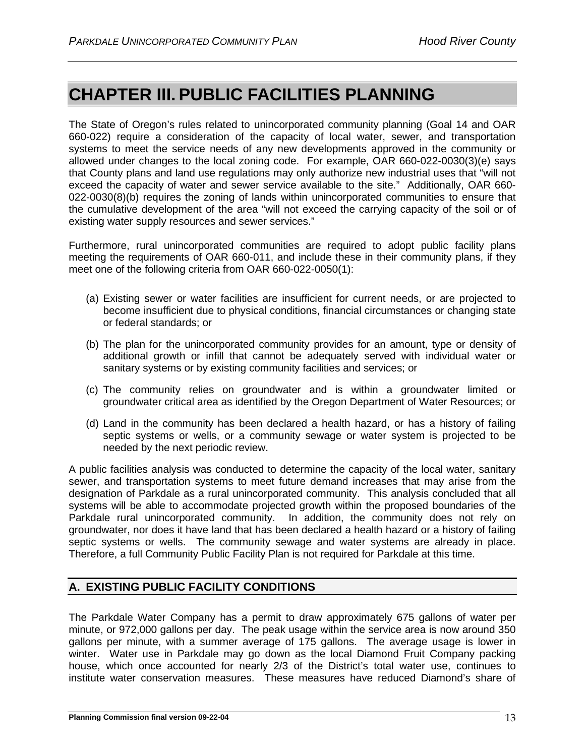# <span id="page-13-0"></span>**CHAPTER III. PUBLIC FACILITIES PLANNING**

The State of Oregon's rules related to unincorporated community planning (Goal 14 and OAR 660-022) require a consideration of the capacity of local water, sewer, and transportation systems to meet the service needs of any new developments approved in the community or allowed under changes to the local zoning code. For example, OAR 660-022-0030(3)(e) says that County plans and land use regulations may only authorize new industrial uses that "will not exceed the capacity of water and sewer service available to the site." Additionally, OAR 660- 022-0030(8)(b) requires the zoning of lands within unincorporated communities to ensure that the cumulative development of the area "will not exceed the carrying capacity of the soil or of existing water supply resources and sewer services."

Furthermore, rural unincorporated communities are required to adopt public facility plans meeting the requirements of OAR 660-011, and include these in their community plans, if they meet one of the following criteria from OAR 660-022-0050(1):

- (a) Existing sewer or water facilities are insufficient for current needs, or are projected to become insufficient due to physical conditions, financial circumstances or changing state or federal standards; or
- (b) The plan for the unincorporated community provides for an amount, type or density of additional growth or infill that cannot be adequately served with individual water or sanitary systems or by existing community facilities and services; or
- (c) The community relies on groundwater and is within a groundwater limited or groundwater critical area as identified by the Oregon Department of Water Resources; or
- (d) Land in the community has been declared a health hazard, or has a history of failing septic systems or wells, or a community sewage or water system is projected to be needed by the next periodic review.

A public facilities analysis was conducted to determine the capacity of the local water, sanitary sewer, and transportation systems to meet future demand increases that may arise from the designation of Parkdale as a rural unincorporated community. This analysis concluded that all systems will be able to accommodate projected growth within the proposed boundaries of the Parkdale rural unincorporated community. In addition, the community does not rely on groundwater, nor does it have land that has been declared a health hazard or a history of failing septic systems or wells. The community sewage and water systems are already in place. Therefore, a full Community Public Facility Plan is not required for Parkdale at this time.

# <span id="page-13-1"></span>**A. EXISTING PUBLIC FACILITY CONDITIONS**

The Parkdale Water Company has a permit to draw approximately 675 gallons of water per minute, or 972,000 gallons per day. The peak usage within the service area is now around 350 gallons per minute, with a summer average of 175 gallons. The average usage is lower in winter. Water use in Parkdale may go down as the local Diamond Fruit Company packing house, which once accounted for nearly 2/3 of the District's total water use, continues to institute water conservation measures. These measures have reduced Diamond's share of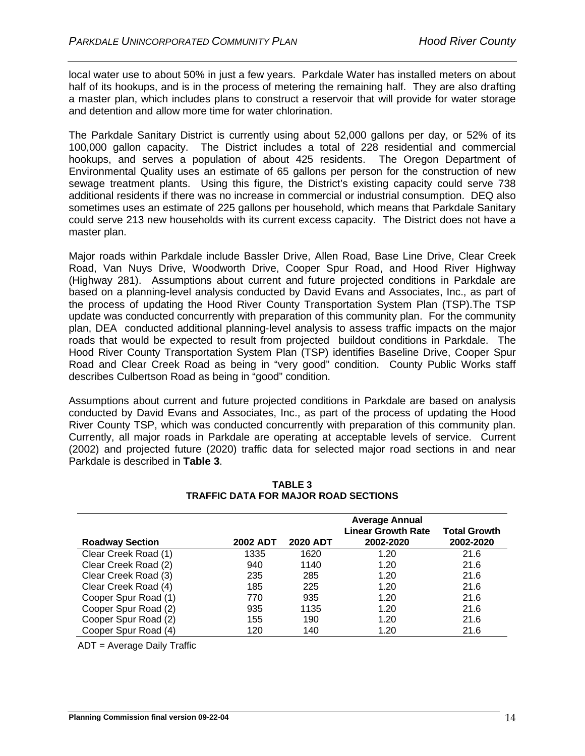local water use to about 50% in just a few years. Parkdale Water has installed meters on about half of its hookups, and is in the process of metering the remaining half. They are also drafting a master plan, which includes plans to construct a reservoir that will provide for water storage and detention and allow more time for water chlorination.

The Parkdale Sanitary District is currently using about 52,000 gallons per day, or 52% of its 100,000 gallon capacity. The District includes a total of 228 residential and commercial hookups, and serves a population of about 425 residents. The Oregon Department of Environmental Quality uses an estimate of 65 gallons per person for the construction of new sewage treatment plants. Using this figure, the District's existing capacity could serve 738 additional residents if there was no increase in commercial or industrial consumption. DEQ also sometimes uses an estimate of 225 gallons per household, which means that Parkdale Sanitary could serve 213 new households with its current excess capacity. The District does not have a master plan.

Major roads within Parkdale include Bassler Drive, Allen Road, Base Line Drive, Clear Creek Road, Van Nuys Drive, Woodworth Drive, Cooper Spur Road, and Hood River Highway (Highway 281). Assumptions about current and future projected conditions in Parkdale are based on a planning-level analysis conducted by David Evans and Associates, Inc., as part of the process of updating the Hood River County Transportation System Plan (TSP).The TSP update was conducted concurrently with preparation of this community plan. For the community plan, DEA conducted additional planning-level analysis to assess traffic impacts on the major roads that would be expected to result from projected buildout conditions in Parkdale. The Hood River County Transportation System Plan (TSP) identifies Baseline Drive, Cooper Spur Road and Clear Creek Road as being in "very good" condition. County Public Works staff describes Culbertson Road as being in "good" condition.

Assumptions about current and future projected conditions in Parkdale are based on analysis conducted by David Evans and Associates, Inc., as part of the process of updating the Hood River County TSP, which was conducted concurrently with preparation of this community plan. Currently, all major roads in Parkdale are operating at acceptable levels of service. Current (2002) and projected future (2020) traffic data for selected major road sections in and near Parkdale is described in **Table 3**.

|                        |          |                 | <b>Average Annual</b><br><b>Linear Growth Rate</b> | <b>Total Growth</b> |
|------------------------|----------|-----------------|----------------------------------------------------|---------------------|
| <b>Roadway Section</b> | 2002 ADT | <b>2020 ADT</b> | 2002-2020                                          | 2002-2020           |
| Clear Creek Road (1)   | 1335     | 1620            | 1.20                                               | 21.6                |
| Clear Creek Road (2)   | 940      | 1140            | 1.20                                               | 21.6                |
| Clear Creek Road (3)   | 235      | 285             | 1.20                                               | 21.6                |
| Clear Creek Road (4)   | 185      | 225             | 1.20                                               | 21.6                |
| Cooper Spur Road (1)   | 770      | 935             | 1.20                                               | 21.6                |
| Cooper Spur Road (2)   | 935      | 1135            | 1.20                                               | 21.6                |
| Cooper Spur Road (2)   | 155      | 190             | 1.20                                               | 21.6                |
| Cooper Spur Road (4)   | 120      | 140             | 1.20                                               | 21.6                |

**TABLE 3 TRAFFIC DATA FOR MAJOR ROAD SECTIONS**

ADT = Average Daily Traffic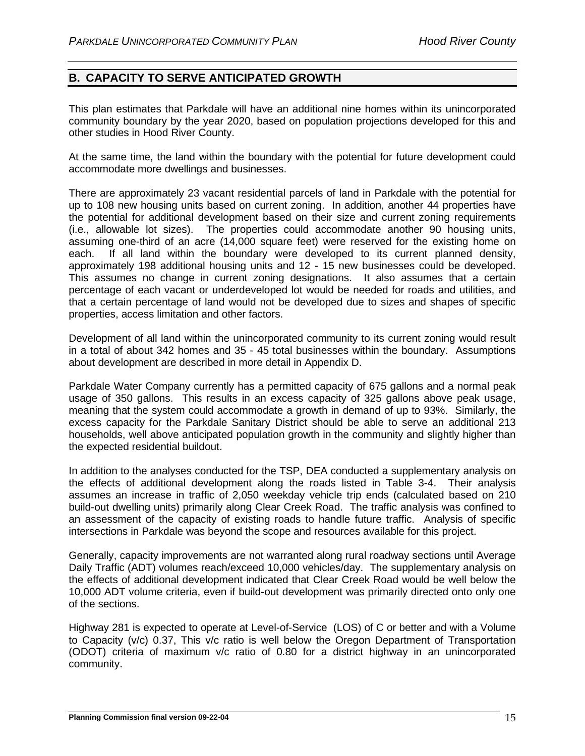# <span id="page-15-0"></span>**B. CAPACITY TO SERVE ANTICIPATED GROWTH**

This plan estimates that Parkdale will have an additional nine homes within its unincorporated community boundary by the year 2020, based on population projections developed for this and other studies in Hood River County.

At the same time, the land within the boundary with the potential for future development could accommodate more dwellings and businesses.

There are approximately 23 vacant residential parcels of land in Parkdale with the potential for up to 108 new housing units based on current zoning. In addition, another 44 properties have the potential for additional development based on their size and current zoning requirements (i.e., allowable lot sizes). The properties could accommodate another 90 housing units, assuming one-third of an acre (14,000 square feet) were reserved for the existing home on each. If all land within the boundary were developed to its current planned density, approximately 198 additional housing units and 12 - 15 new businesses could be developed. This assumes no change in current zoning designations. It also assumes that a certain percentage of each vacant or underdeveloped lot would be needed for roads and utilities, and that a certain percentage of land would not be developed due to sizes and shapes of specific properties, access limitation and other factors.

Development of all land within the unincorporated community to its current zoning would result in a total of about 342 homes and 35 - 45 total businesses within the boundary. Assumptions about development are described in more detail in Appendix D.

Parkdale Water Company currently has a permitted capacity of 675 gallons and a normal peak usage of 350 gallons. This results in an excess capacity of 325 gallons above peak usage, meaning that the system could accommodate a growth in demand of up to 93%. Similarly, the excess capacity for the Parkdale Sanitary District should be able to serve an additional 213 households, well above anticipated population growth in the community and slightly higher than the expected residential buildout.

In addition to the analyses conducted for the TSP, DEA conducted a supplementary analysis on the effects of additional development along the roads listed in Table 3-4. Their analysis assumes an increase in traffic of 2,050 weekday vehicle trip ends (calculated based on 210 build-out dwelling units) primarily along Clear Creek Road. The traffic analysis was confined to an assessment of the capacity of existing roads to handle future traffic. Analysis of specific intersections in Parkdale was beyond the scope and resources available for this project.

Generally, capacity improvements are not warranted along rural roadway sections until Average Daily Traffic (ADT) volumes reach/exceed 10,000 vehicles/day. The supplementary analysis on the effects of additional development indicated that Clear Creek Road would be well below the 10,000 ADT volume criteria, even if build-out development was primarily directed onto only one of the sections.

Highway 281 is expected to operate at Level-of-Service (LOS) of C or better and with a Volume to Capacity (v/c) 0.37, This v/c ratio is well below the Oregon Department of Transportation (ODOT) criteria of maximum v/c ratio of 0.80 for a district highway in an unincorporated community.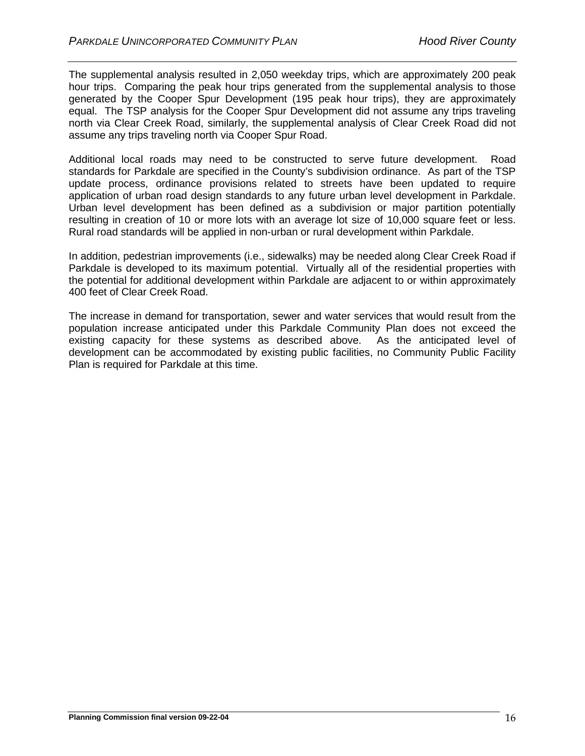The supplemental analysis resulted in 2,050 weekday trips, which are approximately 200 peak hour trips. Comparing the peak hour trips generated from the supplemental analysis to those generated by the Cooper Spur Development (195 peak hour trips), they are approximately equal. The TSP analysis for the Cooper Spur Development did not assume any trips traveling north via Clear Creek Road, similarly, the supplemental analysis of Clear Creek Road did not assume any trips traveling north via Cooper Spur Road.

Additional local roads may need to be constructed to serve future development. Road standards for Parkdale are specified in the County's subdivision ordinance. As part of the TSP update process, ordinance provisions related to streets have been updated to require application of urban road design standards to any future urban level development in Parkdale. Urban level development has been defined as a subdivision or major partition potentially resulting in creation of 10 or more lots with an average lot size of 10,000 square feet or less. Rural road standards will be applied in non-urban or rural development within Parkdale.

In addition, pedestrian improvements (i.e., sidewalks) may be needed along Clear Creek Road if Parkdale is developed to its maximum potential. Virtually all of the residential properties with the potential for additional development within Parkdale are adjacent to or within approximately 400 feet of Clear Creek Road.

The increase in demand for transportation, sewer and water services that would result from the population increase anticipated under this Parkdale Community Plan does not exceed the existing capacity for these systems as described above. As the anticipated level of development can be accommodated by existing public facilities, no Community Public Facility Plan is required for Parkdale at this time.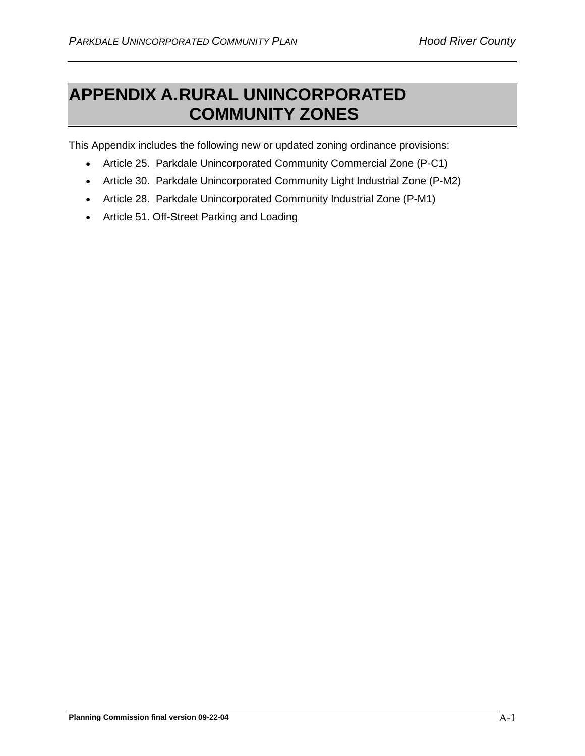# <span id="page-17-0"></span>**APPENDIX A.RURAL UNINCORPORATED COMMUNITY ZONES**

This Appendix includes the following new or updated zoning ordinance provisions:

- Article 25. Parkdale Unincorporated Community Commercial Zone (P-C1)
- Article 30. Parkdale Unincorporated Community Light Industrial Zone (P-M2)
- Article 28. Parkdale Unincorporated Community Industrial Zone (P-M1)
- Article 51. Off-Street Parking and Loading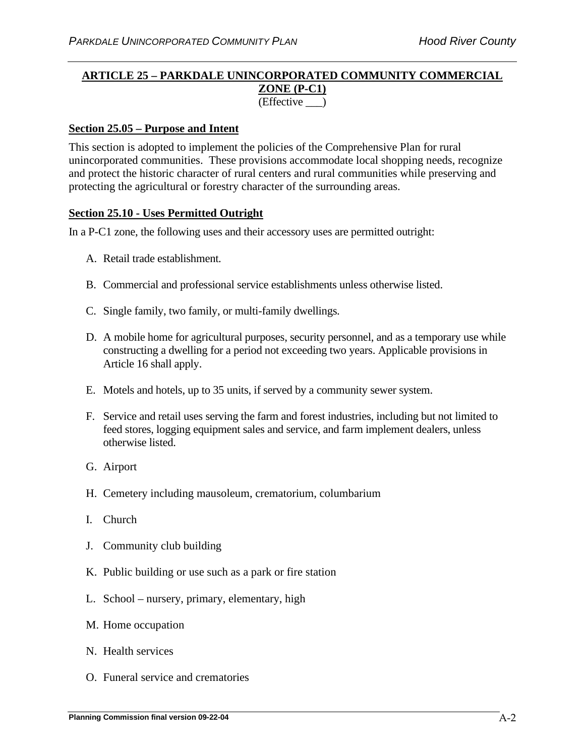### **ARTICLE 25 – PARKDALE UNINCORPORATED COMMUNITY COMMERCIAL ZONE (P-C1)** (Effective \_\_\_)

### **Section 25.05 – Purpose and Intent**

This section is adopted to implement the policies of the Comprehensive Plan for rural unincorporated communities. These provisions accommodate local shopping needs, recognize and protect the historic character of rural centers and rural communities while preserving and protecting the agricultural or forestry character of the surrounding areas.

#### **Section 25.10 - Uses Permitted Outright**

In a P-C1 zone, the following uses and their accessory uses are permitted outright:

- A. Retail trade establishment.
- B. Commercial and professional service establishments unless otherwise listed.
- C. Single family, two family, or multi-family dwellings.
- D. A mobile home for agricultural purposes, security personnel, and as a temporary use while constructing a dwelling for a period not exceeding two years. Applicable provisions in Article 16 shall apply.
- E. Motels and hotels, up to 35 units, if served by a community sewer system.
- F. Service and retail uses serving the farm and forest industries, including but not limited to feed stores, logging equipment sales and service, and farm implement dealers, unless otherwise listed.
- G. Airport
- H. Cemetery including mausoleum, crematorium, columbarium
- I. Church
- J. Community club building
- K. Public building or use such as a park or fire station
- L. School nursery, primary, elementary, high
- M. Home occupation
- N. Health services
- O. Funeral service and crematories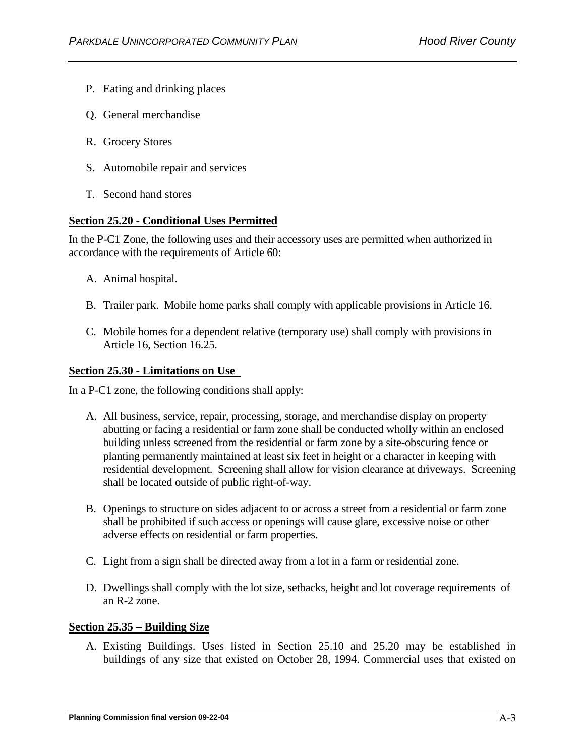- P. Eating and drinking places
- Q. General merchandise
- R. Grocery Stores
- S. Automobile repair and services
- T. Second hand stores

## **Section 25.20 - Conditional Uses Permitted**

In the P-C1 Zone, the following uses and their accessory uses are permitted when authorized in accordance with the requirements of Article 60:

- A. Animal hospital.
- B. Trailer park. Mobile home parks shall comply with applicable provisions in Article 16.
- C. Mobile homes for a dependent relative (temporary use) shall comply with provisions in Article 16, Section 16.25.

#### **Section 25.30 - Limitations on Use**

In a P-C1 zone, the following conditions shall apply:

- A. All business, service, repair, processing, storage, and merchandise display on property abutting or facing a residential or farm zone shall be conducted wholly within an enclosed building unless screened from the residential or farm zone by a site-obscuring fence or planting permanently maintained at least six feet in height or a character in keeping with residential development. Screening shall allow for vision clearance at driveways. Screening shall be located outside of public right-of-way.
- B. Openings to structure on sides adjacent to or across a street from a residential or farm zone shall be prohibited if such access or openings will cause glare, excessive noise or other adverse effects on residential or farm properties.
- C. Light from a sign shall be directed away from a lot in a farm or residential zone.
- D. Dwellings shall comply with the lot size, setbacks, height and lot coverage requirements of an R-2 zone.

#### **Section 25.35 – Building Size**

A. Existing Buildings. Uses listed in Section 25.10 and 25.20 may be established in buildings of any size that existed on October 28, 1994. Commercial uses that existed on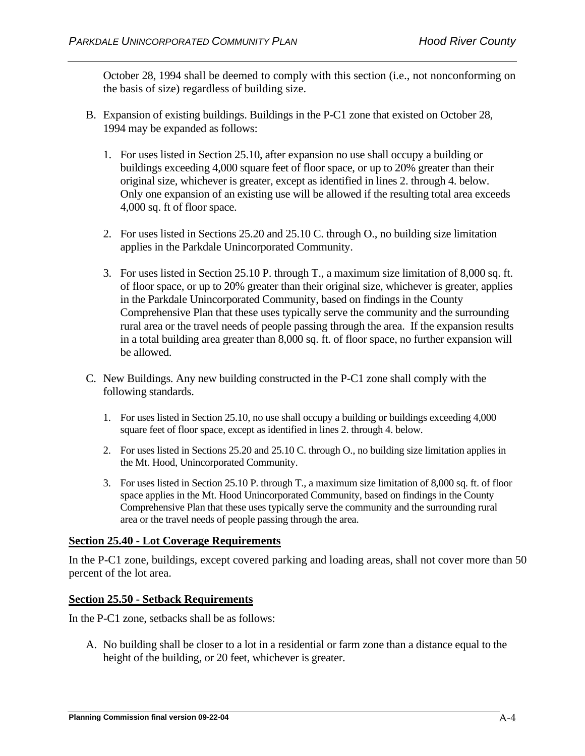October 28, 1994 shall be deemed to comply with this section (i.e., not nonconforming on the basis of size) regardless of building size.

- B. Expansion of existing buildings. Buildings in the P-C1 zone that existed on October 28, 1994 may be expanded as follows:
	- 1. For uses listed in Section 25.10, after expansion no use shall occupy a building or buildings exceeding 4,000 square feet of floor space, or up to 20% greater than their original size, whichever is greater, except as identified in lines 2. through 4. below. Only one expansion of an existing use will be allowed if the resulting total area exceeds 4,000 sq. ft of floor space.
	- 2. For uses listed in Sections 25.20 and 25.10 C. through O., no building size limitation applies in the Parkdale Unincorporated Community.
	- 3. For uses listed in Section 25.10 P. through T., a maximum size limitation of 8,000 sq. ft. of floor space, or up to 20% greater than their original size, whichever is greater, applies in the Parkdale Unincorporated Community, based on findings in the County Comprehensive Plan that these uses typically serve the community and the surrounding rural area or the travel needs of people passing through the area. If the expansion results in a total building area greater than 8,000 sq. ft. of floor space, no further expansion will be allowed.
- C. New Buildings. Any new building constructed in the P-C1 zone shall comply with the following standards.
	- 1. For uses listed in Section 25.10, no use shall occupy a building or buildings exceeding 4,000 square feet of floor space, except as identified in lines 2. through 4. below.
	- 2. For uses listed in Sections 25.20 and 25.10 C. through O., no building size limitation applies in the Mt. Hood, Unincorporated Community.
	- 3. For uses listed in Section 25.10 P. through T., a maximum size limitation of 8,000 sq. ft. of floor space applies in the Mt. Hood Unincorporated Community, based on findings in the County Comprehensive Plan that these uses typically serve the community and the surrounding rural area or the travel needs of people passing through the area.

# **Section 25.40 - Lot Coverage Requirements**

In the P-C1 zone, buildings, except covered parking and loading areas, shall not cover more than 50 percent of the lot area.

#### **Section 25.50 - Setback Requirements**

In the P-C1 zone, setbacks shall be as follows:

A. No building shall be closer to a lot in a residential or farm zone than a distance equal to the height of the building, or 20 feet, whichever is greater.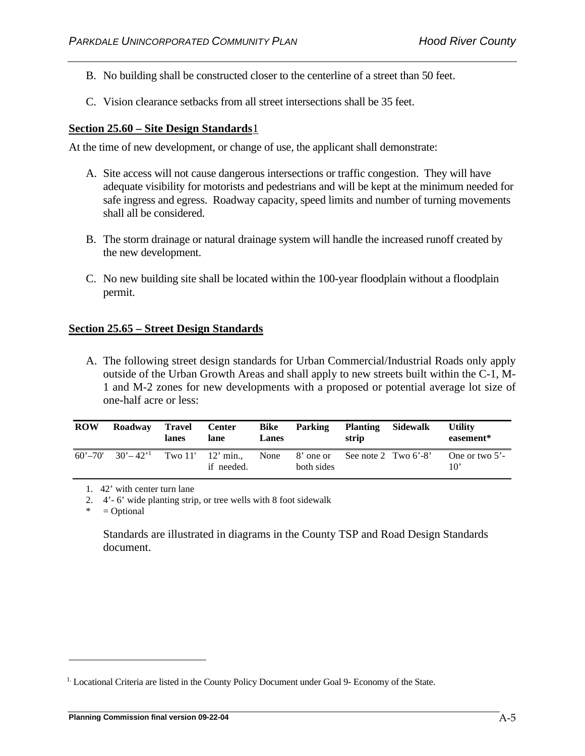- B. No building shall be constructed closer to the centerline of a street than 50 feet.
- C. Vision clearance setbacks from all street intersections shall be 35 feet.

## **Section 25.60 – Site Design Standards**[1](#page-21-0)

At the time of new development, or change of use, the applicant shall demonstrate:

- A. Site access will not cause dangerous intersections or traffic congestion. They will have adequate visibility for motorists and pedestrians and will be kept at the minimum needed for safe ingress and egress. Roadway capacity, speed limits and number of turning movements shall all be considered.
- B. The storm drainage or natural drainage system will handle the increased runoff created by the new development.
- C. No new building site shall be located within the 100-year floodplain without a floodplain permit.

## **Section 25.65 – Street Design Standards**

A. The following street design standards for Urban Commercial/Industrial Roads only apply outside of the Urban Growth Areas and shall apply to new streets built within the C-1, M-1 and M-2 zones for new developments with a proposed or potential average lot size of one-half acre or less:

| <b>ROW</b> | Roadway                 | Travel<br>lanes | <b>Center</b><br>lane             | Bike<br><b>Lanes</b> | Parking                 | <b>Planting</b><br>strip | Sidewalk | <b>Utility</b><br>easement*       |
|------------|-------------------------|-----------------|-----------------------------------|----------------------|-------------------------|--------------------------|----------|-----------------------------------|
|            | $60' - 70'$ $30' - 42'$ |                 | Two $11'$ 12' min.,<br>if needed. | None                 | 8' one or<br>both sides | See note 2 Two $6'$ -8'  |          | One or two $5'$ -<br>$10^{\circ}$ |

1. 42' with center turn lane

2. 4'- 6' wide planting strip, or tree wells with 8 foot sidewalk

 $=$  Optional

Standards are illustrated in diagrams in the County TSP and Road Design Standards document.

<span id="page-21-0"></span><sup>1.</sup> Locational Criteria are listed in the County Policy Document under Goal 9- Economy of the State.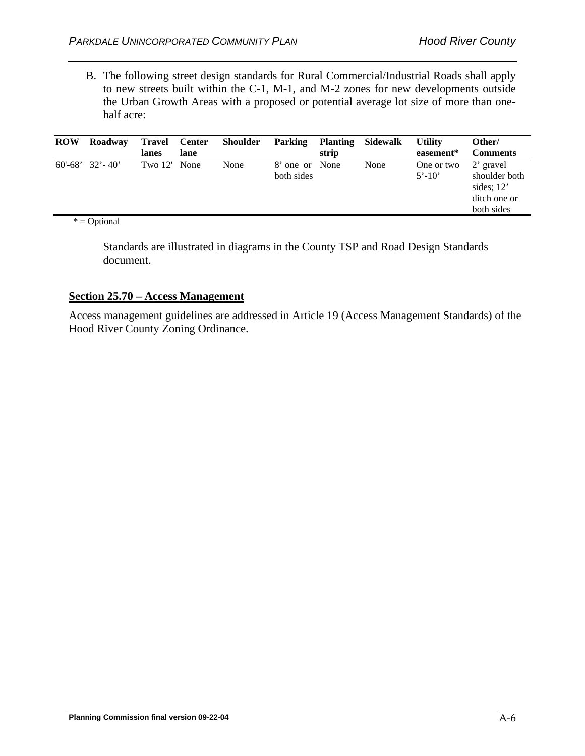B. The following street design standards for Rural Commercial/Industrial Roads shall apply to new streets built within the C-1, M-1, and M-2 zones for new developments outside the Urban Growth Areas with a proposed or potential average lot size of more than onehalf acre:

| <b>ROW</b> | Roadway               | Travel<br>lanes | <b>Center</b><br>lane | <b>Shoulder</b> | <b>Parking</b>               | <b>Planting</b><br>strip | Sidewalk | <b>Utility</b><br>easement* | Other/<br><b>Comments</b>                                                |
|------------|-----------------------|-----------------|-----------------------|-----------------|------------------------------|--------------------------|----------|-----------------------------|--------------------------------------------------------------------------|
|            | $60'$ -68' $32'$ -40' | Two 12' None    |                       | None            | 8' one or None<br>both sides |                          | None     | One or two<br>$5' - 10'$    | 2' gravel<br>shoulder both<br>sides; $12'$<br>ditch one or<br>both sides |

 $* = \text{Optional}$ 

Standards are illustrated in diagrams in the County TSP and Road Design Standards document.

#### **Section 25.70 – Access Management**

Access management guidelines are addressed in Article 19 (Access Management Standards) of the Hood River County Zoning Ordinance.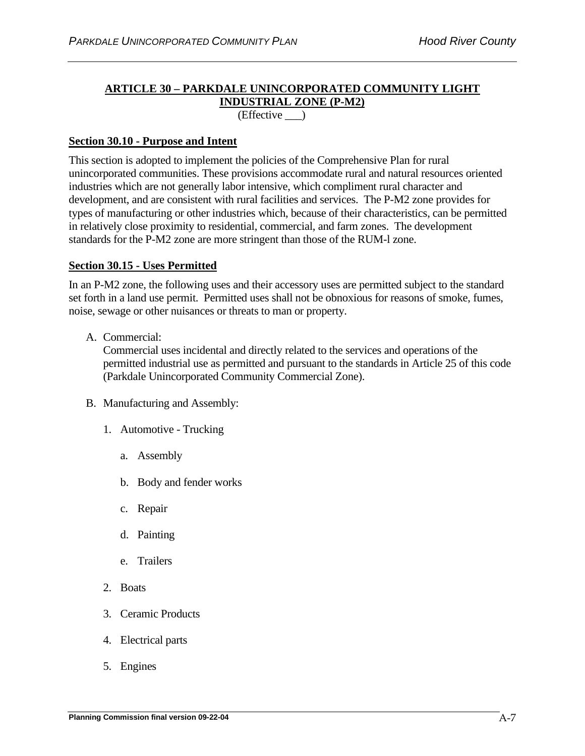# **ARTICLE 30 – PARKDALE UNINCORPORATED COMMUNITY LIGHT INDUSTRIAL ZONE (P-M2)**

(Effective \_\_\_)

## **Section 30.10 - Purpose and Intent**

This section is adopted to implement the policies of the Comprehensive Plan for rural unincorporated communities. These provisions accommodate rural and natural resources oriented industries which are not generally labor intensive, which compliment rural character and development, and are consistent with rural facilities and services. The P-M2 zone provides for types of manufacturing or other industries which, because of their characteristics, can be permitted in relatively close proximity to residential, commercial, and farm zones. The development standards for the P-M2 zone are more stringent than those of the RUM-l zone.

## **Section 30.15 - Uses Permitted**

In an P-M2 zone, the following uses and their accessory uses are permitted subject to the standard set forth in a land use permit. Permitted uses shall not be obnoxious for reasons of smoke, fumes, noise, sewage or other nuisances or threats to man or property.

A. Commercial:

Commercial uses incidental and directly related to the services and operations of the permitted industrial use as permitted and pursuant to the standards in Article 25 of this code (Parkdale Unincorporated Community Commercial Zone).

- B. Manufacturing and Assembly:
	- 1. Automotive Trucking
		- a. Assembly
		- b. Body and fender works
		- c. Repair
		- d. Painting
		- e. Trailers
	- 2. Boats
	- 3. Ceramic Products
	- 4. Electrical parts
	- 5. Engines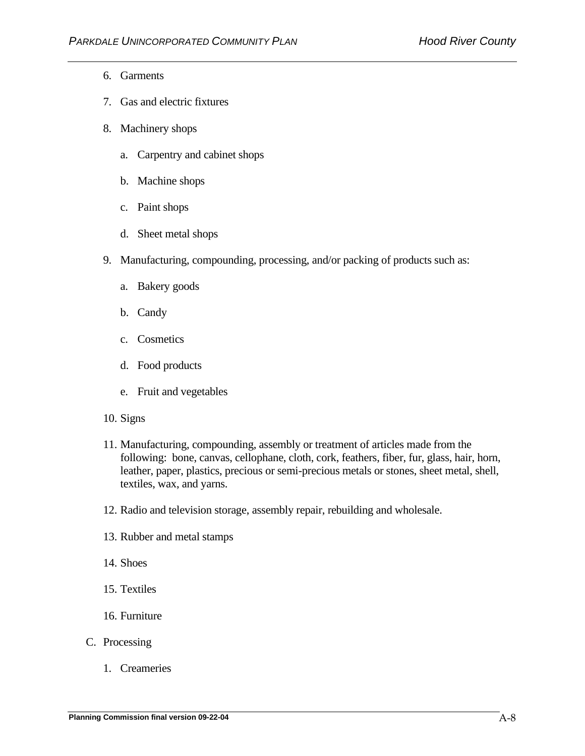- 6. Garments
- 7. Gas and electric fixtures
- 8. Machinery shops
	- a. Carpentry and cabinet shops
	- b. Machine shops
	- c. Paint shops
	- d. Sheet metal shops
- 9. Manufacturing, compounding, processing, and/or packing of products such as:
	- a. Bakery goods
	- b. Candy
	- c. Cosmetics
	- d. Food products
	- e. Fruit and vegetables
- 10. Signs
- 11. Manufacturing, compounding, assembly or treatment of articles made from the following: bone, canvas, cellophane, cloth, cork, feathers, fiber, fur, glass, hair, horn, leather, paper, plastics, precious or semi-precious metals or stones, sheet metal, shell, textiles, wax, and yarns.
- 12. Radio and television storage, assembly repair, rebuilding and wholesale.
- 13. Rubber and metal stamps
- 14. Shoes
- 15. Textiles
- 16. Furniture
- C. Processing
	- 1. Creameries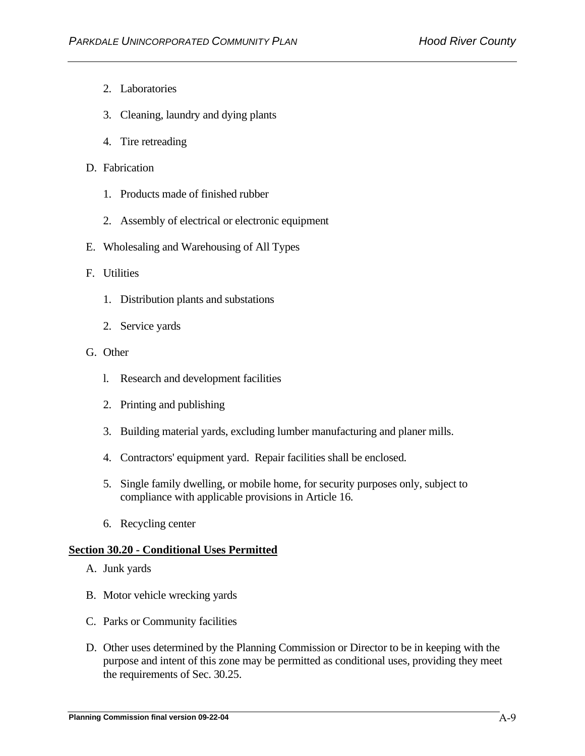- 2. Laboratories
- 3. Cleaning, laundry and dying plants
- 4. Tire retreading
- D. Fabrication
	- 1. Products made of finished rubber
	- 2. Assembly of electrical or electronic equipment
- E. Wholesaling and Warehousing of All Types

#### F. Utilities

- 1. Distribution plants and substations
- 2. Service yards
- G. Other
	- l. Research and development facilities
	- 2. Printing and publishing
	- 3. Building material yards, excluding lumber manufacturing and planer mills.
	- 4. Contractors' equipment yard. Repair facilities shall be enclosed.
	- 5. Single family dwelling, or mobile home, for security purposes only, subject to compliance with applicable provisions in Article 16.
	- 6. Recycling center

#### **Section 30.20 - Conditional Uses Permitted**

- A. Junk yards
- B. Motor vehicle wrecking yards
- C. Parks or Community facilities
- D. Other uses determined by the Planning Commission or Director to be in keeping with the purpose and intent of this zone may be permitted as conditional uses, providing they meet the requirements of Sec. 30.25.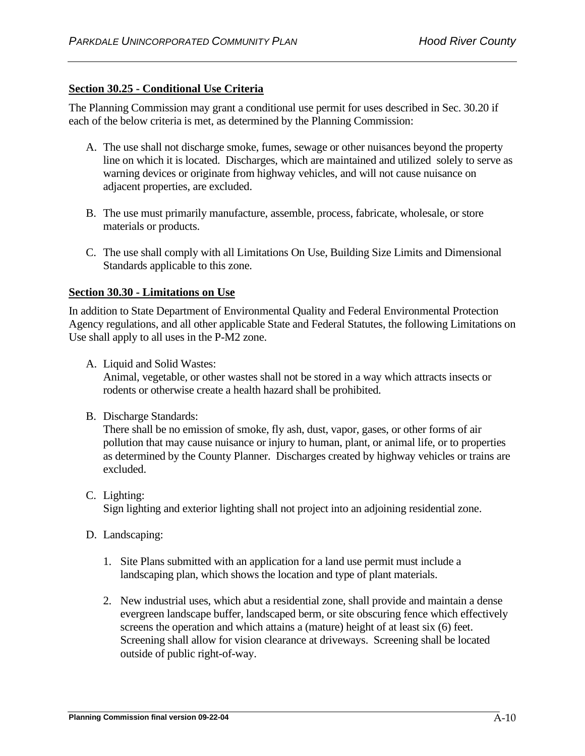# **Section 30.25 - Conditional Use Criteria**

The Planning Commission may grant a conditional use permit for uses described in Sec. 30.20 if each of the below criteria is met, as determined by the Planning Commission:

- A. The use shall not discharge smoke, fumes, sewage or other nuisances beyond the property line on which it is located. Discharges, which are maintained and utilized solely to serve as warning devices or originate from highway vehicles, and will not cause nuisance on adjacent properties, are excluded.
- B. The use must primarily manufacture, assemble, process, fabricate, wholesale, or store materials or products.
- C. The use shall comply with all Limitations On Use, Building Size Limits and Dimensional Standards applicable to this zone.

#### **Section 30.30 - Limitations on Use**

In addition to State Department of Environmental Quality and Federal Environmental Protection Agency regulations, and all other applicable State and Federal Statutes, the following Limitations on Use shall apply to all uses in the P-M2 zone.

A. Liquid and Solid Wastes:

Animal, vegetable, or other wastes shall not be stored in a way which attracts insects or rodents or otherwise create a health hazard shall be prohibited.

B. Discharge Standards:

There shall be no emission of smoke, fly ash, dust, vapor, gases, or other forms of air pollution that may cause nuisance or injury to human, plant, or animal life, or to properties as determined by the County Planner. Discharges created by highway vehicles or trains are excluded.

C. Lighting:

Sign lighting and exterior lighting shall not project into an adjoining residential zone.

- D. Landscaping:
	- 1. Site Plans submitted with an application for a land use permit must include a landscaping plan, which shows the location and type of plant materials.
	- 2. New industrial uses, which abut a residential zone, shall provide and maintain a dense evergreen landscape buffer, landscaped berm, or site obscuring fence which effectively screens the operation and which attains a (mature) height of at least six (6) feet. Screening shall allow for vision clearance at driveways. Screening shall be located outside of public right-of-way.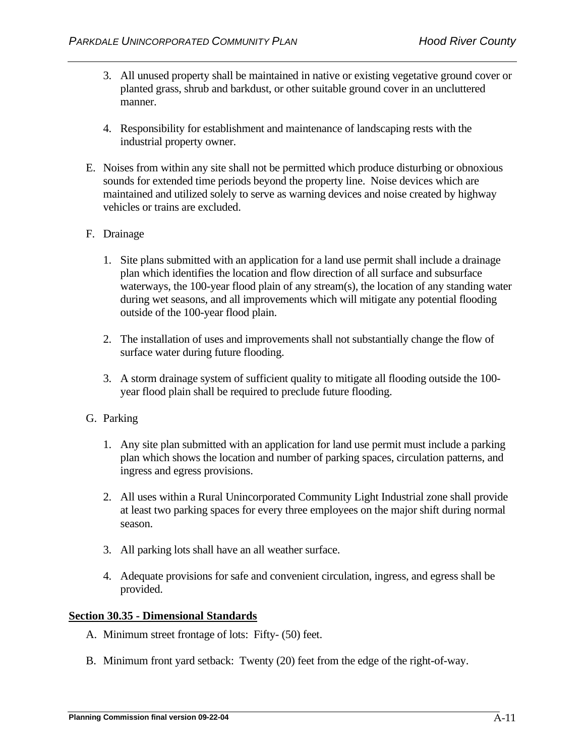- 3. All unused property shall be maintained in native or existing vegetative ground cover or planted grass, shrub and barkdust, or other suitable ground cover in an uncluttered manner.
- 4. Responsibility for establishment and maintenance of landscaping rests with the industrial property owner.
- E. Noises from within any site shall not be permitted which produce disturbing or obnoxious sounds for extended time periods beyond the property line. Noise devices which are maintained and utilized solely to serve as warning devices and noise created by highway vehicles or trains are excluded.
- F. Drainage
	- 1. Site plans submitted with an application for a land use permit shall include a drainage plan which identifies the location and flow direction of all surface and subsurface waterways, the 100-year flood plain of any stream(s), the location of any standing water during wet seasons, and all improvements which will mitigate any potential flooding outside of the 100-year flood plain.
	- 2. The installation of uses and improvements shall not substantially change the flow of surface water during future flooding.
	- 3. A storm drainage system of sufficient quality to mitigate all flooding outside the 100 year flood plain shall be required to preclude future flooding.
- G. Parking
	- 1. Any site plan submitted with an application for land use permit must include a parking plan which shows the location and number of parking spaces, circulation patterns, and ingress and egress provisions.
	- 2. All uses within a Rural Unincorporated Community Light Industrial zone shall provide at least two parking spaces for every three employees on the major shift during normal season.
	- 3. All parking lots shall have an all weather surface.
	- 4. Adequate provisions for safe and convenient circulation, ingress, and egress shall be provided.

#### **Section 30.35 - Dimensional Standards**

- A. Minimum street frontage of lots: Fifty- (50) feet.
- B. Minimum front yard setback: Twenty (20) feet from the edge of the right-of-way.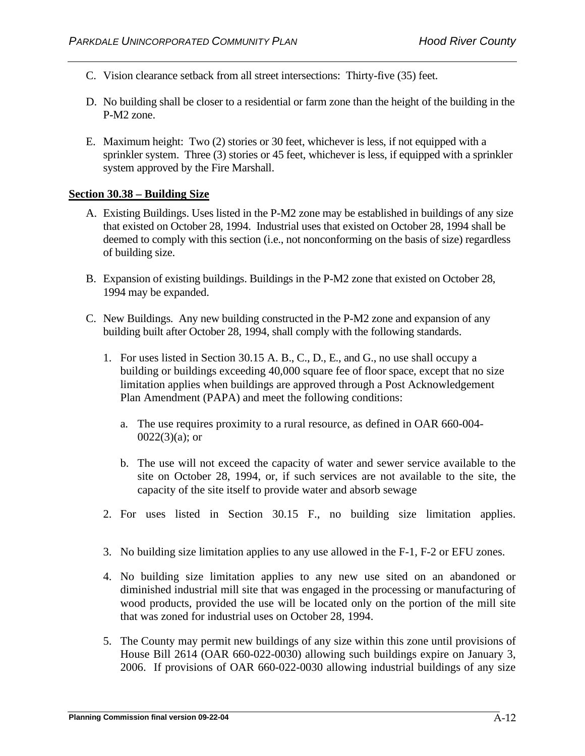- C. Vision clearance setback from all street intersections: Thirty-five (35) feet.
- D. No building shall be closer to a residential or farm zone than the height of the building in the P-M2 zone.
- E. Maximum height: Two (2) stories or 30 feet, whichever is less, if not equipped with a sprinkler system. Three (3) stories or 45 feet, whichever is less, if equipped with a sprinkler system approved by the Fire Marshall.

### **Section 30.38 – Building Size**

- A. Existing Buildings. Uses listed in the P-M2 zone may be established in buildings of any size that existed on October 28, 1994. Industrial uses that existed on October 28, 1994 shall be deemed to comply with this section (i.e., not nonconforming on the basis of size) regardless of building size.
- B. Expansion of existing buildings. Buildings in the P-M2 zone that existed on October 28, 1994 may be expanded.
- C. New Buildings. Any new building constructed in the P-M2 zone and expansion of any building built after October 28, 1994, shall comply with the following standards.
	- 1. For uses listed in Section 30.15 A. B., C., D., E., and G., no use shall occupy a building or buildings exceeding 40,000 square fee of floor space, except that no size limitation applies when buildings are approved through a Post Acknowledgement Plan Amendment (PAPA) and meet the following conditions:
		- a. The use requires proximity to a rural resource, as defined in OAR 660-004-  $0022(3)(a)$ ; or
		- b. The use will not exceed the capacity of water and sewer service available to the site on October 28, 1994, or, if such services are not available to the site, the capacity of the site itself to provide water and absorb sewage
	- 2. For uses listed in Section 30.15 F., no building size limitation applies.
	- 3. No building size limitation applies to any use allowed in the F-1, F-2 or EFU zones.
	- 4. No building size limitation applies to any new use sited on an abandoned or diminished industrial mill site that was engaged in the processing or manufacturing of wood products, provided the use will be located only on the portion of the mill site that was zoned for industrial uses on October 28, 1994.
	- 5. The County may permit new buildings of any size within this zone until provisions of House Bill 2614 (OAR 660-022-0030) allowing such buildings expire on January 3, 2006. If provisions of OAR 660-022-0030 allowing industrial buildings of any size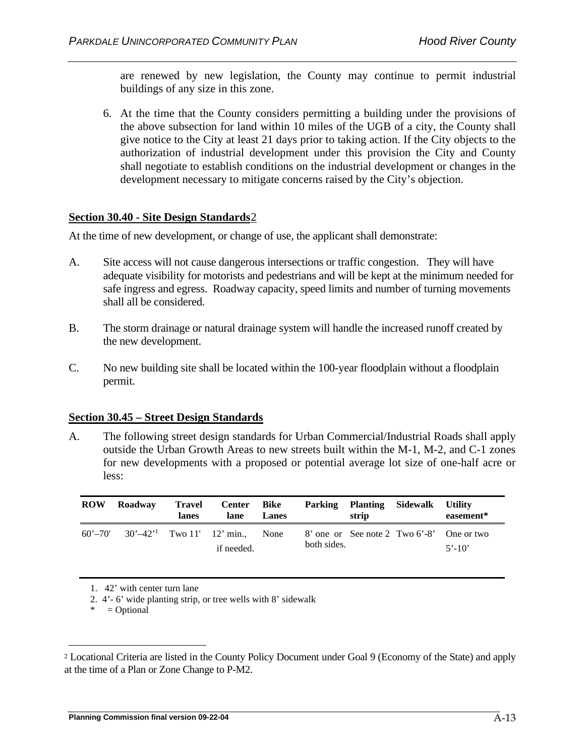are renewed by new legislation, the County may continue to permit industrial buildings of any size in this zone.

6. At the time that the County considers permitting a building under the provisions of the above subsection for land within 10 miles of the UGB of a city, the County shall give notice to the City at least 21 days prior to taking action. If the City objects to the authorization of industrial development under this provision the City and County shall negotiate to establish conditions on the industrial development or changes in the development necessary to mitigate concerns raised by the City's objection.

## **Section 30.40 - Site Design Standards**[2](#page-29-0)

At the time of new development, or change of use, the applicant shall demonstrate:

- A. Site access will not cause dangerous intersections or traffic congestion. They will have adequate visibility for motorists and pedestrians and will be kept at the minimum needed for safe ingress and egress. Roadway capacity, speed limits and number of turning movements shall all be considered.
- B. The storm drainage or natural drainage system will handle the increased runoff created by the new development.
- C. No new building site shall be located within the 100-year floodplain without a floodplain permit.

#### **Section 30.45 – Street Design Standards**

A. The following street design standards for Urban Commercial/Industrial Roads shall apply outside the Urban Growth Areas to new streets built within the M-1, M-2, and C-1 zones for new developments with a proposed or potential average lot size of one-half acre or less:

| <b>ROW</b> | Roadway                                                | Travel<br>lanes | Center Bike<br>lane | Lanes |             | Parking Planting Sidewalk<br>strip | Utility<br>easement*                                    |
|------------|--------------------------------------------------------|-----------------|---------------------|-------|-------------|------------------------------------|---------------------------------------------------------|
|            | 60'-70' $30'$ -42' <sup>1</sup> Two 11' 12' min., None |                 | if needed.          |       | both sides. |                                    | 8' one or See note 2 Two 6'-8' One or two<br>$5' - 10'$ |

1. 42' with center turn lane

2. 4'- 6' wide planting strip, or tree wells with 8' sidewalk

 $* = Optional$ 

<span id="page-29-0"></span><sup>2</sup> Locational Criteria are listed in the County Policy Document under Goal 9 (Economy of the State) and apply at the time of a Plan or Zone Change to P-M2.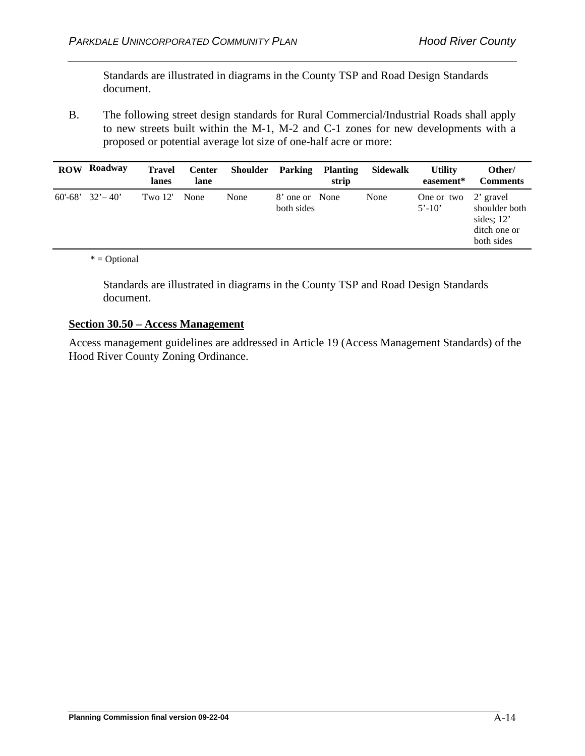Standards are illustrated in diagrams in the County TSP and Road Design Standards document.

B. The following street design standards for Rural Commercial/Industrial Roads shall apply to new streets built within the M-1, M-2 and C-1 zones for new developments with a proposed or potential average lot size of one-half acre or more:

| <b>ROW</b> | Roadway               | <b>Travel</b><br>lanes | <b>Center</b><br>lane | Shoulder | Parking                      | <b>Planting</b><br>strip | Sidewalk | <b>Utility</b><br>easement* | Other/<br><b>Comments</b>                                                |
|------------|-----------------------|------------------------|-----------------------|----------|------------------------------|--------------------------|----------|-----------------------------|--------------------------------------------------------------------------|
|            | $60'$ -68' $32'$ -40' | Two $12'$              | None                  | None     | 8' one or None<br>both sides |                          | None     | One or two<br>$5' - 10'$    | 2' gravel<br>shoulder both<br>sides; $12'$<br>ditch one or<br>both sides |

## \* = Optional

Standards are illustrated in diagrams in the County TSP and Road Design Standards document.

# **Section 30.50 – Access Management**

Access management guidelines are addressed in Article 19 (Access Management Standards) of the Hood River County Zoning Ordinance.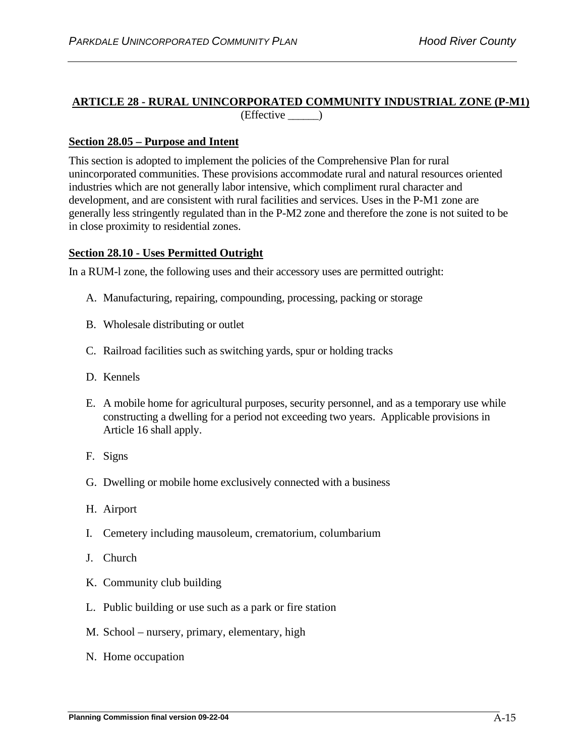### **ARTICLE 28 - RURAL UNINCORPORATED COMMUNITY INDUSTRIAL ZONE (P-M1)** (Effective \_\_\_\_\_\_)

## **Section 28.05 – Purpose and Intent**

This section is adopted to implement the policies of the Comprehensive Plan for rural unincorporated communities. These provisions accommodate rural and natural resources oriented industries which are not generally labor intensive, which compliment rural character and development, and are consistent with rural facilities and services. Uses in the P-M1 zone are generally less stringently regulated than in the P-M2 zone and therefore the zone is not suited to be in close proximity to residential zones.

## **Section 28.10 - Uses Permitted Outright**

In a RUM-l zone, the following uses and their accessory uses are permitted outright:

- A. Manufacturing, repairing, compounding, processing, packing or storage
- B. Wholesale distributing or outlet
- C. Railroad facilities such as switching yards, spur or holding tracks
- D. Kennels
- E. A mobile home for agricultural purposes, security personnel, and as a temporary use while constructing a dwelling for a period not exceeding two years. Applicable provisions in Article 16 shall apply.
- F. Signs
- G. Dwelling or mobile home exclusively connected with a business
- H. Airport
- I. Cemetery including mausoleum, crematorium, columbarium
- J. Church
- K. Community club building
- L. Public building or use such as a park or fire station
- M. School nursery, primary, elementary, high
- N. Home occupation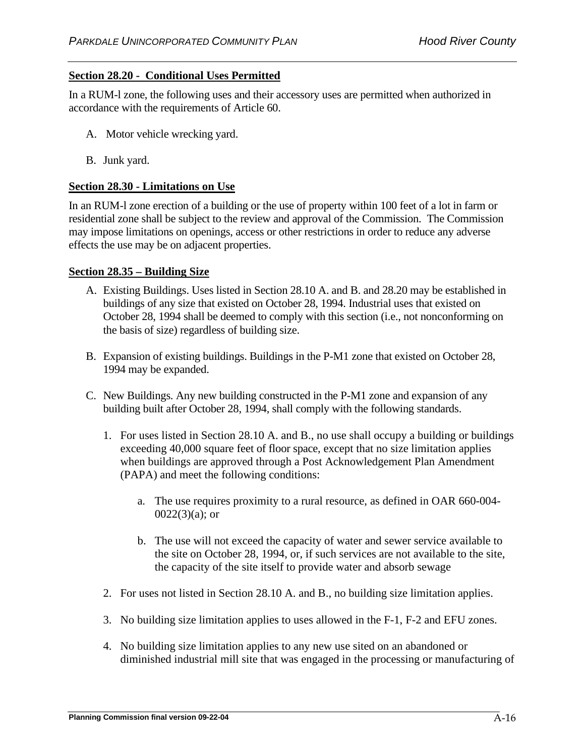# **Section 28.20 - Conditional Uses Permitted**

In a RUM-l zone, the following uses and their accessory uses are permitted when authorized in accordance with the requirements of Article 60.

- A. Motor vehicle wrecking yard.
- B. Junk yard.

## **Section 28.30 - Limitations on Use**

In an RUM-l zone erection of a building or the use of property within 100 feet of a lot in farm or residential zone shall be subject to the review and approval of the Commission. The Commission may impose limitations on openings, access or other restrictions in order to reduce any adverse effects the use may be on adjacent properties.

## **Section 28.35 – Building Size**

- A. Existing Buildings. Uses listed in Section 28.10 A. and B. and 28.20 may be established in buildings of any size that existed on October 28, 1994. Industrial uses that existed on October 28, 1994 shall be deemed to comply with this section (i.e., not nonconforming on the basis of size) regardless of building size.
- B. Expansion of existing buildings. Buildings in the P-M1 zone that existed on October 28, 1994 may be expanded.
- C. New Buildings. Any new building constructed in the P-M1 zone and expansion of any building built after October 28, 1994, shall comply with the following standards.
	- 1. For uses listed in Section 28.10 A. and B., no use shall occupy a building or buildings exceeding 40,000 square feet of floor space, except that no size limitation applies when buildings are approved through a Post Acknowledgement Plan Amendment (PAPA) and meet the following conditions:
		- a. The use requires proximity to a rural resource, as defined in OAR 660-004-  $0022(3)(a)$ ; or
		- b. The use will not exceed the capacity of water and sewer service available to the site on October 28, 1994, or, if such services are not available to the site, the capacity of the site itself to provide water and absorb sewage
	- 2. For uses not listed in Section 28.10 A. and B., no building size limitation applies.
	- 3. No building size limitation applies to uses allowed in the F-1, F-2 and EFU zones.
	- 4. No building size limitation applies to any new use sited on an abandoned or diminished industrial mill site that was engaged in the processing or manufacturing of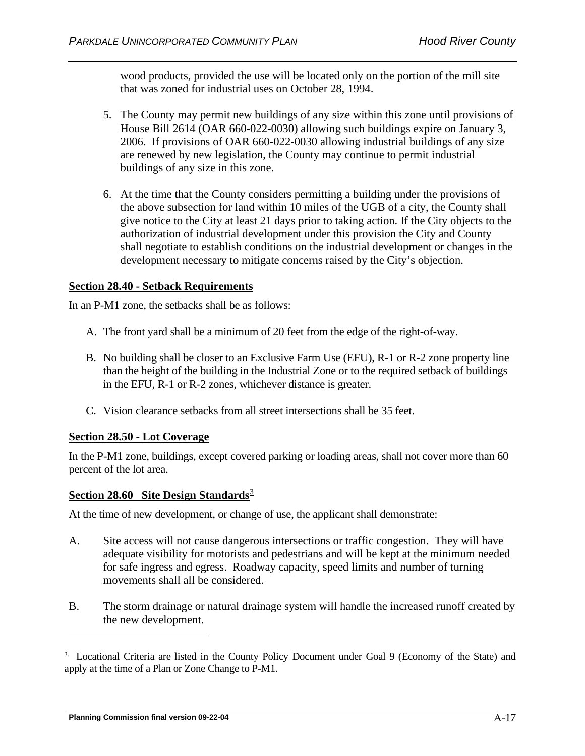wood products, provided the use will be located only on the portion of the mill site that was zoned for industrial uses on October 28, 1994.

- 5. The County may permit new buildings of any size within this zone until provisions of House Bill 2614 (OAR 660-022-0030) allowing such buildings expire on January 3, 2006. If provisions of OAR 660-022-0030 allowing industrial buildings of any size are renewed by new legislation, the County may continue to permit industrial buildings of any size in this zone.
- 6. At the time that the County considers permitting a building under the provisions of the above subsection for land within 10 miles of the UGB of a city, the County shall give notice to the City at least 21 days prior to taking action. If the City objects to the authorization of industrial development under this provision the City and County shall negotiate to establish conditions on the industrial development or changes in the development necessary to mitigate concerns raised by the City's objection.

## **Section 28.40 - Setback Requirements**

In an P-M1 zone, the setbacks shall be as follows:

- A. The front yard shall be a minimum of 20 feet from the edge of the right-of-way.
- B. No building shall be closer to an Exclusive Farm Use (EFU), R-1 or R-2 zone property line than the height of the building in the Industrial Zone or to the required setback of buildings in the EFU, R-1 or R-2 zones, whichever distance is greater.
- C. Vision clearance setbacks from all street intersections shall be 35 feet.

#### **Section 28.50 - Lot Coverage**

In the P-M1 zone, buildings, except covered parking or loading areas, shall not cover more than 60 percent of the lot area.

#### **Section 28.60 Site Design Standards**<sup>[3](#page-33-0)</sup>

At the time of new development, or change of use, the applicant shall demonstrate:

- A. Site access will not cause dangerous intersections or traffic congestion. They will have adequate visibility for motorists and pedestrians and will be kept at the minimum needed for safe ingress and egress. Roadway capacity, speed limits and number of turning movements shall all be considered.
- B. The storm drainage or natural drainage system will handle the increased runoff created by the new development.

<span id="page-33-0"></span><sup>3.</sup> Locational Criteria are listed in the County Policy Document under Goal 9 (Economy of the State) and apply at the time of a Plan or Zone Change to P-M1.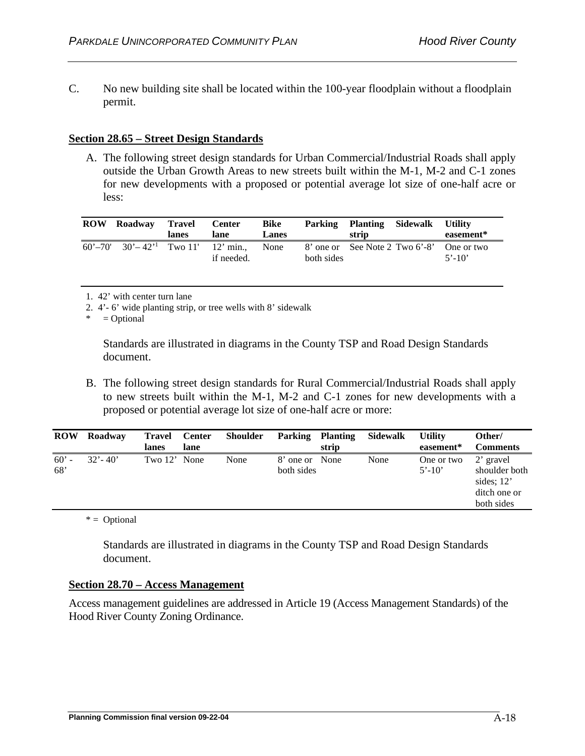C. No new building site shall be located within the 100-year floodplain without a floodplain permit.

## **Section 28.65 – Street Design Standards**

A. The following street design standards for Urban Commercial/Industrial Roads shall apply outside the Urban Growth Areas to new streets built within the M-1, M-2 and C-1 zones for new developments with a proposed or potential average lot size of one-half acre or less:

| <b>ROW</b> | Roadway                                                              | Travel<br>lanes | <b>Center</b><br>lane | <b>Bike</b><br>Lanes |            | Parking Planting Sidewalk<br>strip | <b>Utility</b><br>easement*                             |
|------------|----------------------------------------------------------------------|-----------------|-----------------------|----------------------|------------|------------------------------------|---------------------------------------------------------|
|            | $60^{\circ} - 70^{\circ}$ $30^{\circ} - 42^{\circ}$ Two 11' 12' min. |                 | if needed.            | None                 | both sides |                                    | 8' one or See Note 2 Two 6'-8' One or two<br>$5' - 10'$ |

1. 42' with center turn lane

2. 4'- 6' wide planting strip, or tree wells with 8' sidewalk

 $=$  Optional

Standards are illustrated in diagrams in the County TSP and Road Design Standards document.

B. The following street design standards for Rural Commercial/Industrial Roads shall apply to new streets built within the M-1, M-2 and C-1 zones for new developments with a proposed or potential average lot size of one-half acre or more:

| <b>ROW</b>     | Roadway     | <b>Travel</b><br>lanes | <b>Center</b><br>lane | <b>Shoulder</b> | <b>Parking Planting</b>      | strip | Sidewalk | <b>Utility</b><br>easement* | Other/<br><b>Comments</b>                                                |
|----------------|-------------|------------------------|-----------------------|-----------------|------------------------------|-------|----------|-----------------------------|--------------------------------------------------------------------------|
| $60'$ -<br>68' | $32' - 40'$ | Two 12' None           |                       | None            | 8' one or None<br>both sides |       | None     | One or two<br>$5' - 10'$    | 2' gravel<br>shoulder both<br>sides; $12'$<br>ditch one or<br>both sides |

 $* =$  Optional

Standards are illustrated in diagrams in the County TSP and Road Design Standards document.

#### **Section 28.70 – Access Management**

Access management guidelines are addressed in Article 19 (Access Management Standards) of the Hood River County Zoning Ordinance.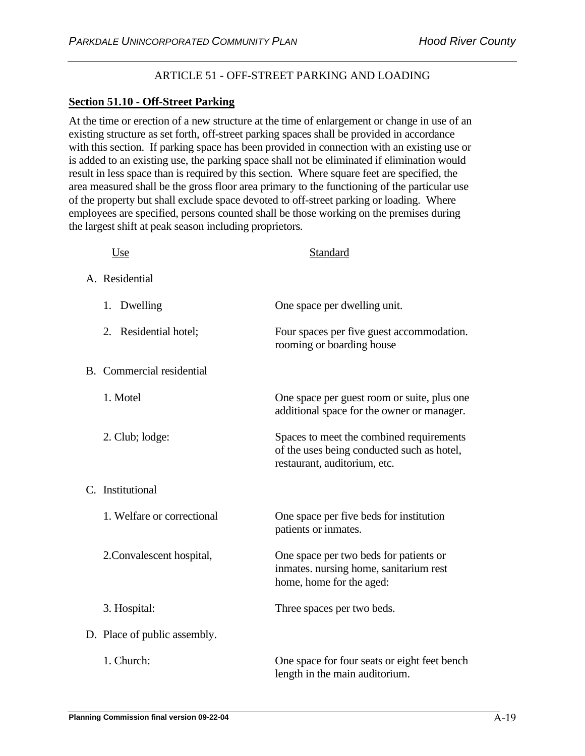# ARTICLE 51 - OFF-STREET PARKING AND LOADING

# **Section 51.10 - Off-Street Parking**

At the time or erection of a new structure at the time of enlargement or change in use of an existing structure as set forth, off-street parking spaces shall be provided in accordance with this section. If parking space has been provided in connection with an existing use or is added to an existing use, the parking space shall not be eliminated if elimination would result in less space than is required by this section. Where square feet are specified, the area measured shall be the gross floor area primary to the functioning of the particular use of the property but shall exclude space devoted to off-street parking or loading. Where employees are specified, persons counted shall be those working on the premises during the largest shift at peak season including proprietors.

| <u>Use</u>                       | Standard                                                                                                               |
|----------------------------------|------------------------------------------------------------------------------------------------------------------------|
| A. Residential                   |                                                                                                                        |
| 1. Dwelling                      | One space per dwelling unit.                                                                                           |
| 2. Residential hotel;            | Four spaces per five guest accommodation.<br>rooming or boarding house                                                 |
| <b>B.</b> Commercial residential |                                                                                                                        |
| 1. Motel                         | One space per guest room or suite, plus one<br>additional space for the owner or manager.                              |
| 2. Club; lodge:                  | Spaces to meet the combined requirements<br>of the uses being conducted such as hotel,<br>restaurant, auditorium, etc. |
| C. Institutional                 |                                                                                                                        |
| 1. Welfare or correctional       | One space per five beds for institution<br>patients or inmates.                                                        |
| 2. Convalescent hospital,        | One space per two beds for patients or<br>inmates. nursing home, sanitarium rest<br>home, home for the aged:           |
| 3. Hospital:                     | Three spaces per two beds.                                                                                             |
| D. Place of public assembly.     |                                                                                                                        |
| 1. Church:                       | One space for four seats or eight feet bench<br>length in the main auditorium.                                         |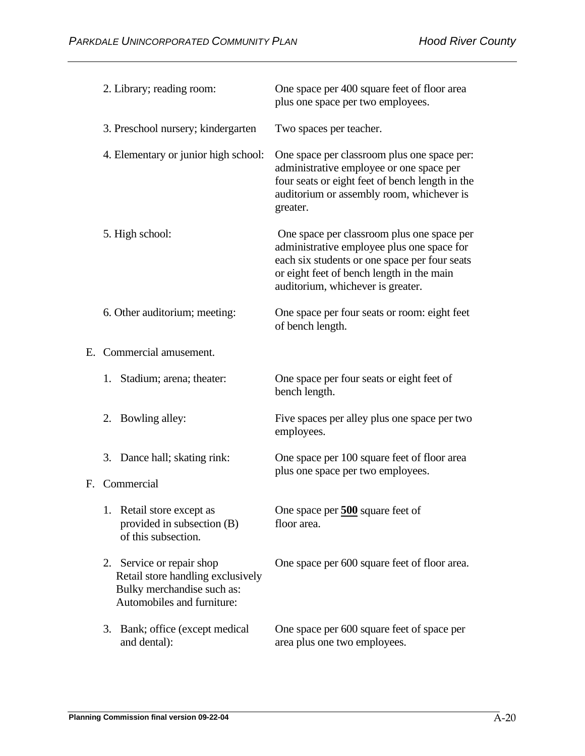| 2. Library; reading room:                                                                                                  | One space per 400 square feet of floor area<br>plus one space per two employees.                                                                                                                                            |
|----------------------------------------------------------------------------------------------------------------------------|-----------------------------------------------------------------------------------------------------------------------------------------------------------------------------------------------------------------------------|
| 3. Preschool nursery; kindergarten                                                                                         | Two spaces per teacher.                                                                                                                                                                                                     |
| 4. Elementary or junior high school:                                                                                       | One space per classroom plus one space per:<br>administrative employee or one space per<br>four seats or eight feet of bench length in the<br>auditorium or assembly room, whichever is<br>greater.                         |
| 5. High school:                                                                                                            | One space per classroom plus one space per<br>administrative employee plus one space for<br>each six students or one space per four seats<br>or eight feet of bench length in the main<br>auditorium, whichever is greater. |
| 6. Other auditorium; meeting:                                                                                              | One space per four seats or room: eight feet<br>of bench length.                                                                                                                                                            |
| E. Commercial amusement.                                                                                                   |                                                                                                                                                                                                                             |
| 1. Stadium; arena; theater:                                                                                                | One space per four seats or eight feet of<br>bench length.                                                                                                                                                                  |
| 2. Bowling alley:                                                                                                          | Five spaces per alley plus one space per two<br>employees.                                                                                                                                                                  |
| 3. Dance hall; skating rink:                                                                                               | One space per 100 square feet of floor area<br>plus one space per two employees.                                                                                                                                            |
| F. Commercial                                                                                                              |                                                                                                                                                                                                                             |
| 1. Retail store except as<br>provided in subsection (B)<br>of this subsection.                                             | One space per 500 square feet of<br>floor area.                                                                                                                                                                             |
| 2. Service or repair shop<br>Retail store handling exclusively<br>Bulky merchandise such as:<br>Automobiles and furniture: | One space per 600 square feet of floor area.                                                                                                                                                                                |
| Bank; office (except medical<br>3.<br>and dental):                                                                         | One space per 600 square feet of space per<br>area plus one two employees.                                                                                                                                                  |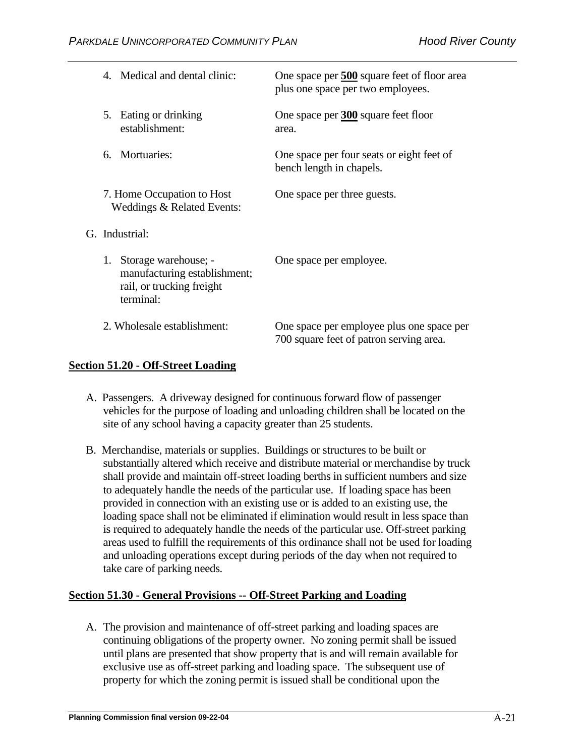|                | 4. Medical and dental clinic:                                                                  | One space per 500 square feet of floor area<br>plus one space per two employees.     |
|----------------|------------------------------------------------------------------------------------------------|--------------------------------------------------------------------------------------|
| 5.             | Eating or drinking<br>establishment:                                                           | One space per 300 square feet floor<br>area.                                         |
|                | 6. Mortuaries:                                                                                 | One space per four seats or eight feet of<br>bench length in chapels.                |
|                | 7. Home Occupation to Host<br>Weddings & Related Events:                                       | One space per three guests.                                                          |
| G. Industrial: |                                                                                                |                                                                                      |
| 1.             | Storage warehouse; -<br>manufacturing establishment;<br>rail, or trucking freight<br>terminal: | One space per employee.                                                              |
|                | 2. Wholesale establishment:                                                                    | One space per employee plus one space per<br>700 square feet of patron serving area. |

# **Section 51.20 - Off-Street Loading**

- A. Passengers. A driveway designed for continuous forward flow of passenger vehicles for the purpose of loading and unloading children shall be located on the site of any school having a capacity greater than 25 students.
- B. Merchandise, materials or supplies. Buildings or structures to be built or substantially altered which receive and distribute material or merchandise by truck shall provide and maintain off-street loading berths in sufficient numbers and size to adequately handle the needs of the particular use. If loading space has been provided in connection with an existing use or is added to an existing use, the loading space shall not be eliminated if elimination would result in less space than is required to adequately handle the needs of the particular use. Off-street parking areas used to fulfill the requirements of this ordinance shall not be used for loading and unloading operations except during periods of the day when not required to take care of parking needs.

# **Section 51.30 - General Provisions -- Off-Street Parking and Loading**

A. The provision and maintenance of off-street parking and loading spaces are continuing obligations of the property owner. No zoning permit shall be issued until plans are presented that show property that is and will remain available for exclusive use as off-street parking and loading space. The subsequent use of property for which the zoning permit is issued shall be conditional upon the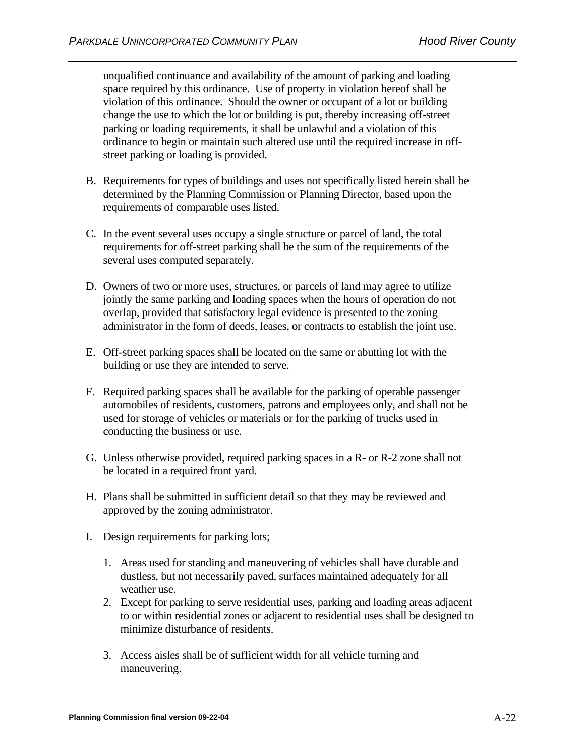unqualified continuance and availability of the amount of parking and loading space required by this ordinance. Use of property in violation hereof shall be violation of this ordinance. Should the owner or occupant of a lot or building change the use to which the lot or building is put, thereby increasing off-street parking or loading requirements, it shall be unlawful and a violation of this ordinance to begin or maintain such altered use until the required increase in offstreet parking or loading is provided.

- B. Requirements for types of buildings and uses not specifically listed herein shall be determined by the Planning Commission or Planning Director, based upon the requirements of comparable uses listed.
- C. In the event several uses occupy a single structure or parcel of land, the total requirements for off-street parking shall be the sum of the requirements of the several uses computed separately.
- D. Owners of two or more uses, structures, or parcels of land may agree to utilize jointly the same parking and loading spaces when the hours of operation do not overlap, provided that satisfactory legal evidence is presented to the zoning administrator in the form of deeds, leases, or contracts to establish the joint use.
- E. Off-street parking spaces shall be located on the same or abutting lot with the building or use they are intended to serve.
- F. Required parking spaces shall be available for the parking of operable passenger automobiles of residents, customers, patrons and employees only, and shall not be used for storage of vehicles or materials or for the parking of trucks used in conducting the business or use.
- G. Unless otherwise provided, required parking spaces in a R- or R-2 zone shall not be located in a required front yard.
- H. Plans shall be submitted in sufficient detail so that they may be reviewed and approved by the zoning administrator.
- I. Design requirements for parking lots;
	- 1. Areas used for standing and maneuvering of vehicles shall have durable and dustless, but not necessarily paved, surfaces maintained adequately for all weather use.
	- 2. Except for parking to serve residential uses, parking and loading areas adjacent to or within residential zones or adjacent to residential uses shall be designed to minimize disturbance of residents.
	- 3. Access aisles shall be of sufficient width for all vehicle turning and maneuvering.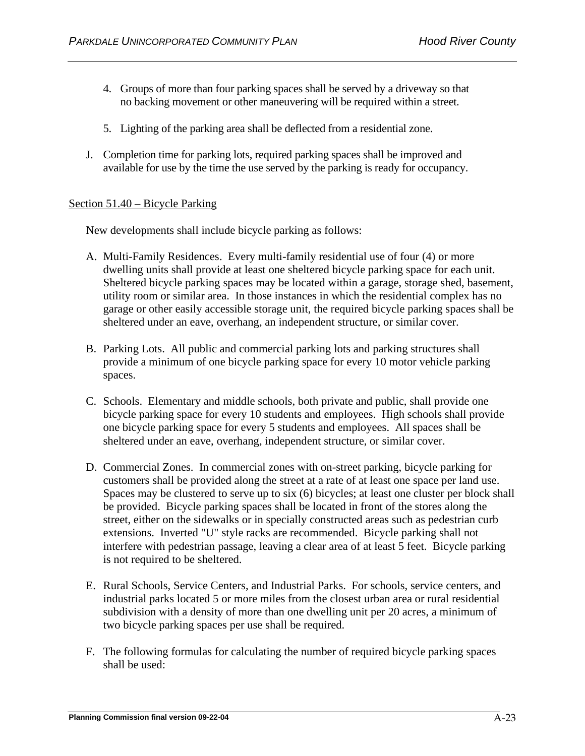- 4. Groups of more than four parking spaces shall be served by a driveway so that no backing movement or other maneuvering will be required within a street.
- 5. Lighting of the parking area shall be deflected from a residential zone.
- J. Completion time for parking lots, required parking spaces shall be improved and available for use by the time the use served by the parking is ready for occupancy.

# Section 51.40 – Bicycle Parking

New developments shall include bicycle parking as follows:

- A. Multi-Family Residences. Every multi-family residential use of four (4) or more dwelling units shall provide at least one sheltered bicycle parking space for each unit. Sheltered bicycle parking spaces may be located within a garage, storage shed, basement, utility room or similar area. In those instances in which the residential complex has no garage or other easily accessible storage unit, the required bicycle parking spaces shall be sheltered under an eave, overhang, an independent structure, or similar cover.
- B. Parking Lots. All public and commercial parking lots and parking structures shall provide a minimum of one bicycle parking space for every 10 motor vehicle parking spaces.
- C. Schools. Elementary and middle schools, both private and public, shall provide one bicycle parking space for every 10 students and employees. High schools shall provide one bicycle parking space for every 5 students and employees. All spaces shall be sheltered under an eave, overhang, independent structure, or similar cover.
- D. Commercial Zones. In commercial zones with on-street parking, bicycle parking for customers shall be provided along the street at a rate of at least one space per land use. Spaces may be clustered to serve up to six (6) bicycles; at least one cluster per block shall be provided. Bicycle parking spaces shall be located in front of the stores along the street, either on the sidewalks or in specially constructed areas such as pedestrian curb extensions. Inverted "U" style racks are recommended. Bicycle parking shall not interfere with pedestrian passage, leaving a clear area of at least 5 feet. Bicycle parking is not required to be sheltered.
- E. Rural Schools, Service Centers, and Industrial Parks. For schools, service centers, and industrial parks located 5 or more miles from the closest urban area or rural residential subdivision with a density of more than one dwelling unit per 20 acres, a minimum of two bicycle parking spaces per use shall be required.
- F. The following formulas for calculating the number of required bicycle parking spaces shall be used: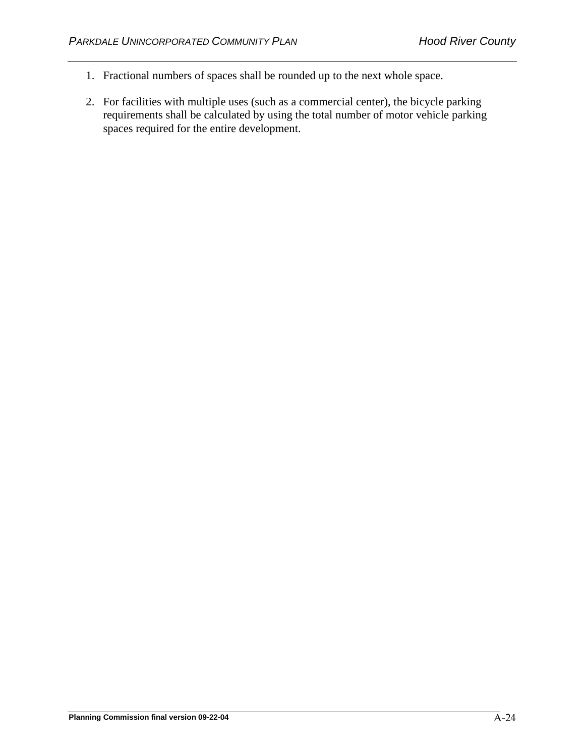- 1. Fractional numbers of spaces shall be rounded up to the next whole space.
- 2. For facilities with multiple uses (such as a commercial center), the bicycle parking requirements shall be calculated by using the total number of motor vehicle parking spaces required for the entire development.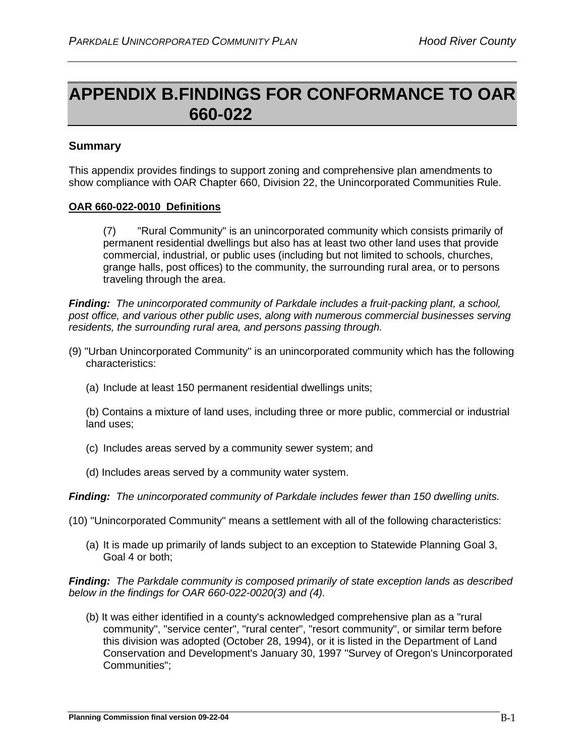# **APPENDIX B.FINDINGS FOR CONFORMANCE TO OAR 660-022**

# **Summary**

This appendix provides findings to support zoning and comprehensive plan amendments to show compliance with OAR Chapter 660, Division 22, the Unincorporated Communities Rule.

# **OAR 660-022-0010 Definitions**

(7) "Rural Community" is an unincorporated community which consists primarily of permanent residential dwellings but also has at least two other land uses that provide commercial, industrial, or public uses (including but not limited to schools, churches, grange halls, post offices) to the community, the surrounding rural area, or to persons traveling through the area.

*Finding: The unincorporated community of Parkdale includes a fruit-packing plant, a school, post office, and various other public uses, along with numerous commercial businesses serving residents, the surrounding rural area, and persons passing through.*

- (9) "Urban Unincorporated Community" is an unincorporated community which has the following characteristics:
	- (a) Include at least 150 permanent residential dwellings units;

(b) Contains a mixture of land uses, including three or more public, commercial or industrial land uses;

- (c) Includes areas served by a community sewer system; and
- (d) Includes areas served by a community water system.

*Finding: The unincorporated community of Parkdale includes fewer than 150 dwelling units.*

- (10) "Unincorporated Community" means a settlement with all of the following characteristics:
	- (a) It is made up primarily of lands subject to an exception to Statewide Planning Goal 3, Goal 4 or both;

*Finding: The Parkdale community is composed primarily of state exception lands as described below in the findings for OAR 660-022-0020(3) and (4).*

(b) It was either identified in a county's acknowledged comprehensive plan as a "rural community", "service center", "rural center", "resort community", or similar term before this division was adopted (October 28, 1994), or it is listed in the Department of Land Conservation and Development's January 30, 1997 "Survey of Oregon's Unincorporated Communities";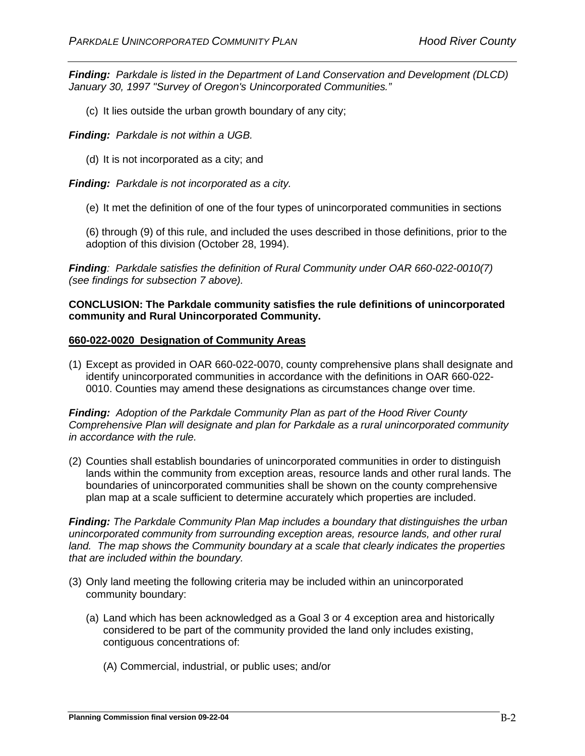*Finding: Parkdale is listed in the Department of Land Conservation and Development (DLCD) January 30, 1997 "Survey of Oregon's Unincorporated Communities."* 

(c) It lies outside the urban growth boundary of any city;

*Finding: Parkdale is not within a UGB.*

(d) It is not incorporated as a city; and

*Finding: Parkdale is not incorporated as a city.*

(e) It met the definition of one of the four types of unincorporated communities in sections

(6) through (9) of this rule, and included the uses described in those definitions, prior to the adoption of this division (October 28, 1994).

*Finding: Parkdale satisfies the definition of Rural Community under OAR 660-022-0010(7) (see findings for subsection 7 above).*

## **CONCLUSION: The Parkdale community satisfies the rule definitions of unincorporated community and Rural Unincorporated Community.**

#### **660-022-0020 Designation of Community Areas**

(1) Except as provided in OAR 660-022-0070, county comprehensive plans shall designate and identify unincorporated communities in accordance with the definitions in OAR 660-022- 0010. Counties may amend these designations as circumstances change over time.

*Finding: Adoption of the Parkdale Community Plan as part of the Hood River County Comprehensive Plan will designate and plan for Parkdale as a rural unincorporated community in accordance with the rule.*

(2) Counties shall establish boundaries of unincorporated communities in order to distinguish lands within the community from exception areas, resource lands and other rural lands. The boundaries of unincorporated communities shall be shown on the county comprehensive plan map at a scale sufficient to determine accurately which properties are included.

*Finding: The Parkdale Community Plan Map includes a boundary that distinguishes the urban unincorporated community from surrounding exception areas, resource lands, and other rural land. The map shows the Community boundary at a scale that clearly indicates the properties that are included within the boundary.*

- (3) Only land meeting the following criteria may be included within an unincorporated community boundary:
	- (a) Land which has been acknowledged as a Goal 3 or 4 exception area and historically considered to be part of the community provided the land only includes existing, contiguous concentrations of:
		- (A) Commercial, industrial, or public uses; and/or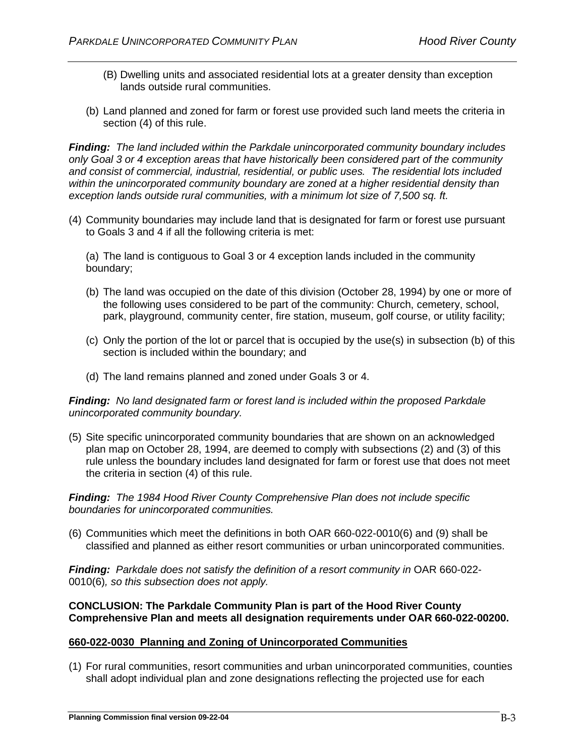- (B) Dwelling units and associated residential lots at a greater density than exception lands outside rural communities.
- (b) Land planned and zoned for farm or forest use provided such land meets the criteria in section (4) of this rule.

*Finding: The land included within the Parkdale unincorporated community boundary includes only Goal 3 or 4 exception areas that have historically been considered part of the community and consist of commercial, industrial, residential, or public uses. The residential lots included within the unincorporated community boundary are zoned at a higher residential density than exception lands outside rural communities, with a minimum lot size of 7,500 sq. ft.* 

(4) Community boundaries may include land that is designated for farm or forest use pursuant to Goals 3 and 4 if all the following criteria is met:

(a) The land is contiguous to Goal 3 or 4 exception lands included in the community boundary;

- (b) The land was occupied on the date of this division (October 28, 1994) by one or more of the following uses considered to be part of the community: Church, cemetery, school, park, playground, community center, fire station, museum, golf course, or utility facility;
- (c) Only the portion of the lot or parcel that is occupied by the use(s) in subsection (b) of this section is included within the boundary; and
- (d) The land remains planned and zoned under Goals 3 or 4.

## *Finding: No land designated farm or forest land is included within the proposed Parkdale unincorporated community boundary.*

(5) Site specific unincorporated community boundaries that are shown on an acknowledged plan map on October 28, 1994, are deemed to comply with subsections (2) and (3) of this rule unless the boundary includes land designated for farm or forest use that does not meet the criteria in section (4) of this rule.

*Finding: The 1984 Hood River County Comprehensive Plan does not include specific boundaries for unincorporated communities.*

(6) Communities which meet the definitions in both OAR 660-022-0010(6) and (9) shall be classified and planned as either resort communities or urban unincorporated communities.

*Finding: Parkdale does not satisfy the definition of a resort community in OAR 660-022-*0010(6)*, so this subsection does not apply.*

# **CONCLUSION: The Parkdale Community Plan is part of the Hood River County Comprehensive Plan and meets all designation requirements under OAR 660-022-00200.**

# **660-022-0030 Planning and Zoning of Unincorporated Communities**

(1) For rural communities, resort communities and urban unincorporated communities, counties shall adopt individual plan and zone designations reflecting the projected use for each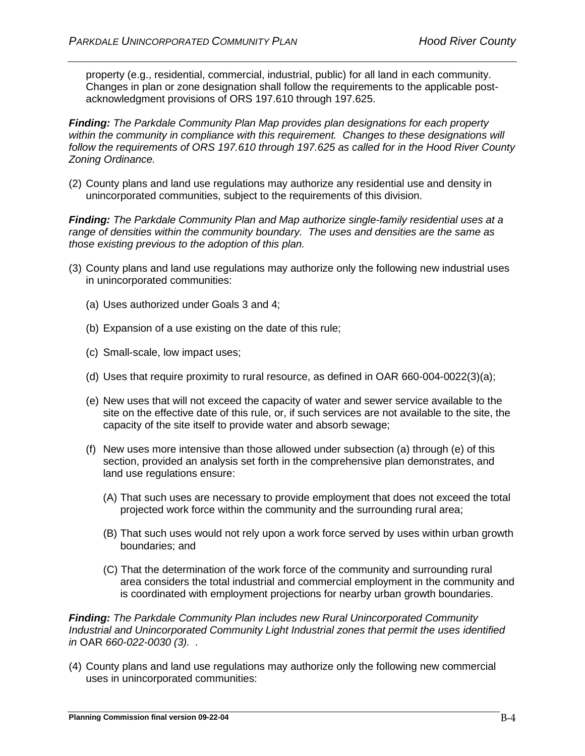property (e.g., residential, commercial, industrial, public) for all land in each community. Changes in plan or zone designation shall follow the requirements to the applicable postacknowledgment provisions of ORS 197.610 through 197.625.

*Finding: The Parkdale Community Plan Map provides plan designations for each property*  within the community in compliance with this requirement. Changes to these designations will *follow the requirements of ORS 197.610 through 197.625 as called for in the Hood River County Zoning Ordinance.*

(2) County plans and land use regulations may authorize any residential use and density in unincorporated communities, subject to the requirements of this division.

*Finding: The Parkdale Community Plan and Map authorize single-family residential uses at a range of densities within the community boundary. The uses and densities are the same as those existing previous to the adoption of this plan.*

- (3) County plans and land use regulations may authorize only the following new industrial uses in unincorporated communities:
	- (a) Uses authorized under Goals 3 and 4;
	- (b) Expansion of a use existing on the date of this rule;
	- (c) Small-scale, low impact uses;
	- (d) Uses that require proximity to rural resource, as defined in OAR 660-004-0022(3)(a);
	- (e) New uses that will not exceed the capacity of water and sewer service available to the site on the effective date of this rule, or, if such services are not available to the site, the capacity of the site itself to provide water and absorb sewage;
	- (f) New uses more intensive than those allowed under subsection (a) through (e) of this section, provided an analysis set forth in the comprehensive plan demonstrates, and land use regulations ensure:
		- (A) That such uses are necessary to provide employment that does not exceed the total projected work force within the community and the surrounding rural area;
		- (B) That such uses would not rely upon a work force served by uses within urban growth boundaries; and
		- (C) That the determination of the work force of the community and surrounding rural area considers the total industrial and commercial employment in the community and is coordinated with employment projections for nearby urban growth boundaries.

*Finding: The Parkdale Community Plan includes new Rural Unincorporated Community Industrial and Unincorporated Community Light Industrial zones that permit the uses identified in* OAR *660-022-0030 (3). .*

(4) County plans and land use regulations may authorize only the following new commercial uses in unincorporated communities: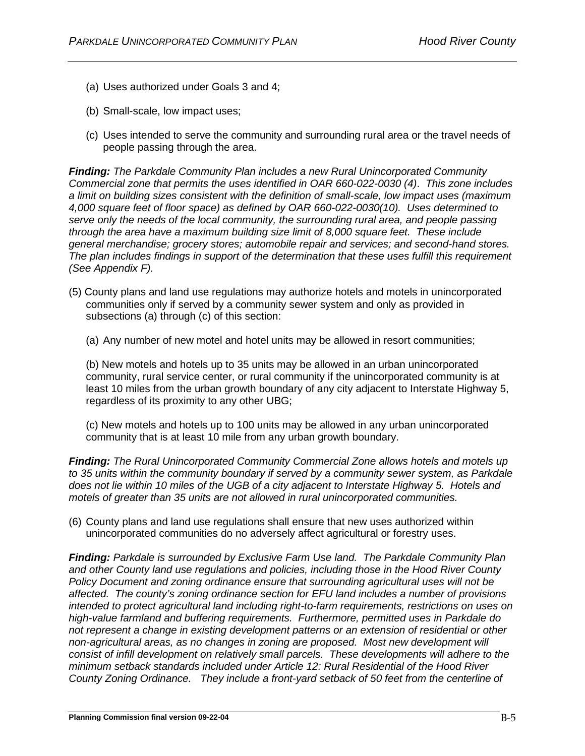- (a) Uses authorized under Goals 3 and 4;
- (b) Small-scale, low impact uses;
- (c) Uses intended to serve the community and surrounding rural area or the travel needs of people passing through the area.

*Finding: The Parkdale Community Plan includes a new Rural Unincorporated Community Commercial zone that permits the uses identified in OAR 660-022-0030 (4)*. *This zone includes a limit on building sizes consistent with the definition of small-scale, low impact uses (maximum 4,000 square feet of floor space) as defined by OAR 660-022-0030(10). Uses determined to serve only the needs of the local community, the surrounding rural area, and people passing through the area have a maximum building size limit of 8,000 square feet. These include general merchandise; grocery stores; automobile repair and services; and second-hand stores. The plan includes findings in support of the determination that these uses fulfill this requirement (See Appendix F).*

- (5) County plans and land use regulations may authorize hotels and motels in unincorporated communities only if served by a community sewer system and only as provided in subsections (a) through (c) of this section:
	- (a) Any number of new motel and hotel units may be allowed in resort communities;

(b) New motels and hotels up to 35 units may be allowed in an urban unincorporated community, rural service center, or rural community if the unincorporated community is at least 10 miles from the urban growth boundary of any city adjacent to Interstate Highway 5, regardless of its proximity to any other UBG;

(c) New motels and hotels up to 100 units may be allowed in any urban unincorporated community that is at least 10 mile from any urban growth boundary.

*Finding: The Rural Unincorporated Community Commercial Zone allows hotels and motels up to 35 units within the community boundary if served by a community sewer system, as Parkdale does not lie within 10 miles of the UGB of a city adjacent to Interstate Highway 5. Hotels and motels of greater than 35 units are not allowed in rural unincorporated communities.*

(6) County plans and land use regulations shall ensure that new uses authorized within unincorporated communities do no adversely affect agricultural or forestry uses.

*Finding: Parkdale is surrounded by Exclusive Farm Use land. The Parkdale Community Plan and other County land use regulations and policies, including those in the Hood River County Policy Document and zoning ordinance ensure that surrounding agricultural uses will not be affected. The county's zoning ordinance section for EFU land includes a number of provisions intended to protect agricultural land including right-to-farm requirements, restrictions on uses on high-value farmland and buffering requirements. Furthermore, permitted uses in Parkdale do not represent a change in existing development patterns or an extension of residential or other non-agricultural areas, as no changes in zoning are proposed. Most new development will consist of infill development on relatively small parcels. These developments will adhere to the minimum setback standards included under Article 12: Rural Residential of the Hood River County Zoning Ordinance. They include a front-yard setback of 50 feet from the centerline of*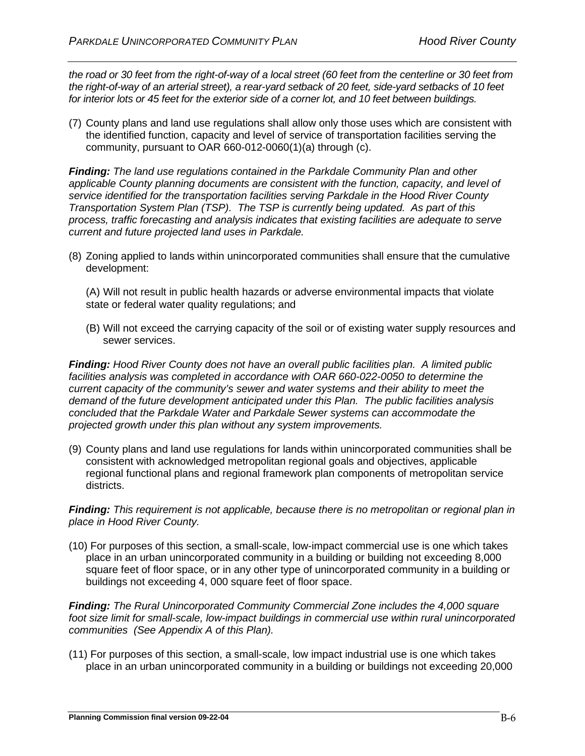*the road or 30 feet from the right-of-way of a local street (60 feet from the centerline or 30 feet from the right-of-way of an arterial street), a rear-yard setback of 20 feet, side-yard setbacks of 10 feet for interior lots or 45 feet for the exterior side of a corner lot, and 10 feet between buildings.*

(7) County plans and land use regulations shall allow only those uses which are consistent with the identified function, capacity and level of service of transportation facilities serving the community, pursuant to OAR 660-012-0060(1)(a) through (c).

*Finding: The land use regulations contained in the Parkdale Community Plan and other applicable County planning documents are consistent with the function, capacity, and level of service identified for the transportation facilities serving Parkdale in the Hood River County Transportation System Plan (TSP). The TSP is currently being updated. As part of this process, traffic forecasting and analysis indicates that existing facilities are adequate to serve current and future projected land uses in Parkdale.*

(8) Zoning applied to lands within unincorporated communities shall ensure that the cumulative development:

(A) Will not result in public health hazards or adverse environmental impacts that violate state or federal water quality regulations; and

(B) Will not exceed the carrying capacity of the soil or of existing water supply resources and sewer services.

*Finding: Hood River County does not have an overall public facilities plan. A limited public facilities analysis was completed in accordance with OAR 660-022-0050 to determine the current capacity of the community's sewer and water systems and their ability to meet the demand of the future development anticipated under this Plan. The public facilities analysis concluded that the Parkdale Water and Parkdale Sewer systems can accommodate the projected growth under this plan without any system improvements.* 

(9) County plans and land use regulations for lands within unincorporated communities shall be consistent with acknowledged metropolitan regional goals and objectives, applicable regional functional plans and regional framework plan components of metropolitan service districts.

*Finding: This requirement is not applicable, because there is no metropolitan or regional plan in place in Hood River County.*

(10) For purposes of this section, a small-scale, low-impact commercial use is one which takes place in an urban unincorporated community in a building or building not exceeding 8,000 square feet of floor space, or in any other type of unincorporated community in a building or buildings not exceeding 4, 000 square feet of floor space.

*Finding: The Rural Unincorporated Community Commercial Zone includes the 4,000 square foot size limit for small-scale, low-impact buildings in commercial use within rural unincorporated communities (See Appendix A of this Plan).*

(11) For purposes of this section, a small-scale, low impact industrial use is one which takes place in an urban unincorporated community in a building or buildings not exceeding 20,000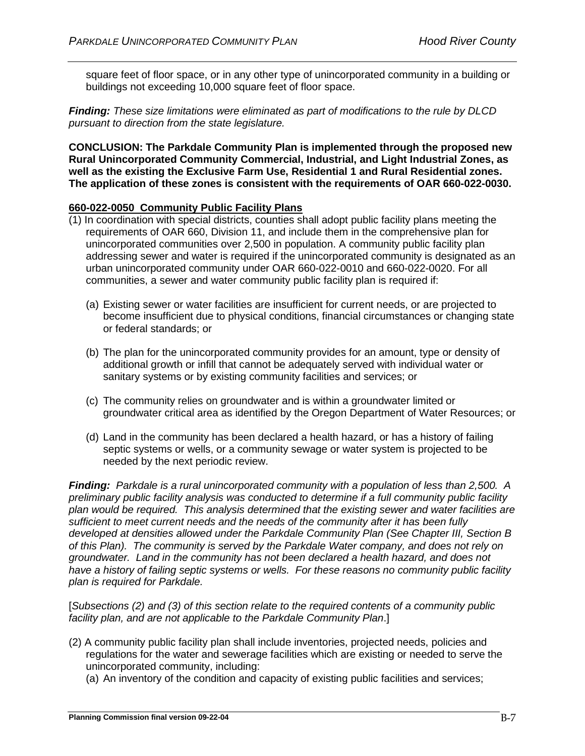square feet of floor space, or in any other type of unincorporated community in a building or buildings not exceeding 10,000 square feet of floor space.

*Finding: These size limitations were eliminated as part of modifications to the rule by DLCD pursuant to direction from the state legislature.*

**CONCLUSION: The Parkdale Community Plan is implemented through the proposed new Rural Unincorporated Community Commercial, Industrial, and Light Industrial Zones, as well as the existing the Exclusive Farm Use, Residential 1 and Rural Residential zones. The application of these zones is consistent with the requirements of OAR 660-022-0030.**

# **660-022-0050 Community Public Facility Plans**

- (1) In coordination with special districts, counties shall adopt public facility plans meeting the requirements of OAR 660, Division 11, and include them in the comprehensive plan for unincorporated communities over 2,500 in population. A community public facility plan addressing sewer and water is required if the unincorporated community is designated as an urban unincorporated community under OAR 660-022-0010 and 660-022-0020. For all communities, a sewer and water community public facility plan is required if:
	- (a) Existing sewer or water facilities are insufficient for current needs, or are projected to become insufficient due to physical conditions, financial circumstances or changing state or federal standards; or
	- (b) The plan for the unincorporated community provides for an amount, type or density of additional growth or infill that cannot be adequately served with individual water or sanitary systems or by existing community facilities and services; or
	- (c) The community relies on groundwater and is within a groundwater limited or groundwater critical area as identified by the Oregon Department of Water Resources; or
	- (d) Land in the community has been declared a health hazard, or has a history of failing septic systems or wells, or a community sewage or water system is projected to be needed by the next periodic review.

*Finding: Parkdale is a rural unincorporated community with a population of less than 2,500. A preliminary public facility analysis was conducted to determine if a full community public facility plan would be required. This analysis determined that the existing sewer and water facilities are sufficient to meet current needs and the needs of the community after it has been fully developed at densities allowed under the Parkdale Community Plan (See Chapter III, Section B of this Plan). The community is served by the Parkdale Water company, and does not rely on groundwater. Land in the community has not been declared a health hazard, and does not have a history of failing septic systems or wells. For these reasons no community public facility plan is required for Parkdale.*

[*Subsections (2) and (3) of this section relate to the required contents of a community public facility plan, and are not applicable to the Parkdale Community Plan*.]

- (2) A community public facility plan shall include inventories, projected needs, policies and regulations for the water and sewerage facilities which are existing or needed to serve the unincorporated community, including:
	- (a) An inventory of the condition and capacity of existing public facilities and services;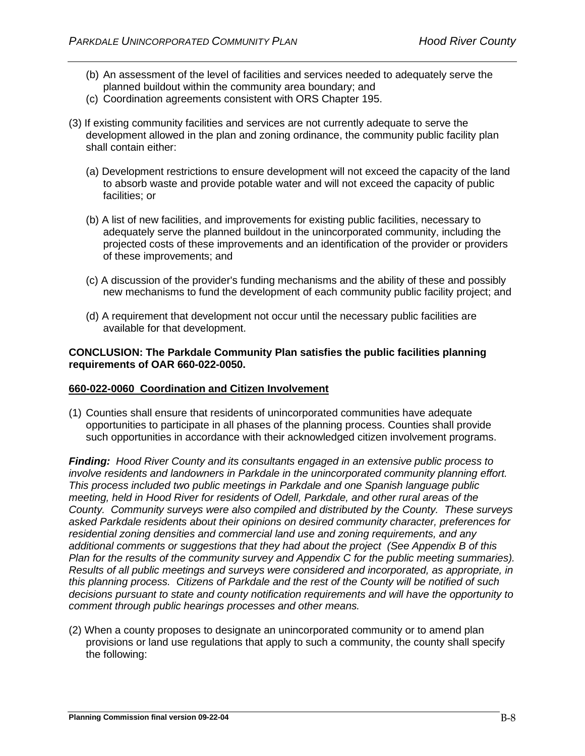- (b) An assessment of the level of facilities and services needed to adequately serve the planned buildout within the community area boundary; and
- (c) Coordination agreements consistent with ORS Chapter 195.
- (3) If existing community facilities and services are not currently adequate to serve the development allowed in the plan and zoning ordinance, the community public facility plan shall contain either:
	- (a) Development restrictions to ensure development will not exceed the capacity of the land to absorb waste and provide potable water and will not exceed the capacity of public facilities; or
	- (b) A list of new facilities, and improvements for existing public facilities, necessary to adequately serve the planned buildout in the unincorporated community, including the projected costs of these improvements and an identification of the provider or providers of these improvements; and
	- (c) A discussion of the provider's funding mechanisms and the ability of these and possibly new mechanisms to fund the development of each community public facility project; and
	- (d) A requirement that development not occur until the necessary public facilities are available for that development.

## **CONCLUSION: The Parkdale Community Plan satisfies the public facilities planning requirements of OAR 660-022-0050.**

# **660-022-0060 Coordination and Citizen Involvement**

(1) Counties shall ensure that residents of unincorporated communities have adequate opportunities to participate in all phases of the planning process. Counties shall provide such opportunities in accordance with their acknowledged citizen involvement programs.

*Finding: Hood River County and its consultants engaged in an extensive public process to involve residents and landowners in Parkdale in the unincorporated community planning effort. This process included two public meetings in Parkdale and one Spanish language public meeting, held in Hood River for residents of Odell, Parkdale, and other rural areas of the County. Community surveys were also compiled and distributed by the County. These surveys asked Parkdale residents about their opinions on desired community character, preferences for residential zoning densities and commercial land use and zoning requirements, and any additional comments or suggestions that they had about the project (See Appendix B of this Plan for the results of the community survey and Appendix C for the public meeting summaries). Results of all public meetings and surveys were considered and incorporated, as appropriate, in this planning process. Citizens of Parkdale and the rest of the County will be notified of such decisions pursuant to state and county notification requirements and will have the opportunity to comment through public hearings processes and other means.*

(2) When a county proposes to designate an unincorporated community or to amend plan provisions or land use regulations that apply to such a community, the county shall specify the following: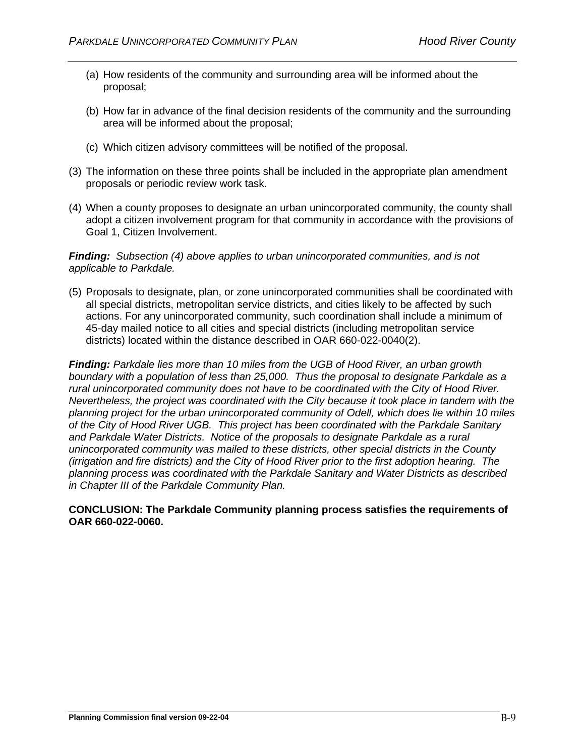- (a) How residents of the community and surrounding area will be informed about the proposal;
- (b) How far in advance of the final decision residents of the community and the surrounding area will be informed about the proposal;
- (c) Which citizen advisory committees will be notified of the proposal.
- (3) The information on these three points shall be included in the appropriate plan amendment proposals or periodic review work task.
- (4) When a county proposes to designate an urban unincorporated community, the county shall adopt a citizen involvement program for that community in accordance with the provisions of Goal 1, Citizen Involvement.

## *Finding: Subsection (4) above applies to urban unincorporated communities, and is not applicable to Parkdale.*

(5) Proposals to designate, plan, or zone unincorporated communities shall be coordinated with all special districts, metropolitan service districts, and cities likely to be affected by such actions. For any unincorporated community, such coordination shall include a minimum of 45-day mailed notice to all cities and special districts (including metropolitan service districts) located within the distance described in OAR 660-022-0040(2).

*Finding: Parkdale lies more than 10 miles from the UGB of Hood River, an urban growth boundary with a population of less than 25,000. Thus the proposal to designate Parkdale as a rural unincorporated community does not have to be coordinated with the City of Hood River. Nevertheless, the project was coordinated with the City because it took place in tandem with the planning project for the urban unincorporated community of Odell, which does lie within 10 miles of the City of Hood River UGB. This project has been coordinated with the Parkdale Sanitary and Parkdale Water Districts. Notice of the proposals to designate Parkdale as a rural unincorporated community was mailed to these districts, other special districts in the County (irrigation and fire districts) and the City of Hood River prior to the first adoption hearing. The planning process was coordinated with the Parkdale Sanitary and Water Districts as described in Chapter III of the Parkdale Community Plan.* 

**CONCLUSION: The Parkdale Community planning process satisfies the requirements of OAR 660-022-0060.**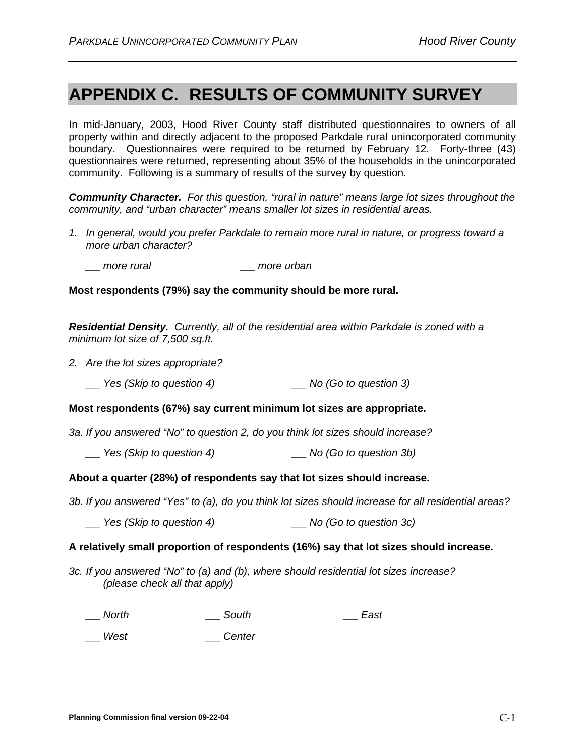# **APPENDIX C. RESULTS OF COMMUNITY SURVEY**

In mid-January, 2003, Hood River County staff distributed questionnaires to owners of all property within and directly adjacent to the proposed Parkdale rural unincorporated community boundary. Questionnaires were required to be returned by February 12. Forty-three (43) questionnaires were returned, representing about 35% of the households in the unincorporated community. Following is a summary of results of the survey by question.

*Community Character. For this question, "rural in nature" means large lot sizes throughout the community, and "urban character" means smaller lot sizes in residential areas.* 

- *1. In general, would you prefer Parkdale to remain more rural in nature, or progress toward a more urban character?*
	- *\_\_ more rural \_\_ more urban*

## **Most respondents (79%) say the community should be more rural.**

*Residential Density. Currently, all of the residential area within Parkdale is zoned with a minimum lot size of 7,500 sq.ft.*

- *2. Are the lot sizes appropriate?*
	- *\_\_ Yes (Skip to question 4) \_\_ No (Go to question 3)*

#### **Most respondents (67%) say current minimum lot sizes are appropriate.**

*3a. If you answered "No" to question 2, do you think lot sizes should increase?*

*\_\_ Yes (Skip to question 4) \_\_ No (Go to question 3b)*

#### **About a quarter (28%) of respondents say that lot sizes should increase.**

*3b. If you answered "Yes" to (a), do you think lot sizes should increase for all residential areas?*

*\_\_ Yes (Skip to question 4) \_\_ No (Go to question 3c)*

#### **A relatively small proportion of respondents (16%) say that lot sizes should increase.**

*3c. If you answered "No" to (a) and (b), where should residential lot sizes increase? (please check all that apply)*

*\_\_ North \_\_ South \_\_ East*

*\_\_ West \_\_ Center*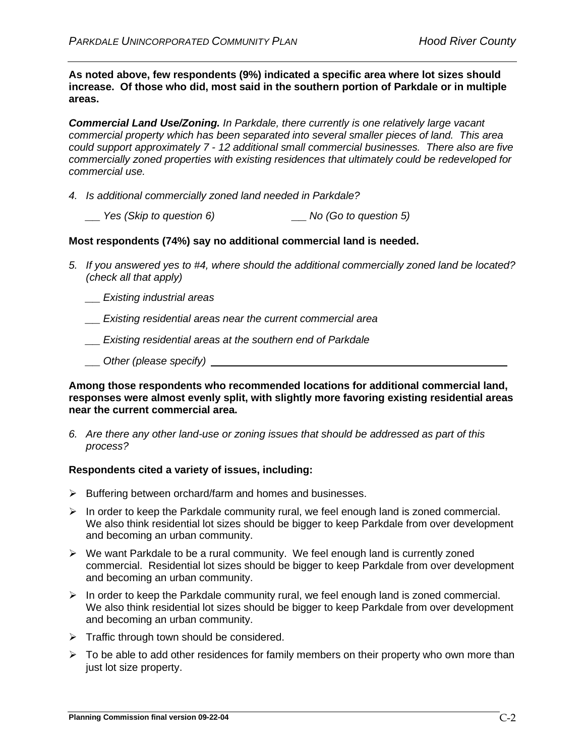**As noted above, few respondents (9%) indicated a specific area where lot sizes should increase. Of those who did, most said in the southern portion of Parkdale or in multiple areas.**

*Commercial Land Use/Zoning. In Parkdale, there currently is one relatively large vacant commercial property which has been separated into several smaller pieces of land. This area could support approximately 7 - 12 additional small commercial businesses. There also are five commercially zoned properties with existing residences that ultimately could be redeveloped for commercial use.*

*4. Is additional commercially zoned land needed in Parkdale?*

*\_\_ Yes (Skip to question 6) \_\_ No (Go to question 5)*

# **Most respondents (74%) say no additional commercial land is needed.**

*5. If you answered yes to #4, where should the additional commercially zoned land be located? (check all that apply)*

*\_\_ Existing industrial areas*

*\_\_ Existing residential areas near the current commercial area*

*\_\_ Existing residential areas at the southern end of Parkdale*

*\_\_ Other (please specify)*

**Among those respondents who recommended locations for additional commercial land, responses were almost evenly split, with slightly more favoring existing residential areas near the current commercial area.**

*6. Are there any other land-use or zoning issues that should be addressed as part of this process?*

# **Respondents cited a variety of issues, including:**

- $\triangleright$  Buffering between orchard/farm and homes and businesses.
- $\triangleright$  In order to keep the Parkdale community rural, we feel enough land is zoned commercial. We also think residential lot sizes should be bigger to keep Parkdale from over development and becoming an urban community.
- $\triangleright$  We want Parkdale to be a rural community. We feel enough land is currently zoned commercial. Residential lot sizes should be bigger to keep Parkdale from over development and becoming an urban community.
- $\triangleright$  In order to keep the Parkdale community rural, we feel enough land is zoned commercial. We also think residential lot sizes should be bigger to keep Parkdale from over development and becoming an urban community.
- $\triangleright$  Traffic through town should be considered.
- $\triangleright$  To be able to add other residences for family members on their property who own more than just lot size property.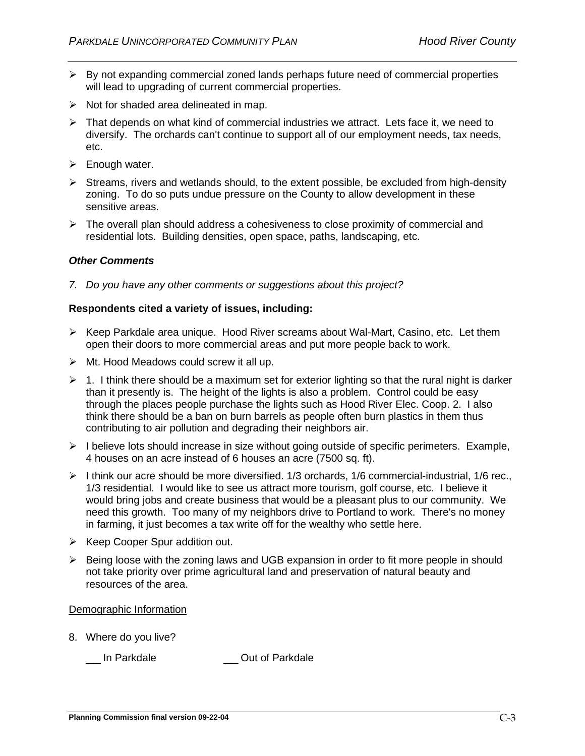- $\triangleright$  By not expanding commercial zoned lands perhaps future need of commercial properties will lead to upgrading of current commercial properties.
- $\triangleright$  Not for shaded area delineated in map.
- $\triangleright$  That depends on what kind of commercial industries we attract. Lets face it, we need to diversify. The orchards can't continue to support all of our employment needs, tax needs, etc.
- $\triangleright$  Enough water.
- $\triangleright$  Streams, rivers and wetlands should, to the extent possible, be excluded from high-density zoning. To do so puts undue pressure on the County to allow development in these sensitive areas.
- $\triangleright$  The overall plan should address a cohesiveness to close proximity of commercial and residential lots. Building densities, open space, paths, landscaping, etc.

# *Other Comments*

*7. Do you have any other comments or suggestions about this project?*

# **Respondents cited a variety of issues, including:**

- $\triangleright$  Keep Parkdale area unique. Hood River screams about Wal-Mart, Casino, etc. Let them open their doors to more commercial areas and put more people back to work.
- $\triangleright$  Mt. Hood Meadows could screw it all up.
- $\geq 1$ . I think there should be a maximum set for exterior lighting so that the rural night is darker than it presently is. The height of the lights is also a problem. Control could be easy through the places people purchase the lights such as Hood River Elec. Coop. 2. I also think there should be a ban on burn barrels as people often burn plastics in them thus contributing to air pollution and degrading their neighbors air.
- $\triangleright$  I believe lots should increase in size without going outside of specific perimeters. Example, 4 houses on an acre instead of 6 houses an acre (7500 sq. ft).
- $\triangleright$  I think our acre should be more diversified. 1/3 orchards, 1/6 commercial-industrial, 1/6 rec., 1/3 residential. I would like to see us attract more tourism, golf course, etc. I believe it would bring jobs and create business that would be a pleasant plus to our community. We need this growth. Too many of my neighbors drive to Portland to work. There's no money in farming, it just becomes a tax write off for the wealthy who settle here.
- $\triangleright$  Keep Cooper Spur addition out.
- $\triangleright$  Being loose with the zoning laws and UGB expansion in order to fit more people in should not take priority over prime agricultural land and preservation of natural beauty and resources of the area.

# Demographic Information

8. Where do you live?

\_\_ In Parkdale \_\_ Out of Parkdale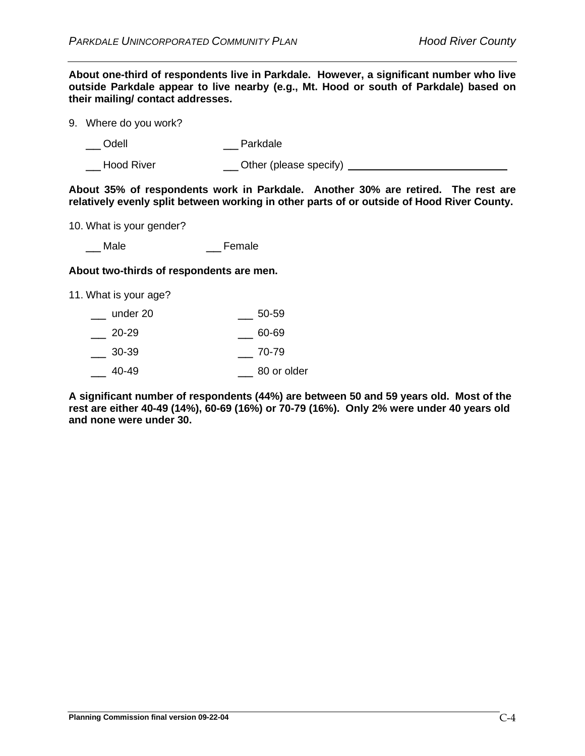**About one-third of respondents live in Parkdale. However, a significant number who live outside Parkdale appear to live nearby (e.g., Mt. Hood or south of Parkdale) based on their mailing/ contact addresses.**

9. Where do you work?

\_\_ Odell \_\_ Parkdale

\_\_ Hood River \_\_ Other (please specify)

**About 35% of respondents work in Parkdale. Another 30% are retired. The rest are relatively evenly split between working in other parts of or outside of Hood River County.**

10. What is your gender?

\_\_Male **Definitive** Female

## **About two-thirds of respondents are men.**

11. What is your age?

| under 20 | 50-59 |
|----------|-------|
|----------|-------|

\_\_ 20-29 \_\_ 60-69

- $\frac{1}{2}$  30-39  $\frac{1}{2}$  70-79
- \_\_ 40-49 \_\_ 80 or older

**A significant number of respondents (44%) are between 50 and 59 years old. Most of the rest are either 40-49 (14%), 60-69 (16%) or 70-79 (16%). Only 2% were under 40 years old and none were under 30.**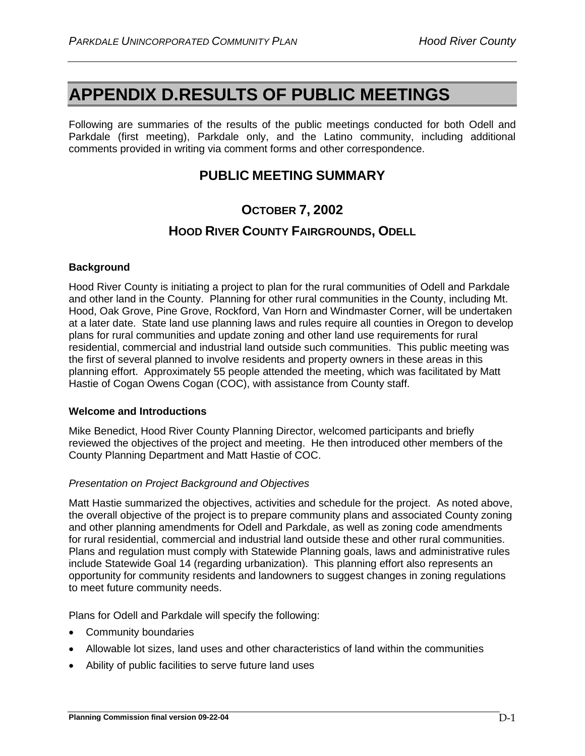# **APPENDIX D.RESULTS OF PUBLIC MEETINGS**

Following are summaries of the results of the public meetings conducted for both Odell and Parkdale (first meeting), Parkdale only, and the Latino community, including additional comments provided in writing via comment forms and other correspondence.

# **PUBLIC MEETING SUMMARY**

# **OCTOBER 7, 2002**

# **HOOD RIVER COUNTY FAIRGROUNDS, ODELL**

# **Background**

Hood River County is initiating a project to plan for the rural communities of Odell and Parkdale and other land in the County. Planning for other rural communities in the County, including Mt. Hood, Oak Grove, Pine Grove, Rockford, Van Horn and Windmaster Corner, will be undertaken at a later date. State land use planning laws and rules require all counties in Oregon to develop plans for rural communities and update zoning and other land use requirements for rural residential, commercial and industrial land outside such communities. This public meeting was the first of several planned to involve residents and property owners in these areas in this planning effort. Approximately 55 people attended the meeting, which was facilitated by Matt Hastie of Cogan Owens Cogan (COC), with assistance from County staff.

# **Welcome and Introductions**

Mike Benedict, Hood River County Planning Director, welcomed participants and briefly reviewed the objectives of the project and meeting. He then introduced other members of the County Planning Department and Matt Hastie of COC.

# *Presentation on Project Background and Objectives*

Matt Hastie summarized the objectives, activities and schedule for the project. As noted above, the overall objective of the project is to prepare community plans and associated County zoning and other planning amendments for Odell and Parkdale, as well as zoning code amendments for rural residential, commercial and industrial land outside these and other rural communities. Plans and regulation must comply with Statewide Planning goals, laws and administrative rules include Statewide Goal 14 (regarding urbanization). This planning effort also represents an opportunity for community residents and landowners to suggest changes in zoning regulations to meet future community needs.

Plans for Odell and Parkdale will specify the following:

- Community boundaries
- Allowable lot sizes, land uses and other characteristics of land within the communities
- Ability of public facilities to serve future land uses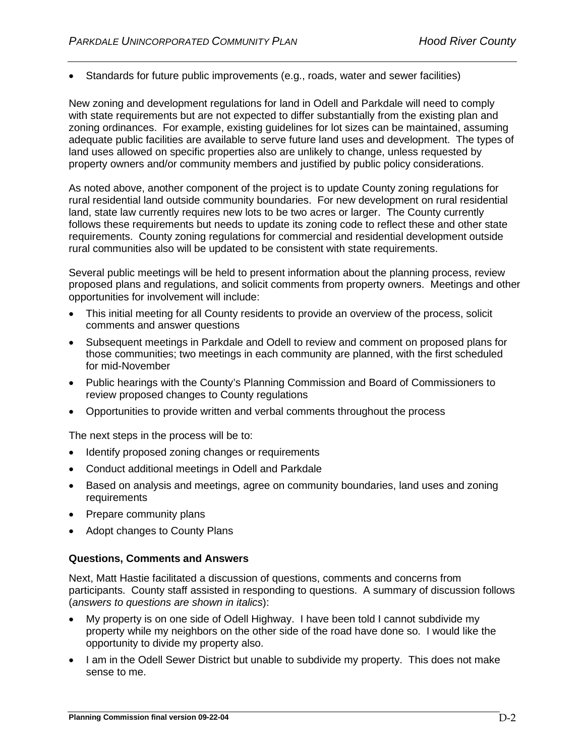• Standards for future public improvements (e.g., roads, water and sewer facilities)

New zoning and development regulations for land in Odell and Parkdale will need to comply with state requirements but are not expected to differ substantially from the existing plan and zoning ordinances. For example, existing guidelines for lot sizes can be maintained, assuming adequate public facilities are available to serve future land uses and development. The types of land uses allowed on specific properties also are unlikely to change, unless requested by property owners and/or community members and justified by public policy considerations.

As noted above, another component of the project is to update County zoning regulations for rural residential land outside community boundaries. For new development on rural residential land, state law currently requires new lots to be two acres or larger. The County currently follows these requirements but needs to update its zoning code to reflect these and other state requirements. County zoning regulations for commercial and residential development outside rural communities also will be updated to be consistent with state requirements.

Several public meetings will be held to present information about the planning process, review proposed plans and regulations, and solicit comments from property owners. Meetings and other opportunities for involvement will include:

- This initial meeting for all County residents to provide an overview of the process, solicit comments and answer questions
- Subsequent meetings in Parkdale and Odell to review and comment on proposed plans for those communities; two meetings in each community are planned, with the first scheduled for mid-November
- Public hearings with the County's Planning Commission and Board of Commissioners to review proposed changes to County regulations
- Opportunities to provide written and verbal comments throughout the process

The next steps in the process will be to:

- Identify proposed zoning changes or requirements
- Conduct additional meetings in Odell and Parkdale
- Based on analysis and meetings, agree on community boundaries, land uses and zoning requirements
- Prepare community plans
- Adopt changes to County Plans

# **Questions, Comments and Answers**

Next, Matt Hastie facilitated a discussion of questions, comments and concerns from participants. County staff assisted in responding to questions. A summary of discussion follows (*answers to questions are shown in italics*):

- My property is on one side of Odell Highway. I have been told I cannot subdivide my property while my neighbors on the other side of the road have done so. I would like the opportunity to divide my property also.
- I am in the Odell Sewer District but unable to subdivide my property. This does not make sense to me.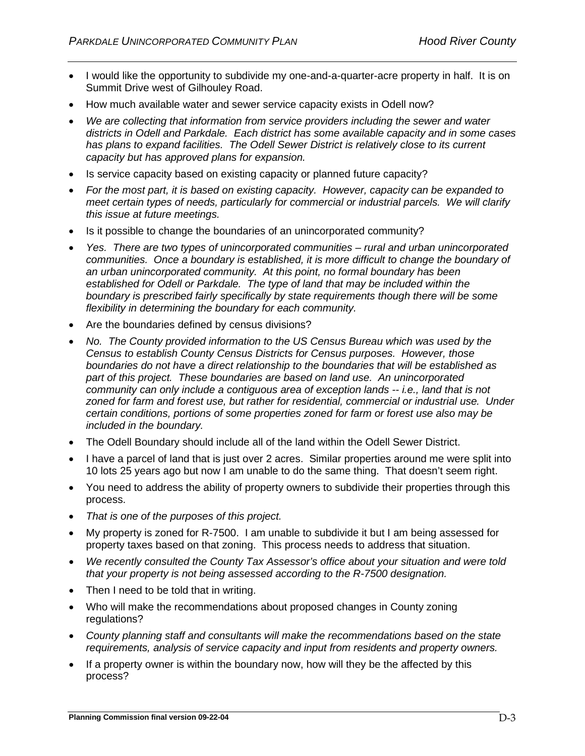- I would like the opportunity to subdivide my one-and-a-quarter-acre property in half. It is on Summit Drive west of Gilhouley Road.
- How much available water and sewer service capacity exists in Odell now?
- *We are collecting that information from service providers including the sewer and water districts in Odell and Parkdale. Each district has some available capacity and in some cases has plans to expand facilities. The Odell Sewer District is relatively close to its current capacity but has approved plans for expansion.*
- Is service capacity based on existing capacity or planned future capacity?
- *For the most part, it is based on existing capacity. However, capacity can be expanded to meet certain types of needs, particularly for commercial or industrial parcels. We will clarify this issue at future meetings.*
- Is it possible to change the boundaries of an unincorporated community?
- *Yes. There are two types of unincorporated communities – rural and urban unincorporated communities. Once a boundary is established, it is more difficult to change the boundary of an urban unincorporated community. At this point, no formal boundary has been established for Odell or Parkdale. The type of land that may be included within the boundary is prescribed fairly specifically by state requirements though there will be some flexibility in determining the boundary for each community.*
- Are the boundaries defined by census divisions?
- *No. The County provided information to the US Census Bureau which was used by the Census to establish County Census Districts for Census purposes. However, those boundaries do not have a direct relationship to the boundaries that will be established as part of this project. These boundaries are based on land use. An unincorporated community can only include a contiguous area of exception lands -- i.e., land that is not zoned for farm and forest use, but rather for residential, commercial or industrial use. Under certain conditions, portions of some properties zoned for farm or forest use also may be included in the boundary.*
- The Odell Boundary should include all of the land within the Odell Sewer District.
- I have a parcel of land that is just over 2 acres. Similar properties around me were split into 10 lots 25 years ago but now I am unable to do the same thing. That doesn't seem right.
- You need to address the ability of property owners to subdivide their properties through this process.
- *That is one of the purposes of this project.*
- My property is zoned for R-7500. I am unable to subdivide it but I am being assessed for property taxes based on that zoning. This process needs to address that situation.
- *We recently consulted the County Tax Assessor's office about your situation and were told that your property is not being assessed according to the R-7500 designation.*
- Then I need to be told that in writing.
- Who will make the recommendations about proposed changes in County zoning regulations?
- *County planning staff and consultants will make the recommendations based on the state requirements, analysis of service capacity and input from residents and property owners.*
- If a property owner is within the boundary now, how will they be the affected by this process?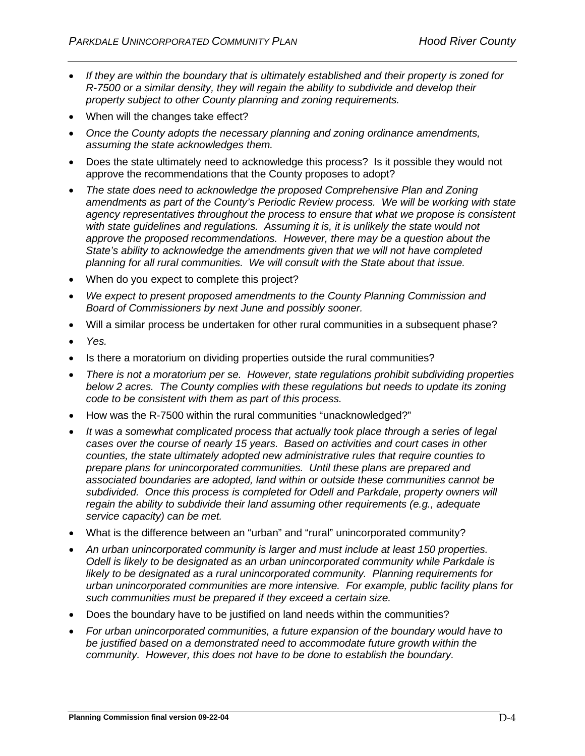- *If they are within the boundary that is ultimately established and their property is zoned for R-7500 or a similar density, they will regain the ability to subdivide and develop their property subject to other County planning and zoning requirements.*
- When will the changes take effect?
- *Once the County adopts the necessary planning and zoning ordinance amendments, assuming the state acknowledges them.*
- Does the state ultimately need to acknowledge this process? Is it possible they would not approve the recommendations that the County proposes to adopt?
- *The state does need to acknowledge the proposed Comprehensive Plan and Zoning amendments as part of the County's Periodic Review process. We will be working with state agency representatives throughout the process to ensure that what we propose is consistent with state guidelines and regulations. Assuming it is, it is unlikely the state would not approve the proposed recommendations. However, there may be a question about the State's ability to acknowledge the amendments given that we will not have completed planning for all rural communities. We will consult with the State about that issue.*
- When do you expect to complete this project?
- *We expect to present proposed amendments to the County Planning Commission and Board of Commissioners by next June and possibly sooner.*
- Will a similar process be undertaken for other rural communities in a subsequent phase?
- *Yes.*
- Is there a moratorium on dividing properties outside the rural communities?
- *There is not a moratorium per se. However, state regulations prohibit subdividing properties below 2 acres. The County complies with these regulations but needs to update its zoning code to be consistent with them as part of this process.*
- How was the R-7500 within the rural communities "unacknowledged?"
- *It was a somewhat complicated process that actually took place through a series of legal cases over the course of nearly 15 years. Based on activities and court cases in other counties, the state ultimately adopted new administrative rules that require counties to prepare plans for unincorporated communities. Until these plans are prepared and associated boundaries are adopted, land within or outside these communities cannot be subdivided. Once this process is completed for Odell and Parkdale, property owners will regain the ability to subdivide their land assuming other requirements (e.g., adequate service capacity) can be met.*
- What is the difference between an "urban" and "rural" unincorporated community?
- *An urban unincorporated community is larger and must include at least 150 properties. Odell is likely to be designated as an urban unincorporated community while Parkdale is likely to be designated as a rural unincorporated community. Planning requirements for urban unincorporated communities are more intensive. For example, public facility plans for such communities must be prepared if they exceed a certain size.*
- Does the boundary have to be justified on land needs within the communities?
- *For urban unincorporated communities, a future expansion of the boundary would have to be justified based on a demonstrated need to accommodate future growth within the community. However, this does not have to be done to establish the boundary.*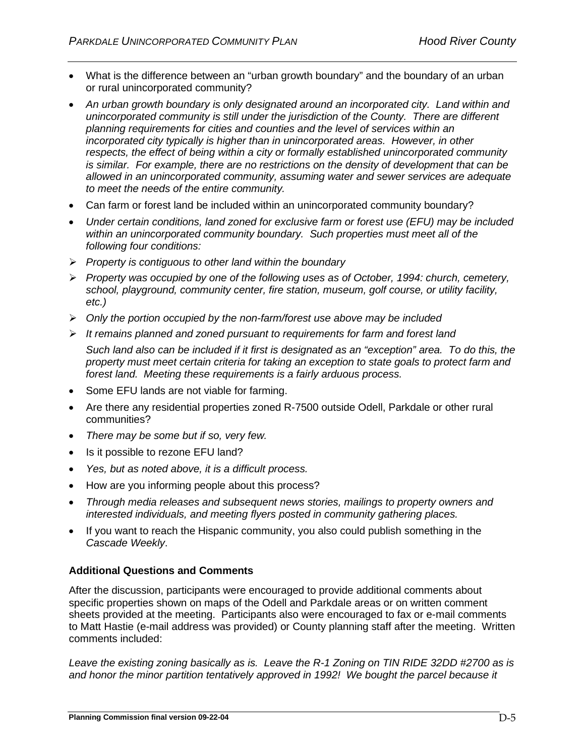- What is the difference between an "urban growth boundary" and the boundary of an urban or rural unincorporated community?
- *An urban growth boundary is only designated around an incorporated city. Land within and unincorporated community is still under the jurisdiction of the County. There are different planning requirements for cities and counties and the level of services within an incorporated city typically is higher than in unincorporated areas. However, in other respects, the effect of being within a city or formally established unincorporated community is similar. For example, there are no restrictions on the density of development that can be allowed in an unincorporated community, assuming water and sewer services are adequate to meet the needs of the entire community.*
- Can farm or forest land be included within an unincorporated community boundary?
- *Under certain conditions, land zoned for exclusive farm or forest use (EFU) may be included within an unincorporated community boundary. Such properties must meet all of the following four conditions:*
- *Property is contiguous to other land within the boundary*
- *Property was occupied by one of the following uses as of October, 1994: church, cemetery, school, playground, community center, fire station, museum, golf course, or utility facility, etc.)*
- *Only the portion occupied by the non-farm/forest use above may be included*
- *It remains planned and zoned pursuant to requirements for farm and forest land*

*Such land also can be included if it first is designated as an "exception" area. To do this, the property must meet certain criteria for taking an exception to state goals to protect farm and forest land. Meeting these requirements is a fairly arduous process.*

- Some EFU lands are not viable for farming.
- Are there any residential properties zoned R-7500 outside Odell, Parkdale or other rural communities?
- *There may be some but if so, very few.*
- Is it possible to rezone EFU land?
- *Yes, but as noted above, it is a difficult process.*
- How are you informing people about this process?
- *Through media releases and subsequent news stories, mailings to property owners and interested individuals, and meeting flyers posted in community gathering places.*
- If you want to reach the Hispanic community, you also could publish something in the *Cascade Weekly*.

# **Additional Questions and Comments**

After the discussion, participants were encouraged to provide additional comments about specific properties shown on maps of the Odell and Parkdale areas or on written comment sheets provided at the meeting. Participants also were encouraged to fax or e-mail comments to Matt Hastie (e-mail address was provided) or County planning staff after the meeting. Written comments included:

*Leave the existing zoning basically as is. Leave the R-1 Zoning on TIN RIDE 32DD #2700 as is and honor the minor partition tentatively approved in 1992! We bought the parcel because it*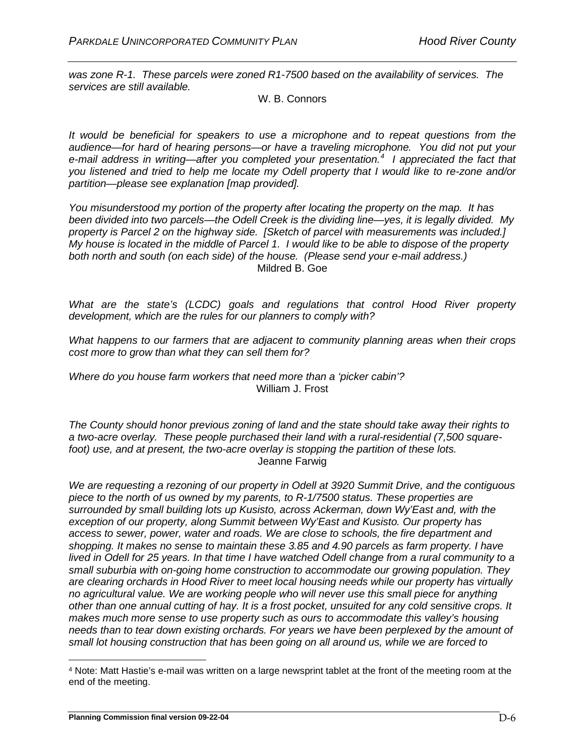*was zone R-1. These parcels were zoned R1-7500 based on the availability of services. The services are still available.* 

W. B. Connors

*It would be beneficial for speakers to use a microphone and to repeat questions from the audience—for hard of hearing persons—or have a traveling microphone. You did not put your e-mail address in writing—after you completed your presentation.[4](#page-59-0) I appreciated the fact that you listened and tried to help me locate my Odell property that I would like to re-zone and/or partition—please see explanation [map provided].* 

*You misunderstood my portion of the property after locating the property on the map. It has been divided into two parcels—the Odell Creek is the dividing line—yes, it is legally divided. My property is Parcel 2 on the highway side. [Sketch of parcel with measurements was included.] My house is located in the middle of Parcel 1. I would like to be able to dispose of the property both north and south (on each side) of the house. (Please send your e-mail address.)* Mildred B. Goe

*What are the state's (LCDC) goals and regulations that control Hood River property development, which are the rules for our planners to comply with?*

*What happens to our farmers that are adjacent to community planning areas when their crops cost more to grow than what they can sell them for?*

*Where do you house farm workers that need more than a 'picker cabin'?*  William J. Frost

*The County should honor previous zoning of land and the state should take away their rights to a two-acre overlay. These people purchased their land with a rural-residential (7,500 squarefoot) use, and at present, the two-acre overlay is stopping the partition of these lots.*  Jeanne Farwig

*We are requesting a rezoning of our property in Odell at 3920 Summit Drive, and the contiguous piece to the north of us owned by my parents, to R-1/7500 status. These properties are surrounded by small building lots up Kusisto, across Ackerman, down Wy'East and, with the exception of our property, along Summit between Wy'East and Kusisto. Our property has access to sewer, power, water and roads. We are close to schools, the fire department and shopping. It makes no sense to maintain these 3.85 and 4.90 parcels as farm property. I have lived in Odell for 25 years. In that time I have watched Odell change from a rural community to a small suburbia with on-going home construction to accommodate our growing population. They are clearing orchards in Hood River to meet local housing needs while our property has virtually no agricultural value. We are working people who will never use this small piece for anything other than one annual cutting of hay. It is a frost pocket, unsuited for any cold sensitive crops. It makes much more sense to use property such as ours to accommodate this valley's housing needs than to tear down existing orchards. For years we have been perplexed by the amount of small lot housing construction that has been going on all around us, while we are forced to* 

<span id="page-59-0"></span><sup>4</sup> Note: Matt Hastie's e-mail was written on a large newsprint tablet at the front of the meeting room at the end of the meeting.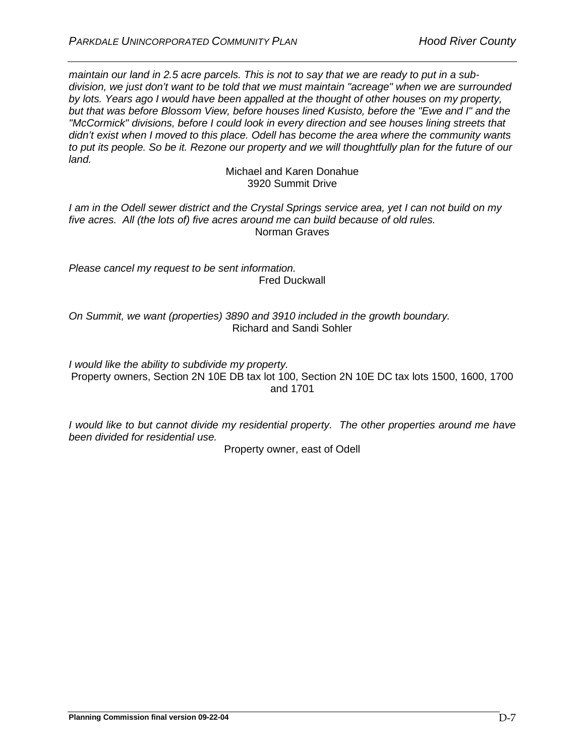*maintain our land in 2.5 acre parcels. This is not to say that we are ready to put in a subdivision, we just don't want to be told that we must maintain "acreage" when we are surrounded by lots. Years ago I would have been appalled at the thought of other houses on my property, but that was before Blossom View, before houses lined Kusisto, before the "Ewe and I" and the "McCormick" divisions, before I could look in every direction and see houses lining streets that didn't exist when I moved to this place. Odell has become the area where the community wants to put its people. So be it. Rezone our property and we will thoughtfully plan for the future of our land.* 

> Michael and Karen Donahue 3920 Summit Drive

*I am in the Odell sewer district and the Crystal Springs service area, yet I can not build on my five acres. All (the lots of) five acres around me can build because of old rules.* Norman Graves

*Please cancel my request to be sent information.* Fred Duckwall

*On Summit, we want (properties) 3890 and 3910 included in the growth boundary.* Richard and Sandi Sohler

*I would like the ability to subdivide my property.* Property owners, Section 2N 10E DB tax lot 100, Section 2N 10E DC tax lots 1500, 1600, 1700 and 1701

*I would like to but cannot divide my residential property. The other properties around me have been divided for residential use.*

Property owner, east of Odell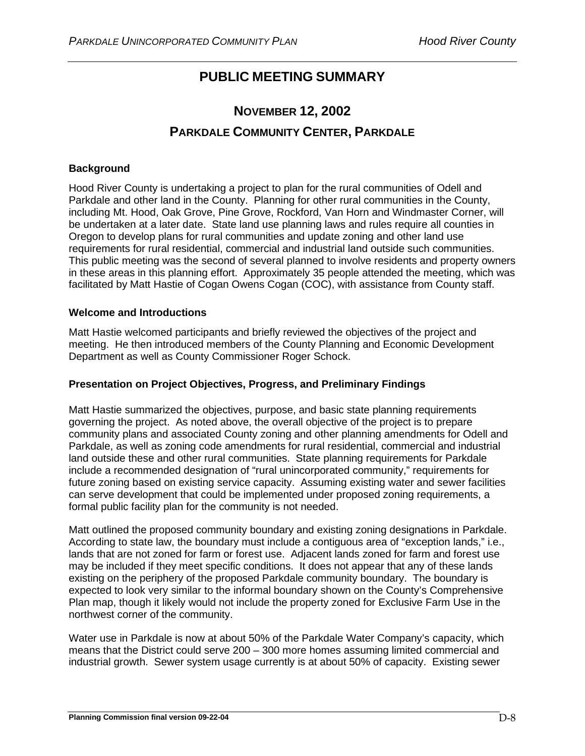# **PUBLIC MEETING SUMMARY**

# **NOVEMBER 12, 2002 PARKDALE COMMUNITY CENTER, PARKDALE**

# **Background**

Hood River County is undertaking a project to plan for the rural communities of Odell and Parkdale and other land in the County. Planning for other rural communities in the County, including Mt. Hood, Oak Grove, Pine Grove, Rockford, Van Horn and Windmaster Corner, will be undertaken at a later date. State land use planning laws and rules require all counties in Oregon to develop plans for rural communities and update zoning and other land use requirements for rural residential, commercial and industrial land outside such communities. This public meeting was the second of several planned to involve residents and property owners in these areas in this planning effort. Approximately 35 people attended the meeting, which was facilitated by Matt Hastie of Cogan Owens Cogan (COC), with assistance from County staff.

# **Welcome and Introductions**

Matt Hastie welcomed participants and briefly reviewed the objectives of the project and meeting. He then introduced members of the County Planning and Economic Development Department as well as County Commissioner Roger Schock.

# **Presentation on Project Objectives, Progress, and Preliminary Findings**

Matt Hastie summarized the objectives, purpose, and basic state planning requirements governing the project. As noted above, the overall objective of the project is to prepare community plans and associated County zoning and other planning amendments for Odell and Parkdale, as well as zoning code amendments for rural residential, commercial and industrial land outside these and other rural communities. State planning requirements for Parkdale include a recommended designation of "rural unincorporated community," requirements for future zoning based on existing service capacity. Assuming existing water and sewer facilities can serve development that could be implemented under proposed zoning requirements, a formal public facility plan for the community is not needed.

Matt outlined the proposed community boundary and existing zoning designations in Parkdale. According to state law, the boundary must include a contiguous area of "exception lands," i.e., lands that are not zoned for farm or forest use. Adjacent lands zoned for farm and forest use may be included if they meet specific conditions. It does not appear that any of these lands existing on the periphery of the proposed Parkdale community boundary. The boundary is expected to look very similar to the informal boundary shown on the County's Comprehensive Plan map, though it likely would not include the property zoned for Exclusive Farm Use in the northwest corner of the community.

Water use in Parkdale is now at about 50% of the Parkdale Water Company's capacity, which means that the District could serve 200 – 300 more homes assuming limited commercial and industrial growth. Sewer system usage currently is at about 50% of capacity. Existing sewer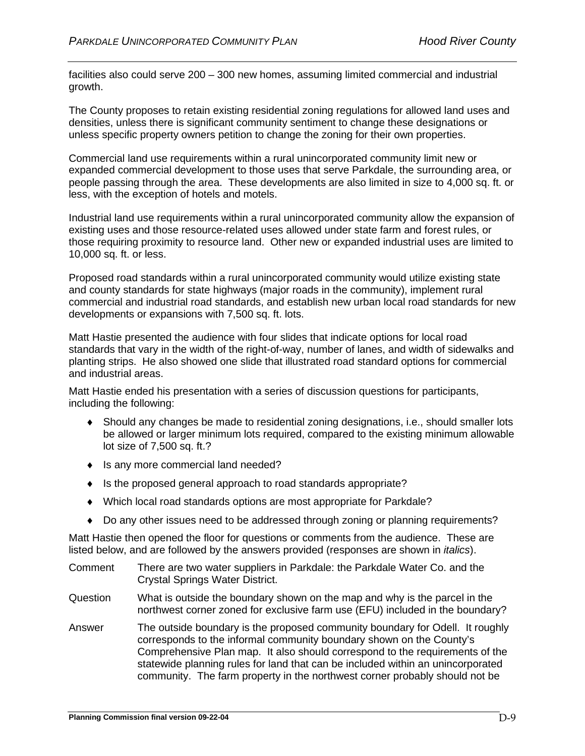facilities also could serve 200 – 300 new homes, assuming limited commercial and industrial growth.

The County proposes to retain existing residential zoning regulations for allowed land uses and densities, unless there is significant community sentiment to change these designations or unless specific property owners petition to change the zoning for their own properties.

Commercial land use requirements within a rural unincorporated community limit new or expanded commercial development to those uses that serve Parkdale, the surrounding area, or people passing through the area. These developments are also limited in size to 4,000 sq. ft. or less, with the exception of hotels and motels.

Industrial land use requirements within a rural unincorporated community allow the expansion of existing uses and those resource-related uses allowed under state farm and forest rules, or those requiring proximity to resource land. Other new or expanded industrial uses are limited to 10,000 sq. ft. or less.

Proposed road standards within a rural unincorporated community would utilize existing state and county standards for state highways (major roads in the community), implement rural commercial and industrial road standards, and establish new urban local road standards for new developments or expansions with 7,500 sq. ft. lots.

Matt Hastie presented the audience with four slides that indicate options for local road standards that vary in the width of the right-of-way, number of lanes, and width of sidewalks and planting strips. He also showed one slide that illustrated road standard options for commercial and industrial areas.

Matt Hastie ended his presentation with a series of discussion questions for participants, including the following:

- ♦ Should any changes be made to residential zoning designations, i.e., should smaller lots be allowed or larger minimum lots required, compared to the existing minimum allowable lot size of 7,500 sq. ft.?
- ♦ Is any more commercial land needed?
- ♦ Is the proposed general approach to road standards appropriate?
- ♦ Which local road standards options are most appropriate for Parkdale?
- ♦ Do any other issues need to be addressed through zoning or planning requirements?

Matt Hastie then opened the floor for questions or comments from the audience. These are listed below, and are followed by the answers provided (responses are shown in *italics*).

- Comment There are two water suppliers in Parkdale: the Parkdale Water Co. and the Crystal Springs Water District.
- Question What is outside the boundary shown on the map and why is the parcel in the northwest corner zoned for exclusive farm use (EFU) included in the boundary?
- Answer The outside boundary is the proposed community boundary for Odell. It roughly corresponds to the informal community boundary shown on the County's Comprehensive Plan map. It also should correspond to the requirements of the statewide planning rules for land that can be included within an unincorporated community. The farm property in the northwest corner probably should not be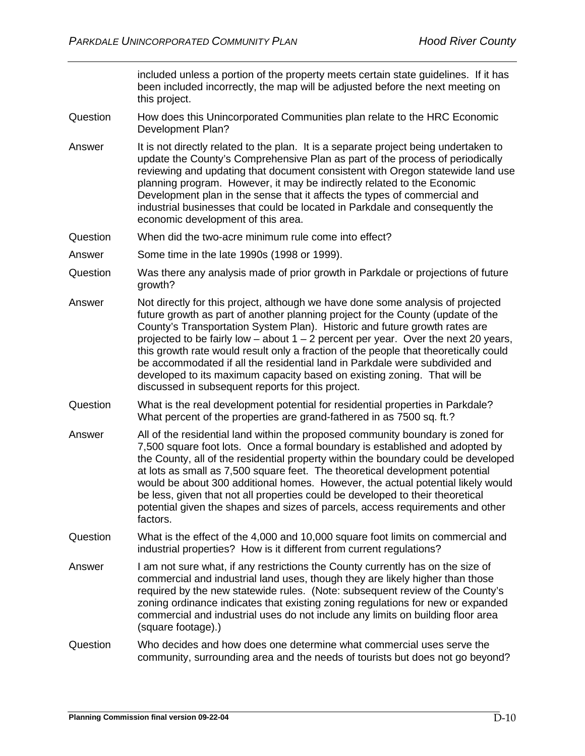included unless a portion of the property meets certain state guidelines. If it has been included incorrectly, the map will be adjusted before the next meeting on this project.

- Question How does this Unincorporated Communities plan relate to the HRC Economic Development Plan?
- Answer It is not directly related to the plan. It is a separate project being undertaken to update the County's Comprehensive Plan as part of the process of periodically reviewing and updating that document consistent with Oregon statewide land use planning program. However, it may be indirectly related to the Economic Development plan in the sense that it affects the types of commercial and industrial businesses that could be located in Parkdale and consequently the economic development of this area.
- Question When did the two-acre minimum rule come into effect?
- Answer Some time in the late 1990s (1998 or 1999).
- Question Was there any analysis made of prior growth in Parkdale or projections of future growth?
- Answer Not directly for this project, although we have done some analysis of projected future growth as part of another planning project for the County (update of the County's Transportation System Plan). Historic and future growth rates are projected to be fairly low – about  $1 - 2$  percent per year. Over the next 20 years, this growth rate would result only a fraction of the people that theoretically could be accommodated if all the residential land in Parkdale were subdivided and developed to its maximum capacity based on existing zoning. That will be discussed in subsequent reports for this project.
- Question What is the real development potential for residential properties in Parkdale? What percent of the properties are grand-fathered in as 7500 sq. ft.?
- Answer All of the residential land within the proposed community boundary is zoned for 7,500 square foot lots. Once a formal boundary is established and adopted by the County, all of the residential property within the boundary could be developed at lots as small as 7,500 square feet. The theoretical development potential would be about 300 additional homes. However, the actual potential likely would be less, given that not all properties could be developed to their theoretical potential given the shapes and sizes of parcels, access requirements and other factors.
- Question What is the effect of the 4,000 and 10,000 square foot limits on commercial and industrial properties? How is it different from current regulations?
- Answer I am not sure what, if any restrictions the County currently has on the size of commercial and industrial land uses, though they are likely higher than those required by the new statewide rules. (Note: subsequent review of the County's zoning ordinance indicates that existing zoning regulations for new or expanded commercial and industrial uses do not include any limits on building floor area (square footage).)
- Question Who decides and how does one determine what commercial uses serve the community, surrounding area and the needs of tourists but does not go beyond?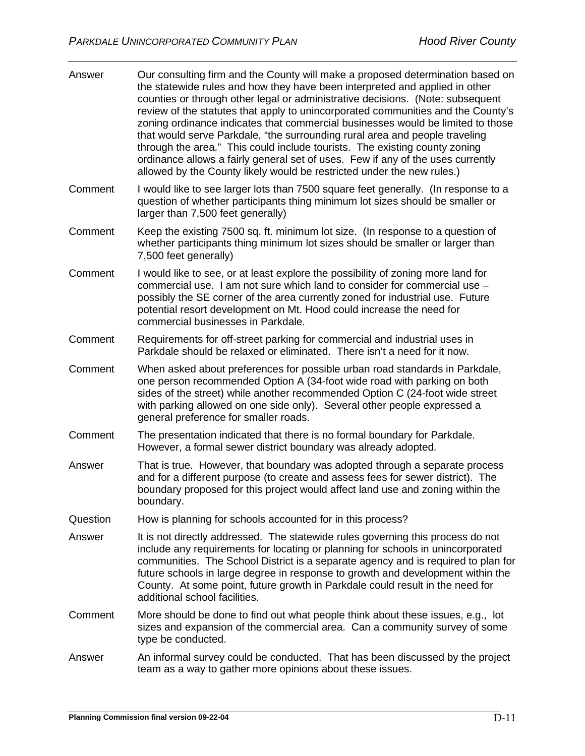| Answer   | Our consulting firm and the County will make a proposed determination based on<br>the statewide rules and how they have been interpreted and applied in other<br>counties or through other legal or administrative decisions. (Note: subsequent<br>review of the statutes that apply to unincorporated communities and the County's<br>zoning ordinance indicates that commercial businesses would be limited to those<br>that would serve Parkdale, "the surrounding rural area and people traveling<br>through the area." This could include tourists. The existing county zoning<br>ordinance allows a fairly general set of uses. Few if any of the uses currently<br>allowed by the County likely would be restricted under the new rules.) |
|----------|--------------------------------------------------------------------------------------------------------------------------------------------------------------------------------------------------------------------------------------------------------------------------------------------------------------------------------------------------------------------------------------------------------------------------------------------------------------------------------------------------------------------------------------------------------------------------------------------------------------------------------------------------------------------------------------------------------------------------------------------------|
| Comment  | I would like to see larger lots than 7500 square feet generally. (In response to a<br>question of whether participants thing minimum lot sizes should be smaller or<br>larger than 7,500 feet generally)                                                                                                                                                                                                                                                                                                                                                                                                                                                                                                                                         |
| Comment  | Keep the existing 7500 sq. ft. minimum lot size. (In response to a question of<br>whether participants thing minimum lot sizes should be smaller or larger than<br>7,500 feet generally)                                                                                                                                                                                                                                                                                                                                                                                                                                                                                                                                                         |
| Comment  | I would like to see, or at least explore the possibility of zoning more land for<br>commercial use. I am not sure which land to consider for commercial use -<br>possibly the SE corner of the area currently zoned for industrial use. Future<br>potential resort development on Mt. Hood could increase the need for<br>commercial businesses in Parkdale.                                                                                                                                                                                                                                                                                                                                                                                     |
| Comment  | Requirements for off-street parking for commercial and industrial uses in<br>Parkdale should be relaxed or eliminated. There isn't a need for it now.                                                                                                                                                                                                                                                                                                                                                                                                                                                                                                                                                                                            |
| Comment  | When asked about preferences for possible urban road standards in Parkdale,<br>one person recommended Option A (34-foot wide road with parking on both<br>sides of the street) while another recommended Option C (24-foot wide street<br>with parking allowed on one side only). Several other people expressed a<br>general preference for smaller roads.                                                                                                                                                                                                                                                                                                                                                                                      |
| Comment  | The presentation indicated that there is no formal boundary for Parkdale.<br>However, a formal sewer district boundary was already adopted.                                                                                                                                                                                                                                                                                                                                                                                                                                                                                                                                                                                                      |
| Answer   | That is true. However, that boundary was adopted through a separate process<br>and for a different purpose (to create and assess fees for sewer district). The<br>boundary proposed for this project would affect land use and zoning within the<br>boundary.                                                                                                                                                                                                                                                                                                                                                                                                                                                                                    |
| Question | How is planning for schools accounted for in this process?                                                                                                                                                                                                                                                                                                                                                                                                                                                                                                                                                                                                                                                                                       |
| Answer   | It is not directly addressed. The statewide rules governing this process do not<br>include any requirements for locating or planning for schools in unincorporated<br>communities. The School District is a separate agency and is required to plan for<br>future schools in large degree in response to growth and development within the<br>County. At some point, future growth in Parkdale could result in the need for<br>additional school facilities.                                                                                                                                                                                                                                                                                     |
| Comment  | More should be done to find out what people think about these issues, e.g., lot<br>sizes and expansion of the commercial area. Can a community survey of some<br>type be conducted.                                                                                                                                                                                                                                                                                                                                                                                                                                                                                                                                                              |
| Answer   | An informal survey could be conducted. That has been discussed by the project<br>team as a way to gather more opinions about these issues.                                                                                                                                                                                                                                                                                                                                                                                                                                                                                                                                                                                                       |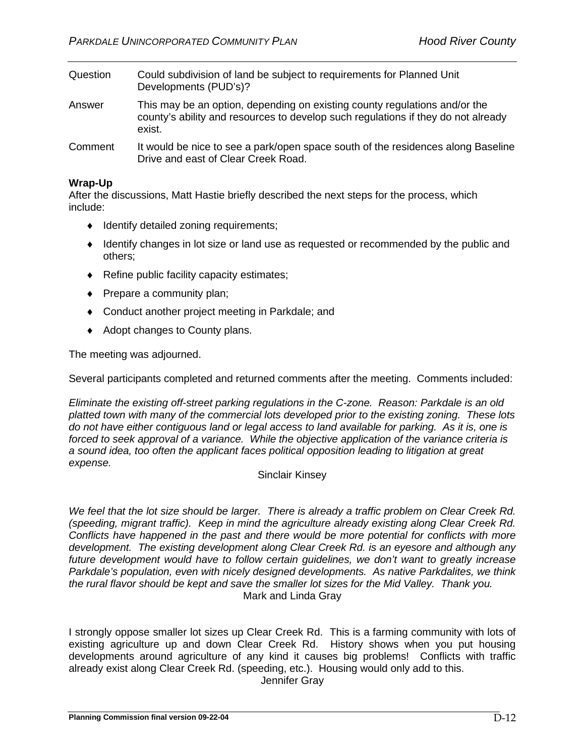| Question | Could subdivision of land be subject to requirements for Planned Unit<br>Developments (PUD's)?                                                                            |
|----------|---------------------------------------------------------------------------------------------------------------------------------------------------------------------------|
| Answer   | This may be an option, depending on existing county regulations and/or the<br>county's ability and resources to develop such regulations if they do not already<br>exist. |
| Comment  | It would be nice to see a park/open space south of the residences along Baseline                                                                                          |

# **Wrap-Up**

After the discussions, Matt Hastie briefly described the next steps for the process, which include:

- ♦ Identify detailed zoning requirements;
- ♦ Identify changes in lot size or land use as requested or recommended by the public and others;
- ♦ Refine public facility capacity estimates;
- ♦ Prepare a community plan;
- ♦ Conduct another project meeting in Parkdale; and

Drive and east of Clear Creek Road.

♦ Adopt changes to County plans.

The meeting was adjourned.

Several participants completed and returned comments after the meeting. Comments included:

*Eliminate the existing off-street parking regulations in the C-zone. Reason: Parkdale is an old platted town with many of the commercial lots developed prior to the existing zoning. These lots do not have either contiguous land or legal access to land available for parking. As it is, one is forced to seek approval of a variance. While the objective application of the variance criteria is a sound idea, too often the applicant faces political opposition leading to litigation at great expense.*

#### Sinclair Kinsey

*We feel that the lot size should be larger. There is already a traffic problem on Clear Creek Rd. (speeding, migrant traffic). Keep in mind the agriculture already existing along Clear Creek Rd. Conflicts have happened in the past and there would be more potential for conflicts with more development. The existing development along Clear Creek Rd. is an eyesore and although any future development would have to follow certain guidelines, we don't want to greatly increase Parkdale's population, even with nicely designed developments. As native Parkdalites, we think the rural flavor should be kept and save the smaller lot sizes for the Mid Valley. Thank you.* Mark and Linda Gray

I strongly oppose smaller lot sizes up Clear Creek Rd. This is a farming community with lots of existing agriculture up and down Clear Creek Rd. History shows when you put housing developments around agriculture of any kind it causes big problems! Conflicts with traffic already exist along Clear Creek Rd. (speeding, etc.). Housing would only add to this.

Jennifer Gray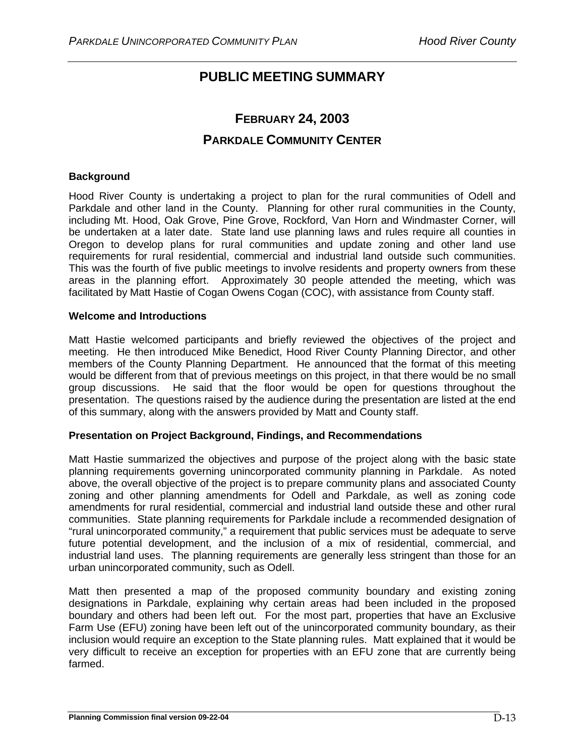# **PUBLIC MEETING SUMMARY**

# **FEBRUARY 24, 2003 PARKDALE COMMUNITY CENTER**

# **Background**

Hood River County is undertaking a project to plan for the rural communities of Odell and Parkdale and other land in the County. Planning for other rural communities in the County, including Mt. Hood, Oak Grove, Pine Grove, Rockford, Van Horn and Windmaster Corner, will be undertaken at a later date. State land use planning laws and rules require all counties in Oregon to develop plans for rural communities and update zoning and other land use requirements for rural residential, commercial and industrial land outside such communities. This was the fourth of five public meetings to involve residents and property owners from these areas in the planning effort. Approximately 30 people attended the meeting, which was facilitated by Matt Hastie of Cogan Owens Cogan (COC), with assistance from County staff.

# **Welcome and Introductions**

Matt Hastie welcomed participants and briefly reviewed the objectives of the project and meeting. He then introduced Mike Benedict, Hood River County Planning Director, and other members of the County Planning Department. He announced that the format of this meeting would be different from that of previous meetings on this project, in that there would be no small group discussions. He said that the floor would be open for questions throughout the presentation. The questions raised by the audience during the presentation are listed at the end of this summary, along with the answers provided by Matt and County staff.

# **Presentation on Project Background, Findings, and Recommendations**

Matt Hastie summarized the objectives and purpose of the project along with the basic state planning requirements governing unincorporated community planning in Parkdale. As noted above, the overall objective of the project is to prepare community plans and associated County zoning and other planning amendments for Odell and Parkdale, as well as zoning code amendments for rural residential, commercial and industrial land outside these and other rural communities. State planning requirements for Parkdale include a recommended designation of "rural unincorporated community," a requirement that public services must be adequate to serve future potential development, and the inclusion of a mix of residential, commercial, and industrial land uses. The planning requirements are generally less stringent than those for an urban unincorporated community, such as Odell.

Matt then presented a map of the proposed community boundary and existing zoning designations in Parkdale, explaining why certain areas had been included in the proposed boundary and others had been left out. For the most part, properties that have an Exclusive Farm Use (EFU) zoning have been left out of the unincorporated community boundary, as their inclusion would require an exception to the State planning rules. Matt explained that it would be very difficult to receive an exception for properties with an EFU zone that are currently being farmed.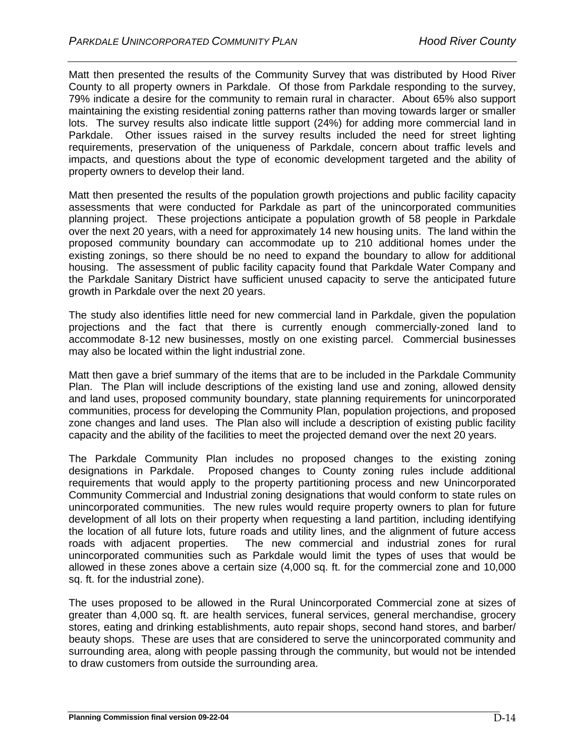Matt then presented the results of the Community Survey that was distributed by Hood River County to all property owners in Parkdale. Of those from Parkdale responding to the survey, 79% indicate a desire for the community to remain rural in character. About 65% also support maintaining the existing residential zoning patterns rather than moving towards larger or smaller lots. The survey results also indicate little support (24%) for adding more commercial land in Parkdale. Other issues raised in the survey results included the need for street lighting requirements, preservation of the uniqueness of Parkdale, concern about traffic levels and impacts, and questions about the type of economic development targeted and the ability of property owners to develop their land.

Matt then presented the results of the population growth projections and public facility capacity assessments that were conducted for Parkdale as part of the unincorporated communities planning project. These projections anticipate a population growth of 58 people in Parkdale over the next 20 years, with a need for approximately 14 new housing units. The land within the proposed community boundary can accommodate up to 210 additional homes under the existing zonings, so there should be no need to expand the boundary to allow for additional housing. The assessment of public facility capacity found that Parkdale Water Company and the Parkdale Sanitary District have sufficient unused capacity to serve the anticipated future growth in Parkdale over the next 20 years.

The study also identifies little need for new commercial land in Parkdale, given the population projections and the fact that there is currently enough commercially-zoned land to accommodate 8-12 new businesses, mostly on one existing parcel. Commercial businesses may also be located within the light industrial zone.

Matt then gave a brief summary of the items that are to be included in the Parkdale Community Plan. The Plan will include descriptions of the existing land use and zoning, allowed density and land uses, proposed community boundary, state planning requirements for unincorporated communities, process for developing the Community Plan, population projections, and proposed zone changes and land uses. The Plan also will include a description of existing public facility capacity and the ability of the facilities to meet the projected demand over the next 20 years.

The Parkdale Community Plan includes no proposed changes to the existing zoning designations in Parkdale. Proposed changes to County zoning rules include additional requirements that would apply to the property partitioning process and new Unincorporated Community Commercial and Industrial zoning designations that would conform to state rules on unincorporated communities. The new rules would require property owners to plan for future development of all lots on their property when requesting a land partition, including identifying the location of all future lots, future roads and utility lines, and the alignment of future access roads with adjacent properties. The new commercial and industrial zones for rural unincorporated communities such as Parkdale would limit the types of uses that would be allowed in these zones above a certain size (4,000 sq. ft. for the commercial zone and 10,000 sq. ft. for the industrial zone).

The uses proposed to be allowed in the Rural Unincorporated Commercial zone at sizes of greater than 4,000 sq. ft. are health services, funeral services, general merchandise, grocery stores, eating and drinking establishments, auto repair shops, second hand stores, and barber/ beauty shops. These are uses that are considered to serve the unincorporated community and surrounding area, along with people passing through the community, but would not be intended to draw customers from outside the surrounding area.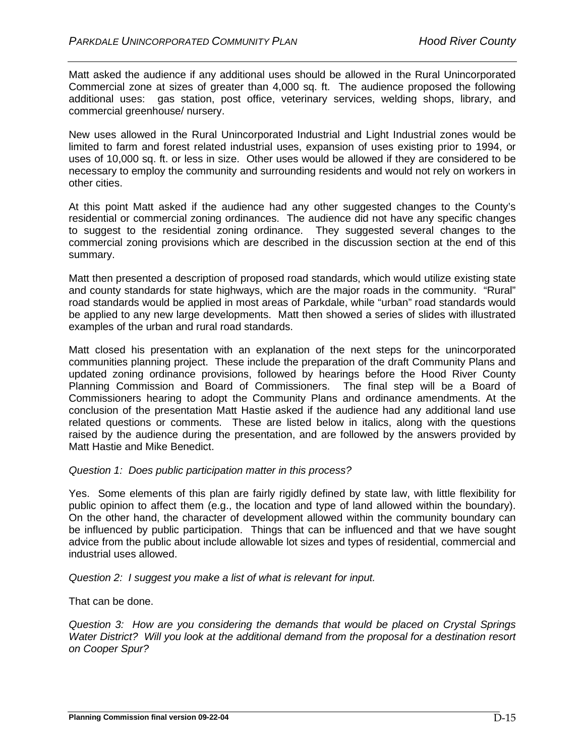Matt asked the audience if any additional uses should be allowed in the Rural Unincorporated Commercial zone at sizes of greater than 4,000 sq. ft. The audience proposed the following additional uses: gas station, post office, veterinary services, welding shops, library, and commercial greenhouse/ nursery.

New uses allowed in the Rural Unincorporated Industrial and Light Industrial zones would be limited to farm and forest related industrial uses, expansion of uses existing prior to 1994, or uses of 10,000 sq. ft. or less in size. Other uses would be allowed if they are considered to be necessary to employ the community and surrounding residents and would not rely on workers in other cities.

At this point Matt asked if the audience had any other suggested changes to the County's residential or commercial zoning ordinances. The audience did not have any specific changes to suggest to the residential zoning ordinance. They suggested several changes to the commercial zoning provisions which are described in the discussion section at the end of this summary.

Matt then presented a description of proposed road standards, which would utilize existing state and county standards for state highways, which are the major roads in the community. "Rural" road standards would be applied in most areas of Parkdale, while "urban" road standards would be applied to any new large developments. Matt then showed a series of slides with illustrated examples of the urban and rural road standards.

Matt closed his presentation with an explanation of the next steps for the unincorporated communities planning project. These include the preparation of the draft Community Plans and updated zoning ordinance provisions, followed by hearings before the Hood River County Planning Commission and Board of Commissioners. The final step will be a Board of Commissioners hearing to adopt the Community Plans and ordinance amendments. At the conclusion of the presentation Matt Hastie asked if the audience had any additional land use related questions or comments. These are listed below in italics, along with the questions raised by the audience during the presentation, and are followed by the answers provided by Matt Hastie and Mike Benedict.

# *Question 1: Does public participation matter in this process?*

Yes. Some elements of this plan are fairly rigidly defined by state law, with little flexibility for public opinion to affect them (e.g., the location and type of land allowed within the boundary). On the other hand, the character of development allowed within the community boundary can be influenced by public participation. Things that can be influenced and that we have sought advice from the public about include allowable lot sizes and types of residential, commercial and industrial uses allowed.

# *Question 2: I suggest you make a list of what is relevant for input.*

That can be done.

*Question 3: How are you considering the demands that would be placed on Crystal Springs Water District? Will you look at the additional demand from the proposal for a destination resort on Cooper Spur?*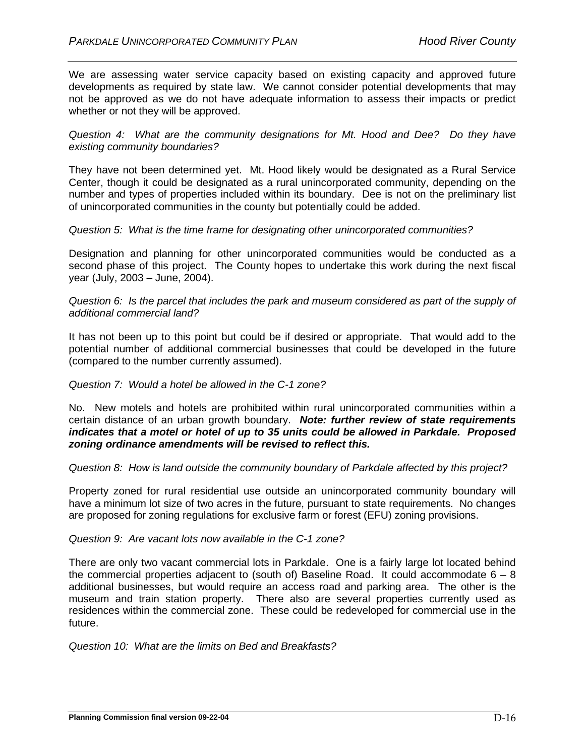We are assessing water service capacity based on existing capacity and approved future developments as required by state law. We cannot consider potential developments that may not be approved as we do not have adequate information to assess their impacts or predict whether or not they will be approved.

*Question 4: What are the community designations for Mt. Hood and Dee? Do they have existing community boundaries?*

They have not been determined yet. Mt. Hood likely would be designated as a Rural Service Center, though it could be designated as a rural unincorporated community, depending on the number and types of properties included within its boundary. Dee is not on the preliminary list of unincorporated communities in the county but potentially could be added.

#### *Question 5: What is the time frame for designating other unincorporated communities?*

Designation and planning for other unincorporated communities would be conducted as a second phase of this project. The County hopes to undertake this work during the next fiscal year (July, 2003 – June, 2004).

## *Question 6: Is the parcel that includes the park and museum considered as part of the supply of additional commercial land?*

It has not been up to this point but could be if desired or appropriate. That would add to the potential number of additional commercial businesses that could be developed in the future (compared to the number currently assumed).

## *Question 7: Would a hotel be allowed in the C-1 zone?*

No. New motels and hotels are prohibited within rural unincorporated communities within a certain distance of an urban growth boundary. *Note: further review of state requirements indicates that a motel or hotel of up to 35 units could be allowed in Parkdale. Proposed zoning ordinance amendments will be revised to reflect this.*

# *Question 8: How is land outside the community boundary of Parkdale affected by this project?*

Property zoned for rural residential use outside an unincorporated community boundary will have a minimum lot size of two acres in the future, pursuant to state requirements. No changes are proposed for zoning regulations for exclusive farm or forest (EFU) zoning provisions.

# *Question 9: Are vacant lots now available in the C-1 zone?*

There are only two vacant commercial lots in Parkdale. One is a fairly large lot located behind the commercial properties adjacent to (south of) Baseline Road. It could accommodate  $6 - 8$ additional businesses, but would require an access road and parking area. The other is the museum and train station property. There also are several properties currently used as residences within the commercial zone. These could be redeveloped for commercial use in the future.

*Question 10: What are the limits on Bed and Breakfasts?*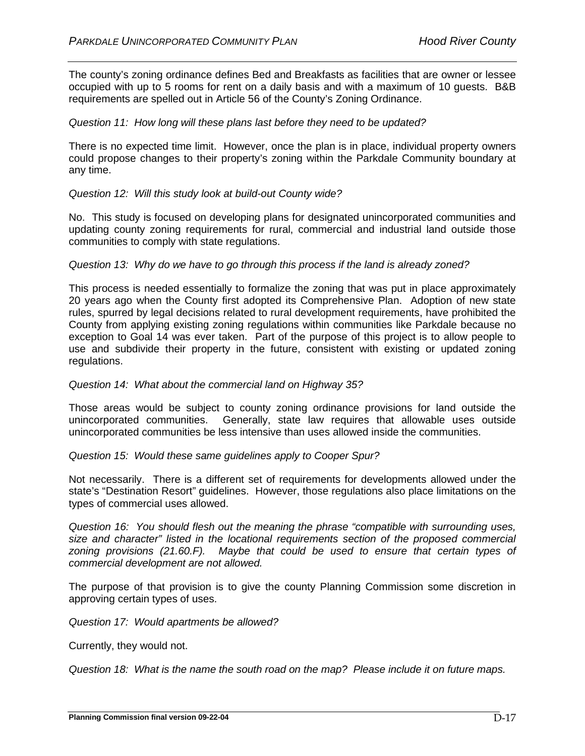The county's zoning ordinance defines Bed and Breakfasts as facilities that are owner or lessee occupied with up to 5 rooms for rent on a daily basis and with a maximum of 10 guests. B&B requirements are spelled out in Article 56 of the County's Zoning Ordinance.

# *Question 11: How long will these plans last before they need to be updated?*

There is no expected time limit. However, once the plan is in place, individual property owners could propose changes to their property's zoning within the Parkdale Community boundary at any time.

## *Question 12: Will this study look at build-out County wide?*

No. This study is focused on developing plans for designated unincorporated communities and updating county zoning requirements for rural, commercial and industrial land outside those communities to comply with state regulations.

## *Question 13: Why do we have to go through this process if the land is already zoned?*

This process is needed essentially to formalize the zoning that was put in place approximately 20 years ago when the County first adopted its Comprehensive Plan. Adoption of new state rules, spurred by legal decisions related to rural development requirements, have prohibited the County from applying existing zoning regulations within communities like Parkdale because no exception to Goal 14 was ever taken. Part of the purpose of this project is to allow people to use and subdivide their property in the future, consistent with existing or updated zoning regulations.

#### *Question 14: What about the commercial land on Highway 35?*

Those areas would be subject to county zoning ordinance provisions for land outside the unincorporated communities. Generally, state law requires that allowable uses outside unincorporated communities be less intensive than uses allowed inside the communities.

*Question 15: Would these same guidelines apply to Cooper Spur?*

Not necessarily. There is a different set of requirements for developments allowed under the state's "Destination Resort" guidelines. However, those regulations also place limitations on the types of commercial uses allowed.

*Question 16: You should flesh out the meaning the phrase "compatible with surrounding uses, size and character" listed in the locational requirements section of the proposed commercial zoning provisions (21.60.F). Maybe that could be used to ensure that certain types of commercial development are not allowed.*

The purpose of that provision is to give the county Planning Commission some discretion in approving certain types of uses.

*Question 17: Would apartments be allowed?*

Currently, they would not.

*Question 18: What is the name the south road on the map? Please include it on future maps.*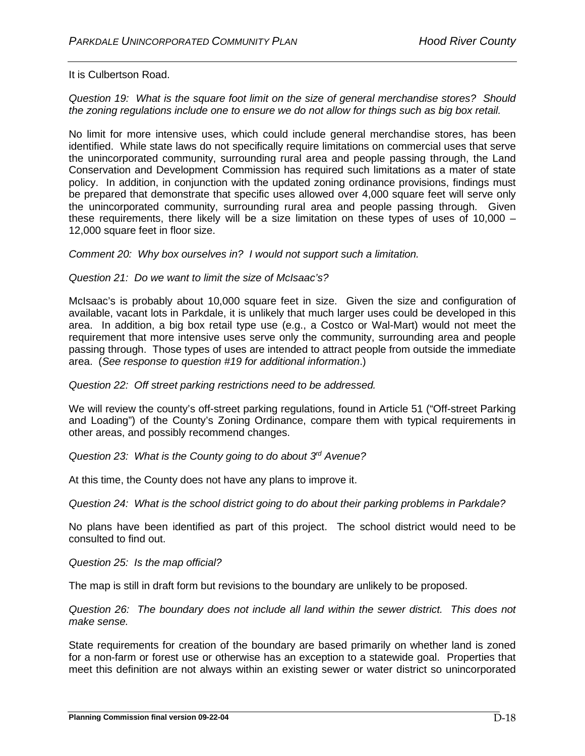It is Culbertson Road.

*Question 19: What is the square foot limit on the size of general merchandise stores? Should the zoning regulations include one to ensure we do not allow for things such as big box retail.*

No limit for more intensive uses, which could include general merchandise stores, has been identified. While state laws do not specifically require limitations on commercial uses that serve the unincorporated community, surrounding rural area and people passing through, the Land Conservation and Development Commission has required such limitations as a mater of state policy. In addition, in conjunction with the updated zoning ordinance provisions, findings must be prepared that demonstrate that specific uses allowed over 4,000 square feet will serve only the unincorporated community, surrounding rural area and people passing through. Given these requirements, there likely will be a size limitation on these types of uses of 10,000 – 12,000 square feet in floor size.

*Comment 20: Why box ourselves in? I would not support such a limitation.*

## *Question 21: Do we want to limit the size of McIsaac's?*

McIsaac's is probably about 10,000 square feet in size. Given the size and configuration of available, vacant lots in Parkdale, it is unlikely that much larger uses could be developed in this area. In addition, a big box retail type use (e.g., a Costco or Wal-Mart) would not meet the requirement that more intensive uses serve only the community, surrounding area and people passing through. Those types of uses are intended to attract people from outside the immediate area. (*See response to question #19 for additional information*.)

#### *Question 22: Off street parking restrictions need to be addressed.*

We will review the county's off-street parking regulations, found in Article 51 ("Off-street Parking and Loading") of the County's Zoning Ordinance, compare them with typical requirements in other areas, and possibly recommend changes.

*Question 23: What is the County going to do about 3rd Avenue?*

At this time, the County does not have any plans to improve it.

*Question 24: What is the school district going to do about their parking problems in Parkdale?*

No plans have been identified as part of this project. The school district would need to be consulted to find out.

*Question 25: Is the map official?*

The map is still in draft form but revisions to the boundary are unlikely to be proposed.

*Question 26: The boundary does not include all land within the sewer district. This does not make sense.*

State requirements for creation of the boundary are based primarily on whether land is zoned for a non-farm or forest use or otherwise has an exception to a statewide goal. Properties that meet this definition are not always within an existing sewer or water district so unincorporated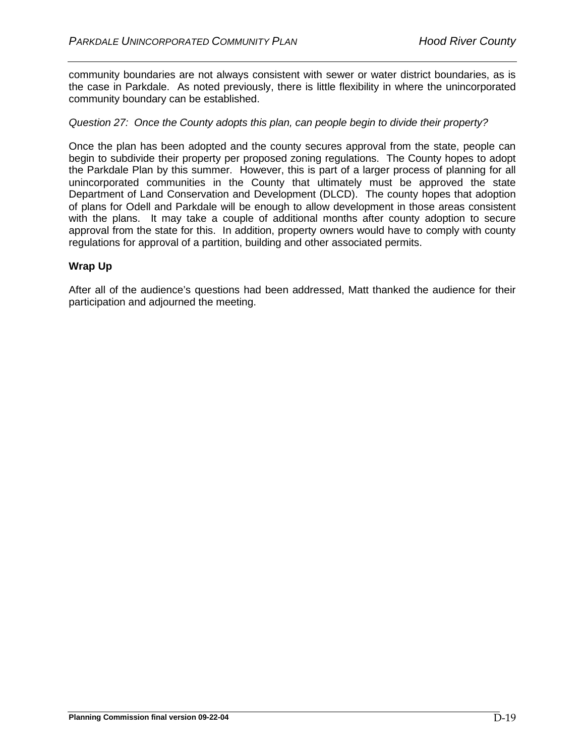community boundaries are not always consistent with sewer or water district boundaries, as is the case in Parkdale. As noted previously, there is little flexibility in where the unincorporated community boundary can be established.

#### *Question 27: Once the County adopts this plan, can people begin to divide their property?*

Once the plan has been adopted and the county secures approval from the state, people can begin to subdivide their property per proposed zoning regulations. The County hopes to adopt the Parkdale Plan by this summer. However, this is part of a larger process of planning for all unincorporated communities in the County that ultimately must be approved the state Department of Land Conservation and Development (DLCD). The county hopes that adoption of plans for Odell and Parkdale will be enough to allow development in those areas consistent with the plans. It may take a couple of additional months after county adoption to secure approval from the state for this. In addition, property owners would have to comply with county regulations for approval of a partition, building and other associated permits.

#### **Wrap Up**

After all of the audience's questions had been addressed, Matt thanked the audience for their participation and adjourned the meeting.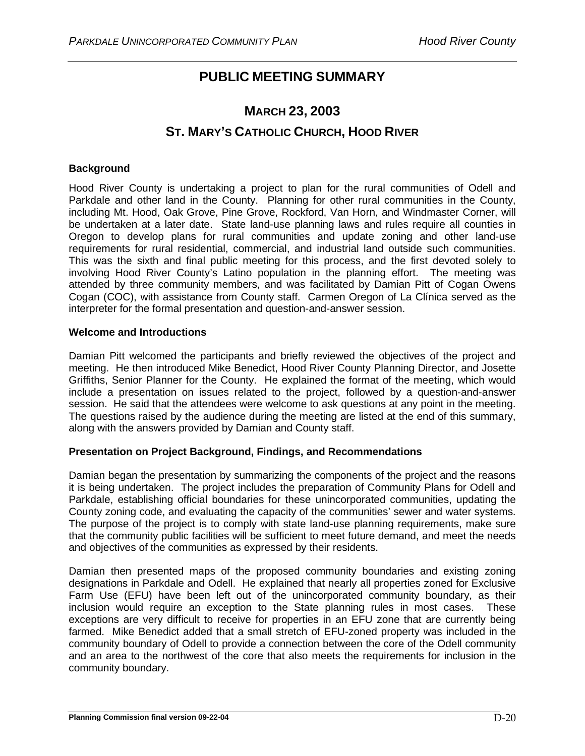# **PUBLIC MEETING SUMMARY**

# **MARCH 23, 2003 ST. MARY'S CATHOLIC CHURCH, HOOD RIVER**

## **Background**

Hood River County is undertaking a project to plan for the rural communities of Odell and Parkdale and other land in the County. Planning for other rural communities in the County, including Mt. Hood, Oak Grove, Pine Grove, Rockford, Van Horn, and Windmaster Corner, will be undertaken at a later date. State land-use planning laws and rules require all counties in Oregon to develop plans for rural communities and update zoning and other land-use requirements for rural residential, commercial, and industrial land outside such communities. This was the sixth and final public meeting for this process, and the first devoted solely to involving Hood River County's Latino population in the planning effort. The meeting was attended by three community members, and was facilitated by Damian Pitt of Cogan Owens Cogan (COC), with assistance from County staff. Carmen Oregon of La Clínica served as the interpreter for the formal presentation and question-and-answer session.

#### **Welcome and Introductions**

Damian Pitt welcomed the participants and briefly reviewed the objectives of the project and meeting. He then introduced Mike Benedict, Hood River County Planning Director, and Josette Griffiths, Senior Planner for the County. He explained the format of the meeting, which would include a presentation on issues related to the project, followed by a question-and-answer session. He said that the attendees were welcome to ask questions at any point in the meeting. The questions raised by the audience during the meeting are listed at the end of this summary, along with the answers provided by Damian and County staff.

## **Presentation on Project Background, Findings, and Recommendations**

Damian began the presentation by summarizing the components of the project and the reasons it is being undertaken. The project includes the preparation of Community Plans for Odell and Parkdale, establishing official boundaries for these unincorporated communities, updating the County zoning code, and evaluating the capacity of the communities' sewer and water systems. The purpose of the project is to comply with state land-use planning requirements, make sure that the community public facilities will be sufficient to meet future demand, and meet the needs and objectives of the communities as expressed by their residents.

Damian then presented maps of the proposed community boundaries and existing zoning designations in Parkdale and Odell. He explained that nearly all properties zoned for Exclusive Farm Use (EFU) have been left out of the unincorporated community boundary, as their inclusion would require an exception to the State planning rules in most cases. These exceptions are very difficult to receive for properties in an EFU zone that are currently being farmed. Mike Benedict added that a small stretch of EFU-zoned property was included in the community boundary of Odell to provide a connection between the core of the Odell community and an area to the northwest of the core that also meets the requirements for inclusion in the community boundary.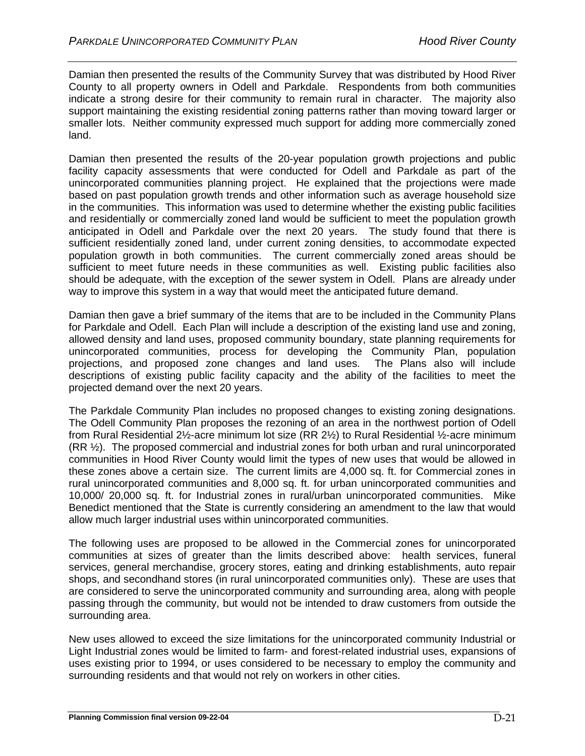Damian then presented the results of the Community Survey that was distributed by Hood River County to all property owners in Odell and Parkdale. Respondents from both communities indicate a strong desire for their community to remain rural in character. The majority also support maintaining the existing residential zoning patterns rather than moving toward larger or smaller lots. Neither community expressed much support for adding more commercially zoned land.

Damian then presented the results of the 20-year population growth projections and public facility capacity assessments that were conducted for Odell and Parkdale as part of the unincorporated communities planning project. He explained that the projections were made based on past population growth trends and other information such as average household size in the communities. This information was used to determine whether the existing public facilities and residentially or commercially zoned land would be sufficient to meet the population growth anticipated in Odell and Parkdale over the next 20 years. The study found that there is sufficient residentially zoned land, under current zoning densities, to accommodate expected population growth in both communities. The current commercially zoned areas should be sufficient to meet future needs in these communities as well. Existing public facilities also should be adequate, with the exception of the sewer system in Odell. Plans are already under way to improve this system in a way that would meet the anticipated future demand.

Damian then gave a brief summary of the items that are to be included in the Community Plans for Parkdale and Odell. Each Plan will include a description of the existing land use and zoning, allowed density and land uses, proposed community boundary, state planning requirements for unincorporated communities, process for developing the Community Plan, population projections, and proposed zone changes and land uses. The Plans also will include descriptions of existing public facility capacity and the ability of the facilities to meet the projected demand over the next 20 years.

The Parkdale Community Plan includes no proposed changes to existing zoning designations. The Odell Community Plan proposes the rezoning of an area in the northwest portion of Odell from Rural Residential 2½-acre minimum lot size (RR 2½) to Rural Residential ½-acre minimum (RR ½). The proposed commercial and industrial zones for both urban and rural unincorporated communities in Hood River County would limit the types of new uses that would be allowed in these zones above a certain size. The current limits are 4,000 sq. ft. for Commercial zones in rural unincorporated communities and 8,000 sq. ft. for urban unincorporated communities and 10,000/ 20,000 sq. ft. for Industrial zones in rural/urban unincorporated communities. Mike Benedict mentioned that the State is currently considering an amendment to the law that would allow much larger industrial uses within unincorporated communities.

The following uses are proposed to be allowed in the Commercial zones for unincorporated communities at sizes of greater than the limits described above: health services, funeral services, general merchandise, grocery stores, eating and drinking establishments, auto repair shops, and secondhand stores (in rural unincorporated communities only). These are uses that are considered to serve the unincorporated community and surrounding area, along with people passing through the community, but would not be intended to draw customers from outside the surrounding area.

New uses allowed to exceed the size limitations for the unincorporated community Industrial or Light Industrial zones would be limited to farm- and forest-related industrial uses, expansions of uses existing prior to 1994, or uses considered to be necessary to employ the community and surrounding residents and that would not rely on workers in other cities.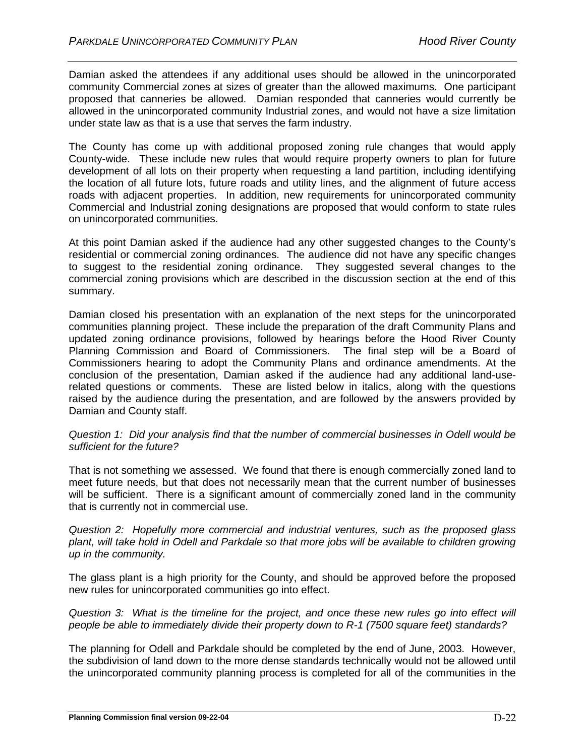Damian asked the attendees if any additional uses should be allowed in the unincorporated community Commercial zones at sizes of greater than the allowed maximums. One participant proposed that canneries be allowed. Damian responded that canneries would currently be allowed in the unincorporated community Industrial zones, and would not have a size limitation under state law as that is a use that serves the farm industry.

The County has come up with additional proposed zoning rule changes that would apply County-wide. These include new rules that would require property owners to plan for future development of all lots on their property when requesting a land partition, including identifying the location of all future lots, future roads and utility lines, and the alignment of future access roads with adjacent properties. In addition, new requirements for unincorporated community Commercial and Industrial zoning designations are proposed that would conform to state rules on unincorporated communities.

At this point Damian asked if the audience had any other suggested changes to the County's residential or commercial zoning ordinances. The audience did not have any specific changes to suggest to the residential zoning ordinance. They suggested several changes to the commercial zoning provisions which are described in the discussion section at the end of this summary.

Damian closed his presentation with an explanation of the next steps for the unincorporated communities planning project. These include the preparation of the draft Community Plans and updated zoning ordinance provisions, followed by hearings before the Hood River County Planning Commission and Board of Commissioners. The final step will be a Board of Commissioners hearing to adopt the Community Plans and ordinance amendments. At the conclusion of the presentation, Damian asked if the audience had any additional land-userelated questions or comments. These are listed below in italics, along with the questions raised by the audience during the presentation, and are followed by the answers provided by Damian and County staff.

#### *Question 1: Did your analysis find that the number of commercial businesses in Odell would be sufficient for the future?*

That is not something we assessed. We found that there is enough commercially zoned land to meet future needs, but that does not necessarily mean that the current number of businesses will be sufficient. There is a significant amount of commercially zoned land in the community that is currently not in commercial use.

*Question 2: Hopefully more commercial and industrial ventures, such as the proposed glass plant, will take hold in Odell and Parkdale so that more jobs will be available to children growing up in the community.*

The glass plant is a high priority for the County, and should be approved before the proposed new rules for unincorporated communities go into effect.

*Question 3: What is the timeline for the project, and once these new rules go into effect will people be able to immediately divide their property down to R-1 (7500 square feet) standards?*

The planning for Odell and Parkdale should be completed by the end of June, 2003. However, the subdivision of land down to the more dense standards technically would not be allowed until the unincorporated community planning process is completed for all of the communities in the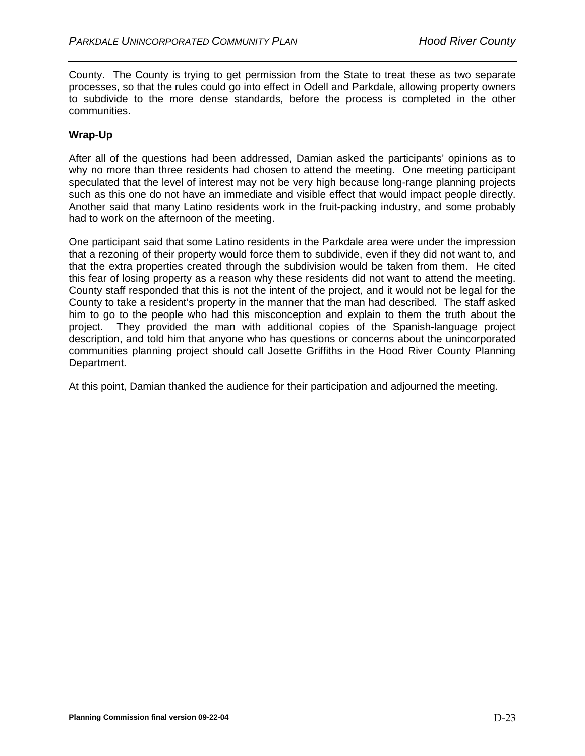County. The County is trying to get permission from the State to treat these as two separate processes, so that the rules could go into effect in Odell and Parkdale, allowing property owners to subdivide to the more dense standards, before the process is completed in the other communities.

## **Wrap-Up**

After all of the questions had been addressed, Damian asked the participants' opinions as to why no more than three residents had chosen to attend the meeting. One meeting participant speculated that the level of interest may not be very high because long-range planning projects such as this one do not have an immediate and visible effect that would impact people directly. Another said that many Latino residents work in the fruit-packing industry, and some probably had to work on the afternoon of the meeting.

One participant said that some Latino residents in the Parkdale area were under the impression that a rezoning of their property would force them to subdivide, even if they did not want to, and that the extra properties created through the subdivision would be taken from them. He cited this fear of losing property as a reason why these residents did not want to attend the meeting. County staff responded that this is not the intent of the project, and it would not be legal for the County to take a resident's property in the manner that the man had described. The staff asked him to go to the people who had this misconception and explain to them the truth about the project. They provided the man with additional copies of the Spanish-language project description, and told him that anyone who has questions or concerns about the unincorporated communities planning project should call Josette Griffiths in the Hood River County Planning Department.

At this point, Damian thanked the audience for their participation and adjourned the meeting.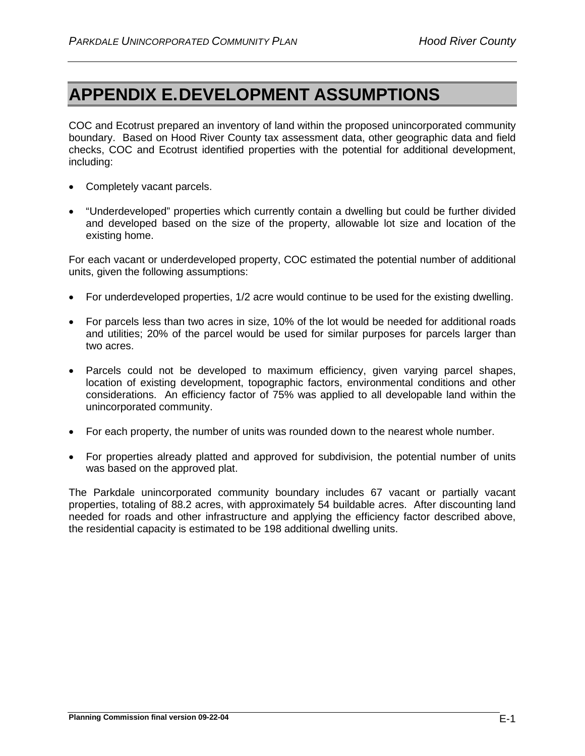# **APPENDIX E.DEVELOPMENT ASSUMPTIONS**

COC and Ecotrust prepared an inventory of land within the proposed unincorporated community boundary. Based on Hood River County tax assessment data, other geographic data and field checks, COC and Ecotrust identified properties with the potential for additional development, including:

- Completely vacant parcels.
- "Underdeveloped" properties which currently contain a dwelling but could be further divided and developed based on the size of the property, allowable lot size and location of the existing home.

For each vacant or underdeveloped property, COC estimated the potential number of additional units, given the following assumptions:

- For underdeveloped properties, 1/2 acre would continue to be used for the existing dwelling.
- For parcels less than two acres in size, 10% of the lot would be needed for additional roads and utilities; 20% of the parcel would be used for similar purposes for parcels larger than two acres.
- Parcels could not be developed to maximum efficiency, given varying parcel shapes, location of existing development, topographic factors, environmental conditions and other considerations. An efficiency factor of 75% was applied to all developable land within the unincorporated community.
- For each property, the number of units was rounded down to the nearest whole number.
- For properties already platted and approved for subdivision, the potential number of units was based on the approved plat.

The Parkdale unincorporated community boundary includes 67 vacant or partially vacant properties, totaling of 88.2 acres, with approximately 54 buildable acres. After discounting land needed for roads and other infrastructure and applying the efficiency factor described above, the residential capacity is estimated to be 198 additional dwelling units.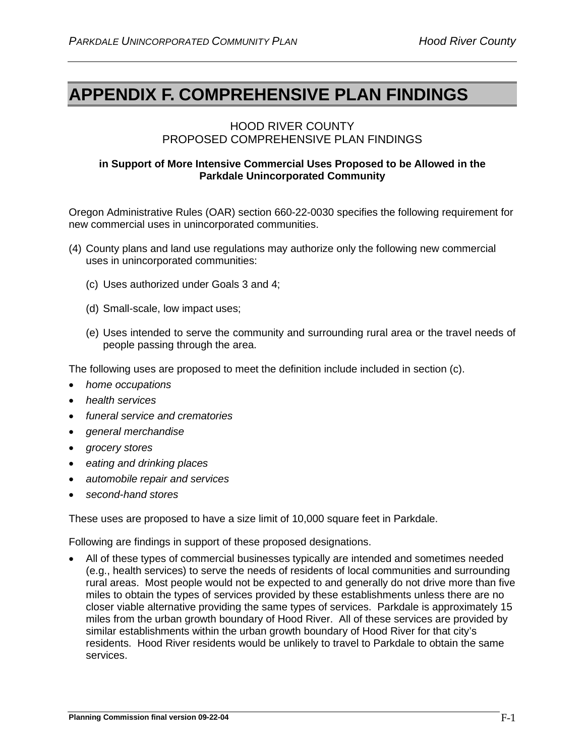# **APPENDIX F. COMPREHENSIVE PLAN FINDINGS**

### HOOD RIVER COUNTY PROPOSED COMPREHENSIVE PLAN FINDINGS

#### **in Support of More Intensive Commercial Uses Proposed to be Allowed in the Parkdale Unincorporated Community**

Oregon Administrative Rules (OAR) section 660-22-0030 specifies the following requirement for new commercial uses in unincorporated communities.

- (4) County plans and land use regulations may authorize only the following new commercial uses in unincorporated communities:
	- (c) Uses authorized under Goals 3 and 4;
	- (d) Small-scale, low impact uses;
	- (e) Uses intended to serve the community and surrounding rural area or the travel needs of people passing through the area.

The following uses are proposed to meet the definition include included in section (c).

- *home occupations*
- *health services*
- *funeral service and crematories*
- *general merchandise*
- *grocery stores*
- *eating and drinking places*
- *automobile repair and services*
- *second-hand stores*

These uses are proposed to have a size limit of 10,000 square feet in Parkdale.

Following are findings in support of these proposed designations.

• All of these types of commercial businesses typically are intended and sometimes needed (e.g., health services) to serve the needs of residents of local communities and surrounding rural areas. Most people would not be expected to and generally do not drive more than five miles to obtain the types of services provided by these establishments unless there are no closer viable alternative providing the same types of services. Parkdale is approximately 15 miles from the urban growth boundary of Hood River. All of these services are provided by similar establishments within the urban growth boundary of Hood River for that city's residents. Hood River residents would be unlikely to travel to Parkdale to obtain the same services.